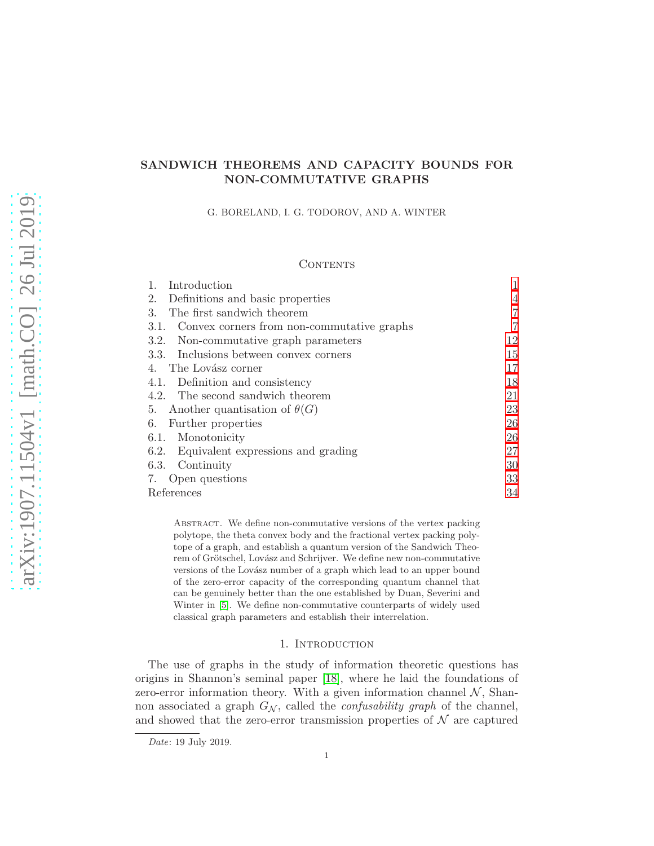# SANDWICH THEOREMS AND CAPACITY BOUNDS FOR NON-COMMUTATIVE GRAPHS

G. BORELAND, I. G. TODOROV, AND A. WINTER

## **CONTENTS**

| Introduction                                    |                |
|-------------------------------------------------|----------------|
| Definitions and basic properties<br>2.          | $\overline{4}$ |
| The first sandwich theorem<br>3.                | 7              |
| 3.1. Convex corners from non-commutative graphs | 7              |
| 3.2. Non-commutative graph parameters           | 12             |
| 3.3. Inclusions between convex corners          | 15             |
| The Lovász corner<br>4.                         | 17             |
| 4.1. Definition and consistency                 | 18             |
| 4.2. The second sandwich theorem                | 21             |
| 5. Another quantisation of $\theta(G)$          | 23             |
| 6.<br>Further properties                        | 26             |
| 6.1. Monotonicity                               | 26             |
| 6.2. Equivalent expressions and grading         | 27             |
| 6.3. Continuity                                 | 30             |
| 7. Open questions                               | 33             |
| References                                      | 34             |

Abstract. We define non-commutative versions of the vertex packing polytope, the theta convex body and the fractional vertex packing polytope of a graph, and establish a quantum version of the Sandwich Theorem of Grötschel, Lovász and Schrijver. We define new non-commutative versions of the Lovász number of a graph which lead to an upper bound of the zero-error capacity of the corresponding quantum channel that can be genuinely better than the one established by Duan, Severini and Winter in [\[5\]](#page-33-1). We define non-commutative counterparts of widely used classical graph parameters and establish their interrelation.

### 1. INTRODUCTION

<span id="page-0-0"></span>The use of graphs in the study of information theoretic questions has origins in Shannon's seminal paper [\[18\]](#page-33-2), where he laid the foundations of zero-error information theory. With a given information channel  $\mathcal{N}$ , Shannon associated a graph  $G_N$ , called the *confusability graph* of the channel, and showed that the zero-error transmission properties of  $\mathcal N$  are captured

Date: 19 July 2019.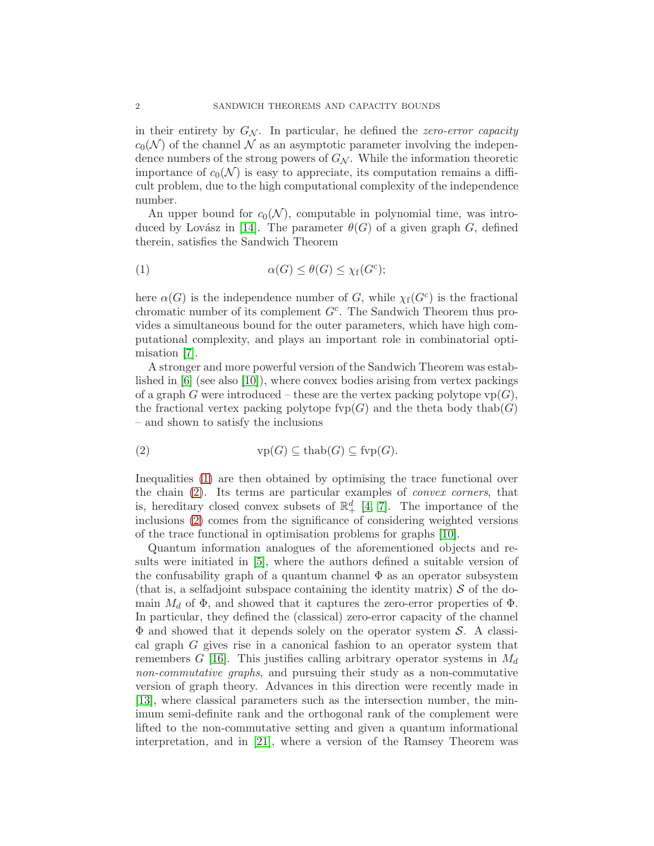in their entirety by  $G_N$ . In particular, he defined the *zero-error capacity*  $c_0(\mathcal{N})$  of the channel  $\mathcal N$  as an asymptotic parameter involving the independence numbers of the strong powers of  $G_N$ . While the information theoretic importance of  $c_0(\mathcal{N})$  is easy to appreciate, its computation remains a difficult problem, due to the high computational complexity of the independence number.

An upper bound for  $c_0(\mathcal{N})$ , computable in polynomial time, was intro-duced by Lovász in [\[14\]](#page-33-3). The parameter  $\theta(G)$  of a given graph G, defined therein, satisfies the Sandwich Theorem

<span id="page-1-0"></span>(1) 
$$
\alpha(G) \leq \theta(G) \leq \chi_f(G^c);
$$

here  $\alpha(G)$  is the independence number of G, while  $\chi_f(G^c)$  is the fractional chromatic number of its complement  $G<sup>c</sup>$ . The Sandwich Theorem thus provides a simultaneous bound for the outer parameters, which have high computational complexity, and plays an important role in combinatorial optimisation [\[7\]](#page-33-4).

A stronger and more powerful version of the Sandwich Theorem was established in [\[6\]](#page-33-5) (see also [\[10\]](#page-33-6)), where convex bodies arising from vertex packings of a graph G were introduced – these are the vertex packing polytope  $vp(G)$ , the fractional vertex packing polytope fyp $(G)$  and the theta body thab $(G)$ – and shown to satisfy the inclusions

<span id="page-1-1"></span>(2) vp(G) ⊆ thab(G) ⊆ fvp(G).

Inequalities [\(1\)](#page-1-0) are then obtained by optimising the trace functional over the chain [\(2\)](#page-1-1). Its terms are particular examples of *convex corners*, that is, hereditary closed convex subsets of  $\mathbb{R}^d_+$  [\[4,](#page-33-7) [7\]](#page-33-4). The importance of the inclusions [\(2\)](#page-1-1) comes from the significance of considering weighted versions of the trace functional in optimisation problems for graphs [\[10\]](#page-33-6).

Quantum information analogues of the aforementioned objects and results were initiated in [\[5\]](#page-33-1), where the authors defined a suitable version of the confusability graph of a quantum channel  $\Phi$  as an operator subsystem (that is, a selfadjoint subspace containing the identity matrix)  $\mathcal S$  of the domain  $M_d$  of  $\Phi$ , and showed that it captures the zero-error properties of  $\Phi$ . In particular, they defined the (classical) zero-error capacity of the channel  $\Phi$  and showed that it depends solely on the operator system S. A classical graph G gives rise in a canonical fashion to an operator system that remembers G [\[16\]](#page-33-8). This justifies calling arbitrary operator systems in  $M_d$ *non-commutative graphs*, and pursuing their study as a non-commutative version of graph theory. Advances in this direction were recently made in [\[13\]](#page-33-9), where classical parameters such as the intersection number, the minimum semi-definite rank and the orthogonal rank of the complement were lifted to the non-commutative setting and given a quantum informational interpretation, and in [\[21\]](#page-33-10), where a version of the Ramsey Theorem was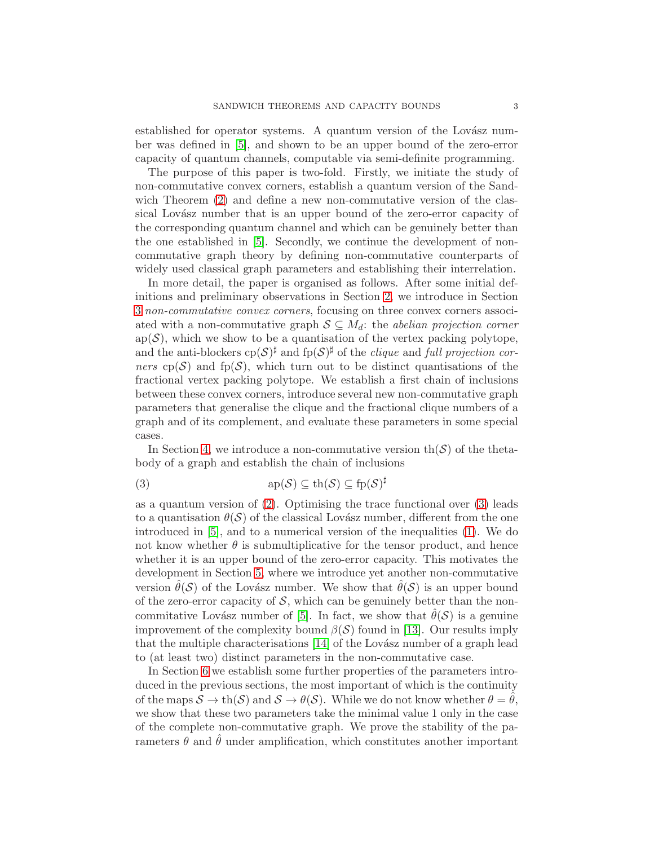established for operator systems. A quantum version of the Lovász number was defined in [\[5\]](#page-33-1), and shown to be an upper bound of the zero-error capacity of quantum channels, computable via semi-definite programming.

The purpose of this paper is two-fold. Firstly, we initiate the study of non-commutative convex corners, establish a quantum version of the Sandwich Theorem  $(2)$  and define a new non-commutative version of the classical Lovász number that is an upper bound of the zero-error capacity of the corresponding quantum channel and which can be genuinely better than the one established in [\[5\]](#page-33-1). Secondly, we continue the development of noncommutative graph theory by defining non-commutative counterparts of widely used classical graph parameters and establishing their interrelation.

In more detail, the paper is organised as follows. After some initial definitions and preliminary observations in Section [2,](#page-3-0) we introduce in Section [3](#page-6-0) *non-commutative convex corners*, focusing on three convex corners associated with a non-commutative graph  $S \subseteq M_d$ : the *abelian projection corner*  $ap(S)$ , which we show to be a quantisation of the vertex packing polytope, and the anti-blockers  $\text{cp}(\mathcal{S})^{\sharp}$  and  $\text{fp}(\mathcal{S})^{\sharp}$  of the *clique* and *full projection corners* cp(S) and fp(S), which turn out to be distinct quantisations of the fractional vertex packing polytope. We establish a first chain of inclusions between these convex corners, introduce several new non-commutative graph parameters that generalise the clique and the fractional clique numbers of a graph and of its complement, and evaluate these parameters in some special cases.

In Section [4,](#page-16-0) we introduce a non-commutative version  $\text{th}(\mathcal{S})$  of the thetabody of a graph and establish the chain of inclusions

<span id="page-2-0"></span>(3) 
$$
\mathrm{ap}(\mathcal{S}) \subseteq \mathrm{th}(\mathcal{S}) \subseteq \mathrm{fp}(\mathcal{S})^{\sharp}
$$

as a quantum version of  $(2)$ . Optimising the trace functional over  $(3)$  leads to a quantisation  $\theta(\mathcal{S})$  of the classical Lovász number, different from the one introduced in [\[5\]](#page-33-1), and to a numerical version of the inequalities [\(1\)](#page-1-0). We do not know whether  $\theta$  is submultiplicative for the tensor product, and hence whether it is an upper bound of the zero-error capacity. This motivates the development in Section [5,](#page-22-0) where we introduce yet another non-commutative version  $\theta(S)$  of the Lovász number. We show that  $\theta(S)$  is an upper bound of the zero-error capacity of  $S$ , which can be genuinely better than the non-commitative Lovász number of [\[5\]](#page-33-1). In fact, we show that  $\hat{\theta}(\mathcal{S})$  is a genuine improvement of the complexity bound  $\beta(\mathcal{S})$  found in [\[13\]](#page-33-9). Our results imply that the multiple characterisations  $[14]$  of the Lovász number of a graph lead to (at least two) distinct parameters in the non-commutative case.

In Section [6](#page-25-0) we establish some further properties of the parameters introduced in the previous sections, the most important of which is the continuity of the maps  $S \to \text{th}(S)$  and  $S \to \theta(S)$ . While we do not know whether  $\theta = \theta$ , we show that these two parameters take the minimal value 1 only in the case of the complete non-commutative graph. We prove the stability of the parameters  $\theta$  and  $\hat{\theta}$  under amplification, which constitutes another important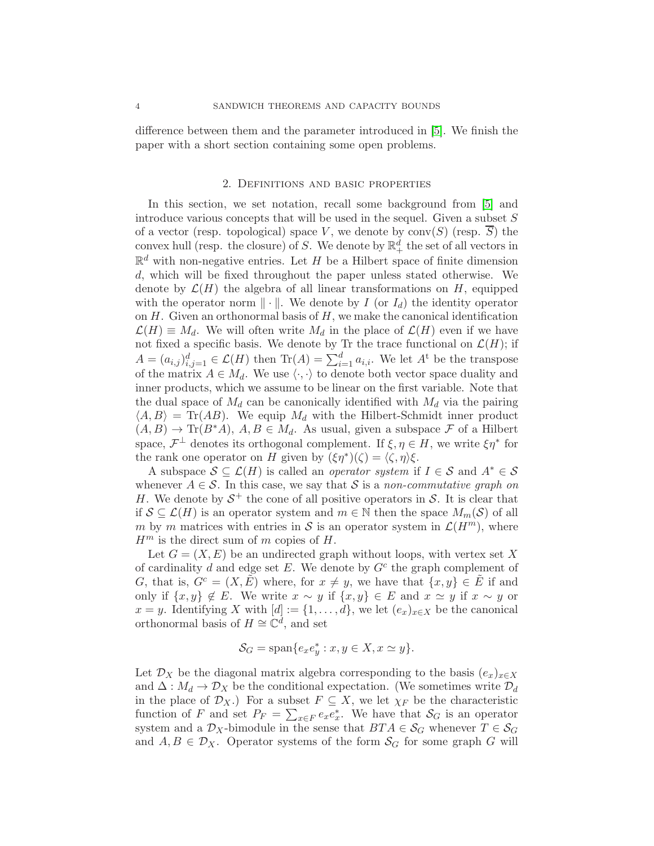difference between them and the parameter introduced in [\[5\]](#page-33-1). We finish the paper with a short section containing some open problems.

#### 2. Definitions and basic properties

<span id="page-3-0"></span>In this section, we set notation, recall some background from [\[5\]](#page-33-1) and introduce various concepts that will be used in the sequel. Given a subset  $S$ of a vector (resp. topological) space V, we denote by  $conv(S)$  (resp.  $\overline{S}$ ) the convex hull (resp. the closure) of S. We denote by  $\mathbb{R}^d_+$  the set of all vectors in  $\mathbb{R}^d$  with non-negative entries. Let H be a Hilbert space of finite dimension d, which will be fixed throughout the paper unless stated otherwise. We denote by  $\mathcal{L}(H)$  the algebra of all linear transformations on H, equipped with the operator norm  $\|\cdot\|$ . We denote by I (or  $I_d$ ) the identity operator on  $H$ . Given an orthonormal basis of  $H$ , we make the canonical identification  $\mathcal{L}(H) \equiv M_d$ . We will often write  $M_d$  in the place of  $\mathcal{L}(H)$  even if we have not fixed a specific basis. We denote by Tr the trace functional on  $\mathcal{L}(H)$ ; if  $A = (a_{i,j})_{i,j=1}^d \in \mathcal{L}(H)$  then  $\text{Tr}(A) = \sum_{i=1}^d a_{i,i}$ . We let  $A^t$  be the transpose of the matrix  $A \in M_d$ . We use  $\langle \cdot, \cdot \rangle$  to denote both vector space duality and inner products, which we assume to be linear on the first variable. Note that the dual space of  $M_d$  can be canonically identified with  $M_d$  via the pairing  $\langle A, B \rangle = \text{Tr}(AB)$ . We equip  $M_d$  with the Hilbert-Schmidt inner product  $(A, B) \to \text{Tr}(B^*A), A, B \in M_d$ . As usual, given a subspace F of a Hilbert space,  $\mathcal{F}^{\perp}$  denotes its orthogonal complement. If  $\xi, \eta \in H$ , we write  $\xi \eta^*$  for the rank one operator on H given by  $(\xi \eta^*)(\zeta) = \langle \zeta, \eta \rangle \xi$ .

A subspace  $S \subseteq \mathcal{L}(H)$  is called an *operator system* if  $I \in \mathcal{S}$  and  $A^* \in \mathcal{S}$ whenever  $A \in \mathcal{S}$ . In this case, we say that S is a *non-commutative graph on* H. We denote by  $S^+$  the cone of all positive operators in S. It is clear that if  $S \subseteq \mathcal{L}(H)$  is an operator system and  $m \in \mathbb{N}$  then the space  $M_m(\mathcal{S})$  of all m by m matrices with entries in S is an operator system in  $\mathcal{L}(H^m)$ , where  $H^m$  is the direct sum of m copies of H.

Let  $G = (X, E)$  be an undirected graph without loops, with vertex set X of cardinality d and edge set  $E$ . We denote by  $G<sup>c</sup>$  the graph complement of G, that is,  $G^c = (X, E)$  where, for  $x \neq y$ , we have that  $\{x, y\} \in E$  if and only if  $\{x, y\} \notin E$ . We write  $x \sim y$  if  $\{x, y\} \in E$  and  $x \simeq y$  if  $x \sim y$  or x = y. Identifying X with  $[d] := \{1, \ldots, d\}$ , we let  $(e_x)_{x \in X}$  be the canonical orthonormal basis of  $H \cong \mathbb{C}^d$ , and set

$$
\mathcal{S}_G = \text{span}\{e_x e_y^* : x, y \in X, x \simeq y\}.
$$

Let  $\mathcal{D}_X$  be the diagonal matrix algebra corresponding to the basis  $(e_x)_{x\in X}$ and  $\Delta: M_d \to \mathcal{D}_X$  be the conditional expectation. (We sometimes write  $\mathcal{D}_d$ in the place of  $\mathcal{D}_X$ .) For a subset  $F \subseteq X$ , we let  $\chi_F$  be the characteristic function of F and set  $P_F = \sum_{x \in F} e_x e_x^*$ . We have that  $S_G$  is an operator system and a  $\mathcal{D}_X$ -bimodule in the sense that  $BTA \in \mathcal{S}_G$  whenever  $T \in \mathcal{S}_G$ and  $A, B \in \mathcal{D}_X$ . Operator systems of the form  $\mathcal{S}_G$  for some graph G will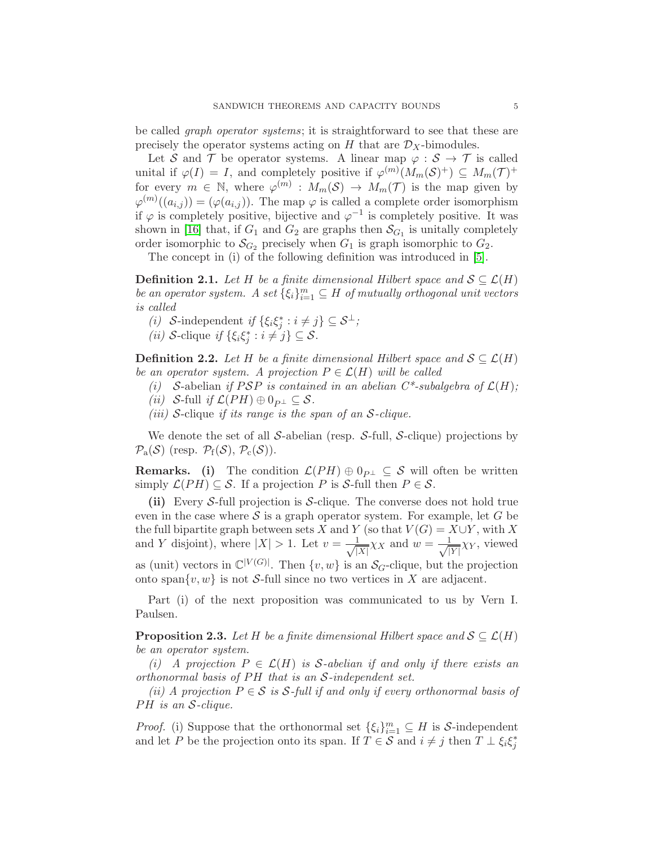be called *graph operator systems*; it is straightforward to see that these are precisely the operator systems acting on  $H$  that are  $\mathcal{D}_X$ -bimodules.

Let S and T be operator systems. A linear map  $\varphi : \mathcal{S} \to \mathcal{T}$  is called unital if  $\varphi(I) = I$ , and completely positive if  $\varphi^{(m)}(M_m(\mathcal{S})^+) \subseteq M_m(\mathcal{T})^+$ for every  $m \in \mathbb{N}$ , where  $\varphi^{(m)} : M_m(\mathcal{S}) \to M_m(\mathcal{T})$  is the map given by  $\varphi^{(m)}((a_{i,j})) = (\varphi(a_{i,j}))$ . The map  $\varphi$  is called a complete order isomorphism if  $\varphi$  is completely positive, bijective and  $\varphi^{-1}$  is completely positive. It was shown in [\[16\]](#page-33-8) that, if  $G_1$  and  $G_2$  are graphs then  $\mathcal{S}_{G_1}$  is unitally completely order isomorphic to  $\mathcal{S}_{G_2}$  precisely when  $G_1$  is graph isomorphic to  $G_2$ .

The concept in (i) of the following definition was introduced in [\[5\]](#page-33-1).

**Definition 2.1.** *Let* H *be a finite dimensional Hilbert space and*  $S \subseteq \mathcal{L}(H)$ *be an operator system.* A set  $\{\xi_i\}_{i=1}^m \subseteq H$  *of mutually orthogonal unit vectors is called*

- *(i)* S-independent *if*  $\{\xi_i \xi_j^* : i \neq j\} \subseteq S^{\perp}$ ;
- (*ii*) S-clique *if*  $\{\xi_i \xi_j^* : i \neq j\} \subseteq S$ .

<span id="page-4-1"></span>**Definition 2.2.** *Let* H *be a finite dimensional Hilbert space and*  $S \subseteq \mathcal{L}(H)$ *be an operator system.* A projection  $P \in \mathcal{L}(H)$  will be called

*(i)* S-abelian *if* PSP *is contained in an abelian*  $C^*$ -subalgebra of  $\mathcal{L}(H)$ ;

- *(ii)* S-full *if*  $\mathcal{L}(PH) \oplus 0_{P^{\perp}} \subseteq \mathcal{S}$ .
- *(iii)* S-clique *if its range is the span of an* S*-clique.*

We denote the set of all S-abelian (resp. S-full, S-clique) projections by  $\mathcal{P}_{a}(\mathcal{S})$  (resp.  $\mathcal{P}_{f}(\mathcal{S}), \mathcal{P}_{c}(\mathcal{S})$ ).

**Remarks.** (i) The condition  $\mathcal{L}(PH) \oplus 0_{P^{\perp}} \subseteq \mathcal{S}$  will often be written simply  $\mathcal{L}(PH) \subseteq \mathcal{S}$ . If a projection P is S-full then  $P \in \mathcal{S}$ .

(ii) Every S-full projection is S-clique. The converse does not hold true even in the case where  $\mathcal S$  is a graph operator system. For example, let G be the full bipartite graph between sets X and Y (so that  $V(G) = X \cup Y$ , with X and Y disjoint), where  $|X| > 1$ . Let  $v = \frac{1}{\sqrt{1}}$  $\frac{1}{|X|}\chi_X$  and  $w = \frac{1}{\sqrt{|X|}}$  $\frac{1}{|Y|}\chi_Y$ , viewed as (unit) vectors in  $\mathbb{C}^{|V(G)|}$ . Then  $\{v, w\}$  is an  $\mathcal{S}_G$ -clique, but the projection onto span $\{v, w\}$  is not S-full since no two vertices in X are adjacent.

Part (i) of the next proposition was communicated to us by Vern I. Paulsen.

<span id="page-4-0"></span>**Proposition 2.3.** Let H be a finite dimensional Hilbert space and  $\mathcal{S} \subseteq \mathcal{L}(H)$ *be an operator system.*

*(i)* A projection  $P \in \mathcal{L}(H)$  is S-abelian if and only if there exists an *orthonormal basis of PH that is an S-independent set.* 

*(ii)* A projection  $P \in \mathcal{S}$  *is*  $\mathcal{S}$ -full if and only if every orthonormal basis of PH is an S-clique.

*Proof.* (i) Suppose that the orthonormal set  $\{\xi_i\}_{i=1}^m \subseteq H$  is S-independent and let P be the projection onto its span. If  $T \in \mathcal{S}$  and  $i \neq j$  then  $T \perp \xi_i \xi_j^*$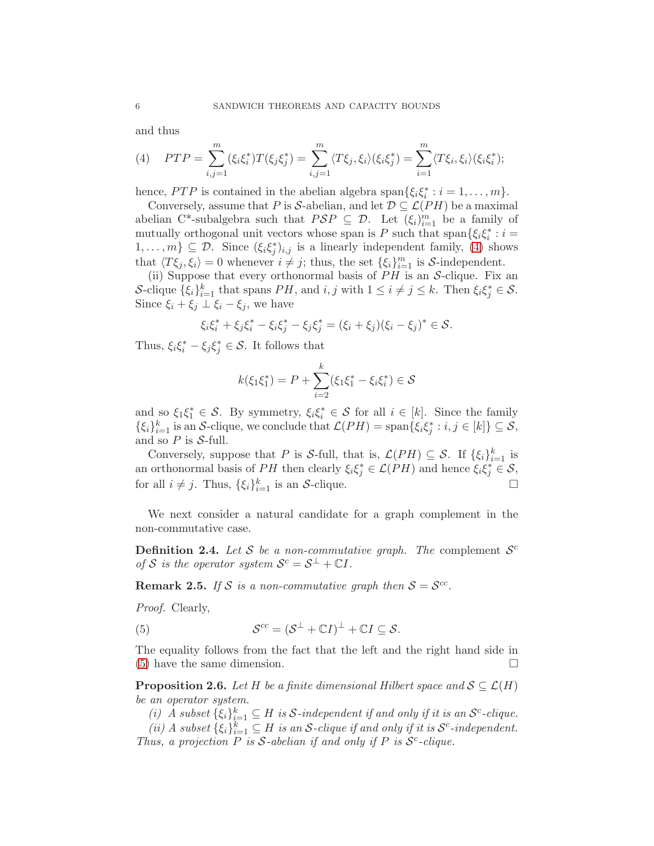and thus

<span id="page-5-0"></span>(4) 
$$
PTP = \sum_{i,j=1}^{m} (\xi_i \xi_i^*) T(\xi_j \xi_j^*) = \sum_{i,j=1}^{m} \langle T\xi_j, \xi_i \rangle (\xi_i \xi_j^*) = \sum_{i=1}^{m} \langle T\xi_i, \xi_i \rangle (\xi_i \xi_i^*);
$$

hence,  $PTP$  is contained in the abelian algebra span $\{\xi_i\xi_i^*: i = 1, \ldots, m\}.$ 

Conversely, assume that P is S-abelian, and let  $\mathcal{D} \subseteq \mathcal{L}(PH)$  be a maximal abelian C<sup>\*</sup>-subalgebra such that  $PSP \subseteq \mathcal{D}$ . Let  $(\xi_i)_{i=1}^m$  be a family of mutually orthogonal unit vectors whose span is P such that span $\{\xi_i\xi_i^*: i =$  $1, \ldots, m\} \subseteq \mathcal{D}$ . Since  $(\xi_i \xi_j^*)_{i,j}$  is a linearly independent family, [\(4\)](#page-5-0) shows that  $\langle T\xi_j, \xi_i \rangle = 0$  whenever  $i \neq j$ ; thus, the set  $\{\xi_i\}_{i=1}^m$  is S-independent.

(ii) Suppose that every orthonormal basis of  $PH$  is an S-clique. Fix an S-clique  $\{\xi_i\}_{i=1}^k$  that spans  $PH$ , and  $i, j$  with  $1 \leq i \neq j \leq k$ . Then  $\xi_i \xi_j^* \in \mathcal{S}$ . Since  $\xi_i + \xi_j \perp \xi_i - \xi_j$ , we have

$$
\xi_i \xi_i^* + \xi_j \xi_i^* - \xi_i \xi_j^* - \xi_j \xi_j^* = (\xi_i + \xi_j)(\xi_i - \xi_j)^* \in \mathcal{S}.
$$

Thus,  $\xi_i \xi_i^* - \xi_j \xi_j^* \in \mathcal{S}$ . It follows that

$$
k(\xi_1 \xi_1^*) = P + \sum_{i=2}^k (\xi_1 \xi_1^* - \xi_i \xi_i^*) \in \mathcal{S}
$$

and so  $\xi_1 \xi_1^* \in \mathcal{S}$ . By symmetry,  $\xi_i \xi_i^* \in \mathcal{S}$  for all  $i \in [k]$ . Since the family  $\{\xi_i\}_{i=1}^k$  is an S-clique, we conclude that  $\mathcal{L}(PH) = \text{span}\{\xi_i \xi_j^* : i, j \in [k]\} \subseteq \mathcal{S}$ , and so  $P$  is  $S$ -full.

Conversely, suppose that P is S-full, that is,  $\mathcal{L}(PH) \subseteq \mathcal{S}$ . If  $\{\xi_i\}_{i=1}^k$  is an orthonormal basis of PH then clearly  $\xi_i \xi_j^* \in \mathcal{L}(PH)$  and hence  $\xi_i \xi_j^* \in \mathcal{S}$ , for all  $i \neq j$ . Thus,  $\{\xi_i\}_{i=1}^k$  is an S-clique.

We next consider a natural candidate for a graph complement in the non-commutative case.

**Definition 2.4.** Let S be a non-commutative graph. The complement  $S^c$ *of*  $S$  *is the operator system*  $S^c = S^{\perp} + \mathbb{C}I$ *.* 

<span id="page-5-2"></span>**Remark 2.5.** If S is a non-commutative graph then  $S = S^{cc}$ .

*Proof.* Clearly,

<span id="page-5-1"></span>(5) 
$$
\mathcal{S}^{cc} = (\mathcal{S}^{\perp} + \mathbb{C}I)^{\perp} + \mathbb{C}I \subseteq \mathcal{S}.
$$

The equality follows from the fact that the left and the right hand side in [\(5\)](#page-5-1) have the same dimension.

<span id="page-5-3"></span>**Proposition 2.6.** *Let*  $H$  *be a finite dimensional Hilbert space and*  $S \subseteq \mathcal{L}(H)$ *be an operator system.*

*(i) A* subset  $\{\xi_i\}_{i=1}^k \subseteq H$  *is*  $S$ -independent if and only if it is an  $S^c$ -clique.

(*ii*) *A* subset  $\{\xi_i\}_{i=1}^k \subseteq H$  *is an S*-clique if and only if it is  $S^c$ -independent. *Thus, a projection*  $\overline{P}$  *is*  $S$ -*abelian if and only if*  $P$  *is*  $S$ <sup>*c*</sup>-*clique.*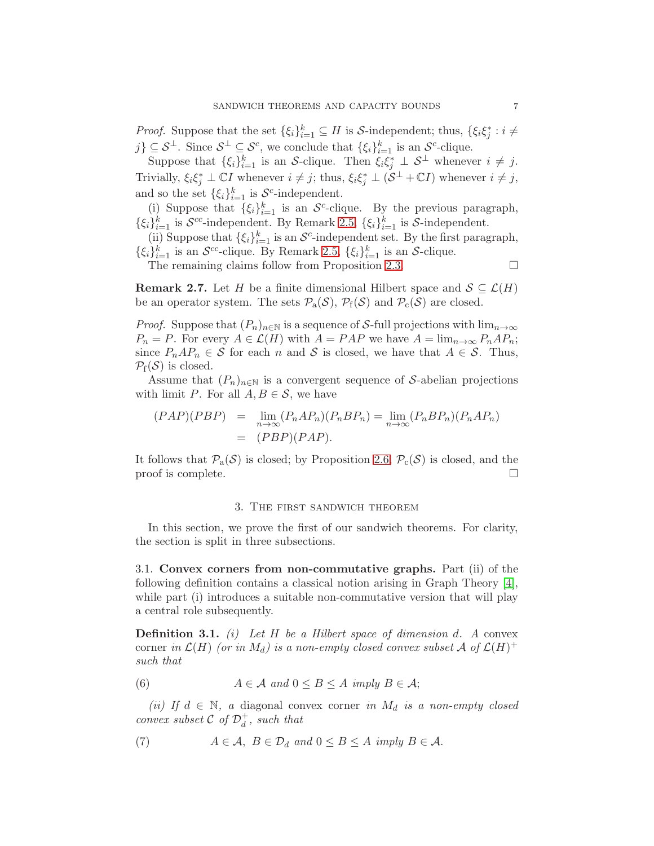*Proof.* Suppose that the set  $\{\xi_i\}_{i=1}^k \subseteq H$  is S-independent; thus,  $\{\xi_i \xi_j^* : i \neq j\}$  $j\} \subseteq S^{\perp}$ . Since  $S^{\perp} \subseteq S^c$ , we conclude that  $\{\xi_i\}_{i=1}^k$  is an  $S^c$ -clique.

Suppose that  $\{\xi_i\}_{i=1}^k$  is an S-clique. Then  $\xi_i \xi_j^* \perp \mathcal{S}^{\perp}$  whenever  $i \neq j$ . Trivially,  $\xi_i \xi_j^* \perp \mathbb{C}I$  whenever  $i \neq j$ ; thus,  $\xi_i \xi_j^* \perp (\mathcal{S}^{\perp} + \mathbb{C}I)$  whenever  $i \neq j$ , and so the set  $\{\xi_i\}_{i=1}^k$  is  $S^c$ -independent.

(i) Suppose that  $\{\xi_i\}_{i=1}^k$  is an  $\mathcal{S}^c$ -clique. By the previous paragraph,  $\{\xi_i\}_{i=1}^k$  is  $\mathcal{S}^{cc}$ -independent. By Remark [2.5,](#page-5-2)  $\{\xi_i\}_{i=1}^k$  is  $\mathcal{S}$ -independent.

(ii) Suppose that  $\{\xi_i\}_{i=1}^k$  is an  $\mathcal{S}^c$ -independent set. By the first paragraph,  $\{\xi_i\}_{i=1}^k$  is an  $\mathcal{S}^{cc}$ -clique. By Remark [2.5,](#page-5-2)  $\{\xi_i\}_{i=1}^k$  is an  $\mathcal{S}$ -clique.

The remaining claims follow from Proposition [2.3.](#page-4-0)  $\Box$ 

<span id="page-6-4"></span>**Remark 2.7.** Let H be a finite dimensional Hilbert space and  $S \subseteq \mathcal{L}(H)$ be an operator system. The sets  $\mathcal{P}_a(\mathcal{S})$ ,  $\mathcal{P}_f(\mathcal{S})$  and  $\mathcal{P}_c(\mathcal{S})$  are closed.

*Proof.* Suppose that  $(P_n)_{n\in\mathbb{N}}$  is a sequence of S-full projections with  $\lim_{n\to\infty}$  $P_n = P$ . For every  $A \in \mathcal{L}(H)$  with  $A = PAP$  we have  $A = \lim_{n \to \infty} P_n A P_n$ ; since  $P_nAP_n \in \mathcal{S}$  for each n and  $\mathcal{S}$  is closed, we have that  $A \in \mathcal{S}$ . Thus,  $\mathcal{P}_{f}(\mathcal{S})$  is closed.

Assume that  $(P_n)_{n\in\mathbb{N}}$  is a convergent sequence of S-abelian projections with limit P. For all  $A, B \in \mathcal{S}$ , we have

$$
(PAP)(PBP) = \lim_{n \to \infty} (P_n A P_n)(P_n B P_n) = \lim_{n \to \infty} (P_n B P_n)(P_n A P_n)
$$

$$
= (PBP)(PAP).
$$

It follows that  $\mathcal{P}_a(\mathcal{S})$  is closed; by Proposition [2.6,](#page-5-3)  $\mathcal{P}_c(\mathcal{S})$  is closed, and the proof is complete. proof is complete.

#### 3. The first sandwich theorem

<span id="page-6-0"></span>In this section, we prove the first of our sandwich theorems. For clarity, the section is split in three subsections.

<span id="page-6-1"></span>3.1. Convex corners from non-commutative graphs. Part (ii) of the following definition contains a classical notion arising in Graph Theory [\[4\]](#page-33-7), while part (i) introduces a suitable non-commutative version that will play a central role subsequently.

Definition 3.1. *(i) Let* H *be a Hilbert space of dimension* d*. A* convex corner *in*  $\mathcal{L}(H)$  *(or in*  $M_d$ *) is a non-empty closed convex subset*  $\mathcal{A}$  *of*  $\mathcal{L}(H)^+$ *such that*

<span id="page-6-2"></span>(6) 
$$
A \in \mathcal{A} \text{ and } 0 \leq B \leq A \text{ imply } B \in \mathcal{A};
$$

*(ii)* If  $d \in \mathbb{N}$ , a diagonal convex corner *in*  $M_d$  *is a non-empty closed convex subset*  $\mathcal{C}$  *of*  $\mathcal{D}_d^+$  $\frac{1}{d}$ *, such that* 

<span id="page-6-3"></span>(7) 
$$
A \in \mathcal{A}, B \in \mathcal{D}_d
$$
 and  $0 \le B \le A$  imply  $B \in \mathcal{A}$ .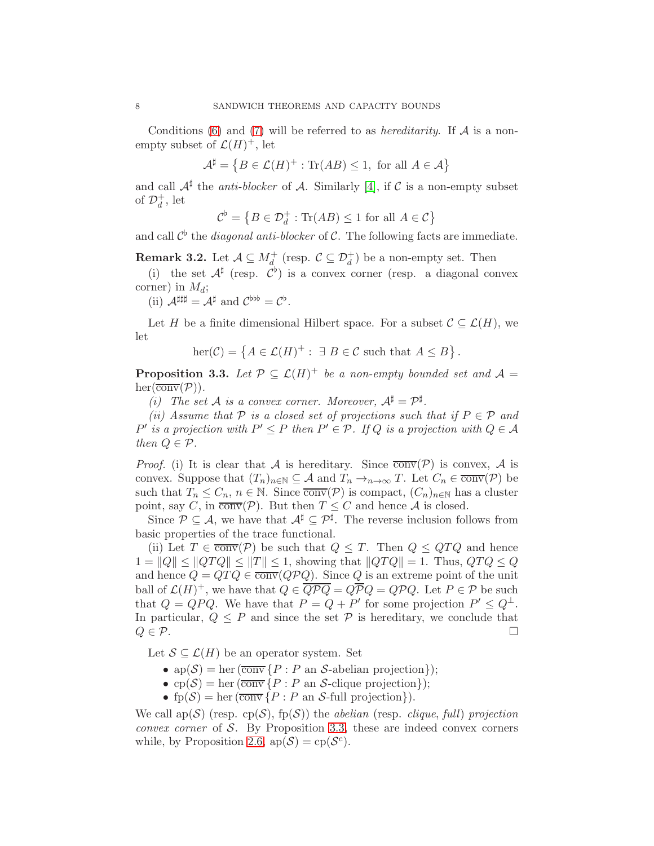Conditions [\(6\)](#page-6-2) and [\(7\)](#page-6-3) will be referred to as *hereditarity*. If A is a nonempty subset of  $\mathcal{L}(H)^+$ , let

$$
\mathcal{A}^{\sharp} = \left\{ B \in \mathcal{L}(H)^{+} : \text{Tr}(AB) \le 1, \text{ for all } A \in \mathcal{A} \right\}
$$

and call  $\mathcal{A}^{\sharp}$  the *anti-blocker* of  $\mathcal{A}$ . Similarly [\[4\]](#page-33-7), if  $\mathcal{C}$  is a non-empty subset of  $\mathcal{D}_d^+$  $_d^+$ , let

$$
\mathcal{C}^{\flat} = \left\{ B \in \mathcal{D}_d^+ : \text{Tr}(AB) \le 1 \text{ for all } A \in \mathcal{C} \right\}
$$

and call  $\mathcal{C}^{\flat}$  the *diagonal anti-blocker* of  $\mathcal{C}$ . The following facts are immediate.

<span id="page-7-1"></span>**Remark 3.2.** Let  $\mathcal{A} \subseteq M_d^+$  (resp.  $\mathcal{C} \subseteq \mathcal{D}_d^+$ ) be a non-empty set. Then

(i) the set  $\mathcal{A}^{\sharp}$  (resp.  $\mathcal{C}^{\flat}$ ) is a convex corner (resp. a diagonal convex corner) in  $M_d$ ;

(ii)  $\mathcal{A}^{\sharp\sharp\sharp} = \mathcal{A}^{\sharp}$  and  $\mathcal{C}^{\flat\flat} = \mathcal{C}^{\flat}$ .

Let H be a finite dimensional Hilbert space. For a subset  $\mathcal{C} \subseteq \mathcal{L}(H)$ , we let

$$
\ker(\mathcal{C}) = \left\{ A \in \mathcal{L}(H)^+ : \ \exists B \in \mathcal{C} \ \text{such that} \ A \leq B \right\}.
$$

<span id="page-7-0"></span>**Proposition 3.3.** Let  $\mathcal{P} \subseteq \mathcal{L}(H)^+$  be a non-empty bounded set and  $\mathcal{A} =$  $her(\overline{\text{conv}}(\mathcal{P}))$ *.* 

*(i)* The set A is a convex corner. Moreover,  $A^{\sharp} = \mathcal{P}^{\sharp}$ .

*(ii)* Assume that  $P$  *is a closed set of projections such that if*  $P \in \mathcal{P}$  *and*  $P'$  *is a projection with*  $P' \leq P$  *then*  $P' \in \mathcal{P}$ *. If*  $Q$  *is a projection with*  $Q \in \mathcal{A}$ *then*  $Q \in \mathcal{P}$ *.* 

*Proof.* (i) It is clear that A is hereditary. Since  $\overline{conv}(P)$  is convex, A is convex. Suppose that  $(T_n)_{n\in\mathbb{N}}\subseteq A$  and  $T_n\to_{n\to\infty} T$ . Let  $C_n\in\overline{\text{conv}}(\mathcal{P})$  be such that  $T_n \leq C_n$ ,  $n \in \mathbb{N}$ . Since  $\overline{conv}(\mathcal{P})$  is compact,  $(C_n)_{n \in \mathbb{N}}$  has a cluster point, say C, in  $\overline{conv}(P)$ . But then  $T \leq C$  and hence A is closed.

Since  $\mathcal{P} \subseteq \mathcal{A}$ , we have that  $\mathcal{A}^{\sharp} \subseteq \mathcal{P}^{\sharp}$ . The reverse inclusion follows from basic properties of the trace functional.

(ii) Let  $T \in \overline{conv}(P)$  be such that  $Q \leq T$ . Then  $Q \leq QTQ$  and hence  $1 = |Q| \leq |QTQ| \leq |T| \leq 1$ , showing that  $||QTQ|| = 1$ . Thus,  $QTQ \leq Q$ and hence  $Q = QTQ \in \overline{conv}(QPQ)$ . Since Q is an extreme point of the unit ball of  $\mathcal{L}(H)^+$ , we have that  $Q \in \overline{Q \mathcal{P} Q} = Q \overline{\mathcal{P} Q} = Q \mathcal{P} Q$ . Let  $P \in \mathcal{P}$  be such that  $Q = QPQ$ . We have that  $P = Q + P'$  for some projection  $P' \leq Q^{\perp}$ . In particular,  $Q \leq P$  and since the set  $P$  is hereditary, we conclude that  $Q \in \mathcal{P}$ .  $Q \in \mathcal{P}$ .

Let  $\mathcal{S} \subseteq \mathcal{L}(H)$  be an operator system. Set

- $ap(\mathcal{S}) = her(\overline{conv} \{P : P \text{ an } \mathcal{S}\text{-abelian projection}\});$
- cp(S) = her  $(\overline{\text{conv}}\{P : P \text{ an } S\text{-clique projection}\});$
- fp(S) = her  $(\overline{\text{conv}}\{P : P \text{ an } S\text{-full projection}\}).$

We call  $\text{ap}(\mathcal{S})$  (resp.  $\text{cp}(\mathcal{S})$ ,  $\text{fp}(\mathcal{S})$ ) the *abelian* (resp. *clique*, *full*) projection *convex corner* of S. By Proposition [3.3,](#page-7-0) these are indeed convex corners while, by Proposition [2.6,](#page-5-3)  $ap(S) = cp(S<sup>c</sup>)$ .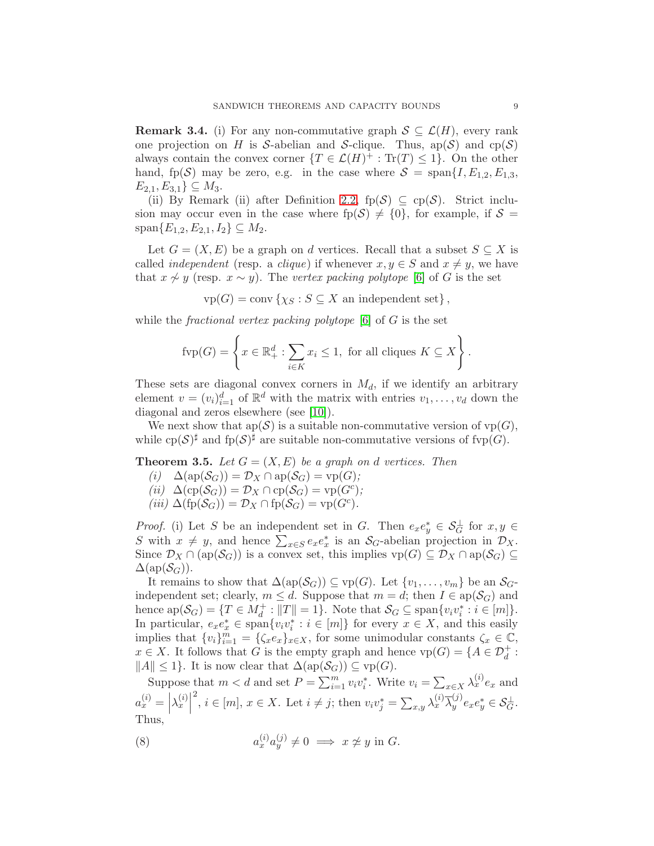<span id="page-8-1"></span>**Remark 3.4.** (i) For any non-commutative graph  $S \subseteq \mathcal{L}(H)$ , every rank one projection on H is S-abelian and S-clique. Thus,  $ap(S)$  and  $cp(S)$ always contain the convex corner  $\{T \in \mathcal{L}(H)^+ : \text{Tr}(T) \leq 1\}$ . On the other hand, fp(S) may be zero, e.g. in the case where  $S = \text{span}\{I, E_{1,2}, E_{1,3},\}$  $E_{2,1}, E_{3,1} \} \subseteq M_3.$ 

(ii) By Remark (ii) after Definition [2.2,](#page-4-1)  $fp(\mathcal{S}) \subseteq cp(\mathcal{S})$ . Strict inclusion may occur even in the case where  $fp(\mathcal{S}) \neq \{0\}$ , for example, if  $\mathcal{S} =$  $span{E_{1,2}, E_{2,1}, I_2} \subseteq M_2.$ 

Let  $G = (X, E)$  be a graph on d vertices. Recall that a subset  $S \subseteq X$  is called *independent* (resp. a *clique*) if whenever  $x, y \in S$  and  $x \neq y$ , we have that  $x \nsim y$  (resp.  $x \sim y$ ). The *vertex packing polytope* [\[6\]](#page-33-5) of G is the set

 $\text{vp}(G) = \text{conv} \left\{ \chi_S : S \subseteq X \right.$  an independent set },

while the *fractional vertex packing polytope* [\[6\]](#page-33-5) of G is the set

$$
\text{fvp}(G) = \left\{ x \in \mathbb{R}_+^d : \sum_{i \in K} x_i \le 1, \text{ for all cliques } K \subseteq X \right\}.
$$

These sets are diagonal convex corners in  $M_d$ , if we identify an arbitrary element  $v = (v_i)_{i=1}^d$  of  $\mathbb{R}^d$  with the matrix with entries  $v_1, \ldots, v_d$  down the diagonal and zeros elsewhere (see [\[10\]](#page-33-6)).

We next show that  $ap(S)$  is a suitable non-commutative version of  $vp(G)$ , while  $cp(S)^{\sharp}$  and  $fp(S)^{\sharp}$  are suitable non-commutative versions of fvp $(G)$ .

<span id="page-8-2"></span>**Theorem 3.5.** Let  $G = (X, E)$  be a graph on d vertices. Then

- $(i)$   $\Delta(\text{ap}(\mathcal{S}_G)) = \mathcal{D}_X \cap \text{ap}(\mathcal{S}_G) = \text{vp}(G);$  $(iii)$   $\Delta(\text{cp}(\mathcal{S}_G)) = \mathcal{D}_X \cap \text{cp}(\mathcal{S}_G) = \text{vp}(G^c);$
- $(iii) \Delta(fp(S_G)) = \mathcal{D}_X \cap fp(S_G) = vp(G^c).$

*Proof.* (i) Let S be an independent set in G. Then  $e_x e_y^* \in \mathcal{S}_G^{\perp}$  for  $x, y \in$ S with  $x \neq y$ , and hence  $\sum_{x \in S} e_x e_x^*$  is an  $S_G$ -abelian projection in  $\mathcal{D}_X$ . Since  $\mathcal{D}_X \cap (\text{ap}(\mathcal{S}_G))$  is a convex set, this implies  $\text{vp}(G) \subseteq \mathcal{D}_X \cap \text{ap}(\mathcal{S}_G) \subseteq$  $\Delta(\text{ap}(\mathcal{S}_G))$ .

It remains to show that  $\Delta(ap(\mathcal{S}_G)) \subseteq vp(G)$ . Let  $\{v_1, \ldots, v_m\}$  be an  $\mathcal{S}_G$ independent set; clearly,  $m \leq d$ . Suppose that  $m = d$ ; then  $I \in \text{ap}(\mathcal{S}_G)$  and hence  $ap(S_G) = \{T \in M_d^+ : ||T|| = 1\}$ . Note that  $S_G \subseteq \text{span}\{v_i v_i^* : i \in [m]\}.$ In particular,  $e_x e_x^* \in \text{span}\{v_i v_i^* : i \in [m]\}$  for every  $x \in X$ , and this easily implies that  $\{v_i\}_{i=1}^m = \{\zeta_x e_x\}_{x \in X}$ , for some unimodular constants  $\zeta_x \in \mathbb{C}$ ,  $x \in X$ . It follows that G is the empty graph and hence  $vp(G) = \{A \in \mathcal{D}_d^+ :$  $||A|| \leq 1$ . It is now clear that  $\Delta(\text{ap}(\mathcal{S}_G)) \subseteq \text{vp}(G)$ .

Suppose that  $m < d$  and set  $P = \sum_{i=1}^{m} v_i v_i^*$ . Write  $v_i = \sum_{x \in X} \lambda_x^{(i)} e_x$  and  $a_x^{(i)} = \left| \lambda_x^{(i)} \right|$ <sup>2</sup>, *i*  $\in$  [*m*], *x*  $\in$  *X*. Let *i*  $\neq$  *j*; then  $v_i v_j^* = \sum_{x,y} \lambda_x^{(i)} \overline{\lambda}_y^{(j)}$  $y^{\cup}e_xe_y^* \in \mathcal{S}_G^{\perp}.$ Thus,

<span id="page-8-0"></span>(8) 
$$
a_x^{(i)} a_y^{(j)} \neq 0 \implies x \neq y \text{ in } G.
$$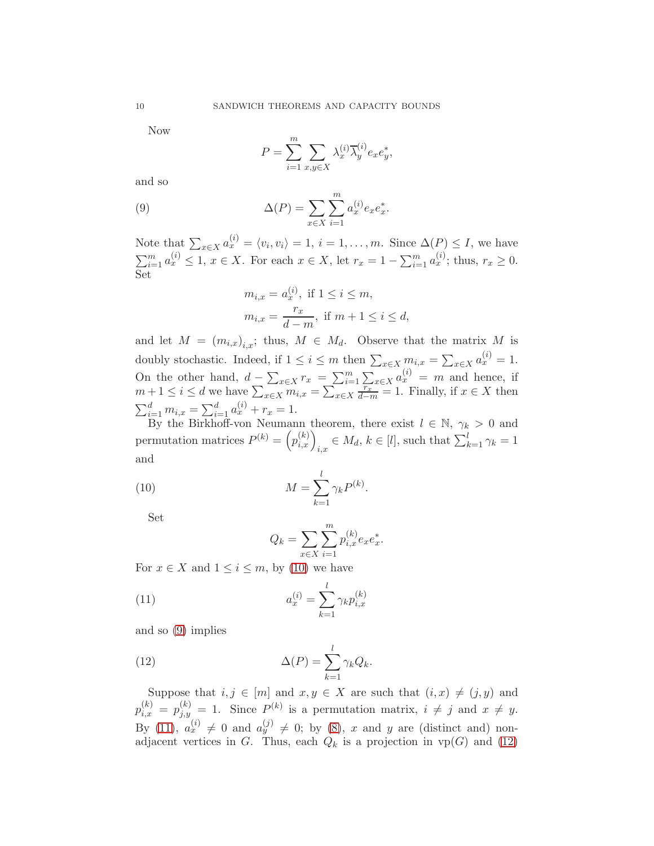Now

<span id="page-9-1"></span>
$$
P = \sum_{i=1}^{m} \sum_{x,y \in X} \lambda_x^{(i)} \overline{\lambda}_y^{(i)} e_x e_y^*,
$$

and so

(9) 
$$
\Delta(P) = \sum_{x \in X} \sum_{i=1}^{m} a_x^{(i)} e_x e_x^*.
$$

Note that  $\sum_{x \in X} a_x^{(i)} = \langle v_i, v_i \rangle = 1, i = 1, \ldots, m$ . Since  $\Delta(P) \leq I$ , we have  $\sum_{i=1}^{m} a_x^{(i)} \leq 1, x \in X$ . For each  $x \in X$ , let  $r_x = 1 - \sum_{i=1}^{m} a_x^{(i)}$ ; thus,  $r_x \geq 0$ . Set

$$
m_{i,x} = a_x^{(i)}, \text{ if } 1 \le i \le m,
$$
  

$$
m_{i,x} = \frac{r_x}{d-m}, \text{ if } m+1 \le i \le d,
$$

and let  $M = (m_{i,x})_{i,x}$ ; thus,  $M \in M_d$ . Observe that the matrix M is doubly stochastic. Indeed, if  $1 \leq i \leq m$  then  $\sum_{x \in X} m_{i,x} = \sum_{x \in X} a_x^{(i)} = 1$ . On the other hand,  $d - \sum_{x \in X} r_x = \sum_{i=1}^m \sum_{x \in X} a_x^{(i)} = m$  and hence, if  $m+1 \leq i \leq d$  we have  $\sum_{x \in X} \overline{m}_{i,x} = \sum_{x \in X} \overline{\frac{r_x}{d-m}} = 1$ . Finally, if  $x \in X$  then  $\sum_{i=1}^{d} m_{i,x} = \sum_{i=1}^{d} a_x^{(i)} + r_x = 1.$ 

By the Birkhoff-von Neumann theorem, there exist  $l \in \mathbb{N}$ ,  $\gamma_k > 0$  and permutation matrices  $P^{(k)} = (p_{i,x}^{(k)})_{i,x} \in M_d$ ,  $k \in [l]$ , such that  $\sum_{k=1}^{l} \gamma_k = 1$ and

(10) 
$$
M = \sum_{k=1}^{l} \gamma_k P^{(k)}.
$$

Set

<span id="page-9-3"></span><span id="page-9-2"></span><span id="page-9-0"></span>
$$
Q_k = \sum_{x \in X} \sum_{i=1}^m p_{i,x}^{(k)} e_x e_x^*.
$$

For  $x \in X$  and  $1 \leq i \leq m$ , by [\(10\)](#page-9-0) we have

(11) 
$$
a_x^{(i)} = \sum_{k=1}^{l} \gamma_k p_{i,x}^{(k)}
$$

and so [\(9\)](#page-9-1) implies

(12) 
$$
\Delta(P) = \sum_{k=1}^{l} \gamma_k Q_k.
$$

Suppose that  $i, j \in [m]$  and  $x, y \in X$  are such that  $(i, x) \neq (j, y)$  and  $p_{i,x}^{(k)} = p_{j,y}^{(k)} = 1$ . Since  $P^{(k)}$  is a permutation matrix,  $i \neq j$  and  $x \neq y$ . By [\(11\)](#page-9-2),  $a_x^{(i)} \neq 0$  and  $a_y^{(j)} \neq 0$ ; by [\(8\)](#page-8-0), x and y are (distinct and) nonadjacent vertices in G. Thus, each  $Q_k$  is a projection in  $vp(G)$  and [\(12\)](#page-9-3)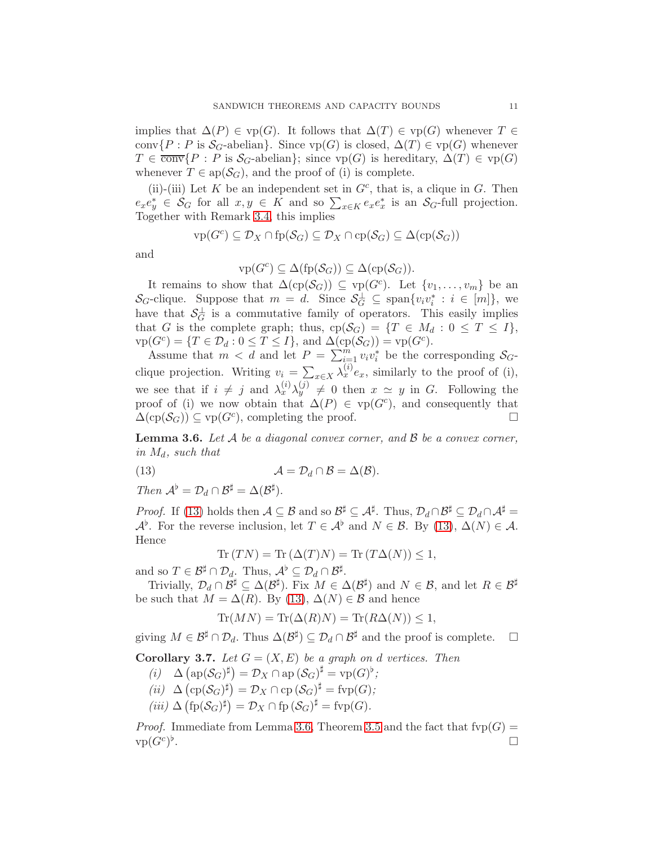implies that  $\Delta(P) \in \text{vp}(G)$ . It follows that  $\Delta(T) \in \text{vp}(G)$  whenever  $T \in$ conv $\{P : P \text{ is } S_G\text{-abelian}\}.$  Since  $vp(G)$  is closed,  $\Delta(T) \in vp(G)$  whenever  $T \in \overline{\text{conv}}\{P : P \text{ is } S_G\text{-abelian}\};\text{ since } \text{vp}(G) \text{ is hereditary, } \Delta(T) \in \text{vp}(G)$ whenever  $T \in ap(\mathcal{S}_G)$ , and the proof of (i) is complete.

(ii)-(iii) Let K be an independent set in  $G<sup>c</sup>$ , that is, a clique in G. Then  $e_x e_y^* \in \mathcal{S}_G$  for all  $x, y \in K$  and so  $\sum_{x \in K} e_x e_x^*$  is an  $\mathcal{S}_G$ -full projection. Together with Remark [3.4,](#page-8-1) this implies

$$
\text{vp}(G^c) \subseteq \mathcal{D}_X \cap \text{fp}(\mathcal{S}_G) \subseteq \mathcal{D}_X \cap \text{cp}(\mathcal{S}_G) \subseteq \Delta(\text{cp}(\mathcal{S}_G))
$$

and

$$
\text{vp}(G^c) \subseteq \Delta(\text{fp}(\mathcal{S}_G)) \subseteq \Delta(\text{cp}(\mathcal{S}_G)).
$$

It remains to show that  $\Delta({\rm cp}(\mathcal{S}_G)) \subseteq {\rm vp}(G^c)$ . Let  $\{v_1, \ldots, v_m\}$  be an  $\mathcal{S}_G$ -clique. Suppose that  $m = d$ . Since  $\mathcal{S}_G^{\perp} \subseteq \text{span}\{v_i v_i^* : i \in [m]\},\$ have that  $\mathcal{S}_G^{\perp}$  is a commutative family of operators. This easily implies that G is the complete graph; thus,  $cp(\mathcal{S}_G) = \{T \in M_d : 0 \leq T \leq I\},\$  $\text{vp}(G^c) = \{T \in \mathcal{D}_d : 0 \le T \le I\},\$ and  $\Delta(\text{cp}(\mathcal{S}_G)) = \text{vp}(G^c).$ 

Assume that  $m < d$  and let  $P = \sum_{i=1}^{m} v_i v_i^*$  be the corresponding  $S_G$ clique projection. Writing  $v_i = \sum_{x \in X} \lambda_x^{(i)} e_x$ , similarly to the proof of (i), we see that if  $i \neq j$  and  $\lambda_x^{(i)} \lambda_y^{(j)} \neq 0$  then  $x \simeq y$  in G. Following the proof of (i) we now obtain that  $\Delta(P) \in \text{vp}(G^c)$ , and consequently that  $\Delta(\text{cp}(\mathcal{S}_G)) \subseteq \text{vp}(G^c)$ , completing the proof.

<span id="page-10-1"></span>Lemma 3.6. *Let* A *be a diagonal convex corner, and* B *be a convex corner, in*  $M_d$ *, such that* 

(13) 
$$
\mathcal{A} = \mathcal{D}_d \cap \mathcal{B} = \Delta(\mathcal{B}).
$$

*Then*  $\mathcal{A}^{\flat} = \mathcal{D}_d \cap \mathcal{B}^{\sharp} = \Delta(\mathcal{B}^{\sharp}).$ 

*Proof.* If [\(13\)](#page-10-0) holds then  $A \subseteq B$  and so  $B^{\sharp} \subseteq A^{\sharp}$ . Thus,  $\mathcal{D}_d \cap B^{\sharp} \subseteq \mathcal{D}_d \cap A^{\sharp} =$  $\mathcal{A}^{\flat}$ . For the reverse inclusion, let  $T \in \mathcal{A}^{\flat}$  and  $N \in \mathcal{B}$ . By [\(13\)](#page-10-0),  $\Delta(N) \in \mathcal{A}$ . Hence

<span id="page-10-0"></span>
$$
\operatorname{Tr}(TN) = \operatorname{Tr}(\Delta(T)N) = \operatorname{Tr}(T\Delta(N)) \le 1,
$$

and so  $T \in \mathcal{B}^{\sharp} \cap \mathcal{D}_{d}$ . Thus,  $\mathcal{A}^{\flat} \subseteq \mathcal{D}_{d} \cap \mathcal{B}^{\sharp}$ .

Trivially,  $\mathcal{D}_d \cap \mathcal{B}^{\sharp} \subseteq \Delta(\mathcal{B}^{\sharp})$ . Fix  $M \in \Delta(\mathcal{B}^{\sharp})$  and  $N \in \mathcal{B}$ , and let  $R \in \mathcal{B}^{\sharp}$ be such that  $M = \Delta(R)$ . By [\(13\)](#page-10-0),  $\Delta(N) \in \mathcal{B}$  and hence

$$
\operatorname{Tr}(MN) = \operatorname{Tr}(\Delta(R)N) = \operatorname{Tr}(R\Delta(N)) \le 1,
$$

giving  $M \in \mathcal{B}^{\sharp} \cap \mathcal{D}_d$ . Thus  $\Delta(\mathcal{B}^{\sharp}) \subseteq \mathcal{D}_d \cap \mathcal{B}^{\sharp}$  and the proof is complete.  $\Box$ 

<span id="page-10-2"></span>**Corollary 3.7.** Let  $G = (X, E)$  be a graph on d vertices. Then

- $(i)$   $\Delta \left( {\rm ap}(\mathcal{S}_G)^\sharp \right) = \mathcal{D}_X \cap {\rm ap} \left( \mathcal{S}_G \right)^\sharp = {\rm vp}(G)^\flat;$
- $(iii) \Delta (\text{cp}(\mathcal{S}_G)^{\sharp}) = \mathcal{D}_X \cap \text{cp}(\mathcal{S}_G)^{\sharp} = \text{fvp}(G);$
- $(iii) \Delta (\text{fp}(\mathcal{S}_G)^{\sharp}) = \mathcal{D}_X \cap \text{fp}(\mathcal{S}_G)^{\sharp} = \text{fvp}(G).$

*Proof.* Immediate from Lemma [3.6,](#page-10-1) Theorem [3.5](#page-8-2) and the fact that  $fvp(G)$  =  ${\rm vp}(G^c)^\flat$ .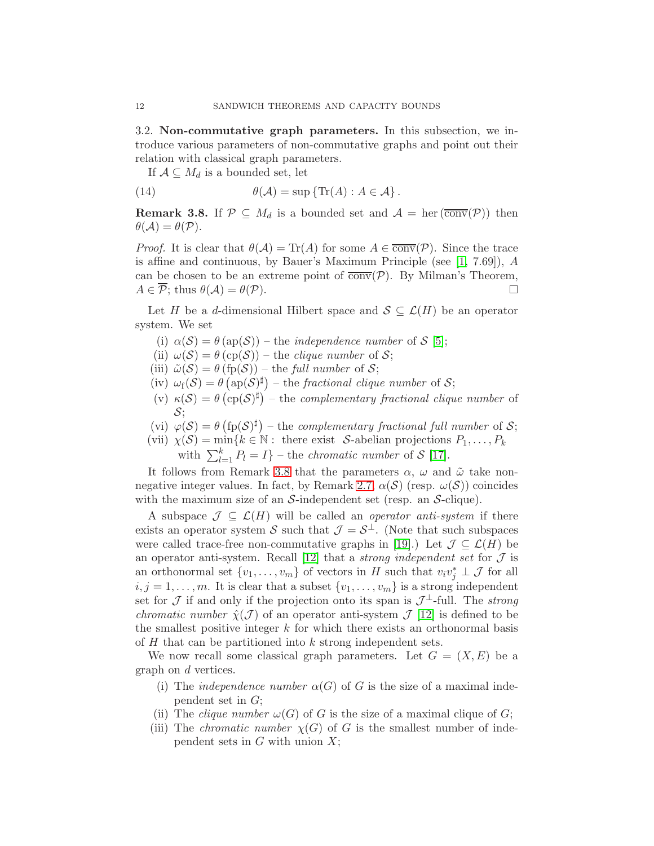<span id="page-11-0"></span>3.2. Non-commutative graph parameters. In this subsection, we introduce various parameters of non-commutative graphs and point out their relation with classical graph parameters.

If  $A \subseteq M_d$  is a bounded set, let

(14) 
$$
\theta(\mathcal{A}) = \sup \{ \text{Tr}(A) : A \in \mathcal{A} \}.
$$

<span id="page-11-1"></span>**Remark 3.8.** If  $\mathcal{P} \subseteq M_d$  is a bounded set and  $\mathcal{A} = \text{her}(\overline{\text{conv}}(\mathcal{P}))$  then  $\theta(\mathcal{A}) = \theta(\mathcal{P}).$ 

*Proof.* It is clear that  $\theta(\mathcal{A}) = \text{Tr}(A)$  for some  $A \in \overline{\text{conv}}(\mathcal{P})$ . Since the trace is affine and continuous, by Bauer's Maximum Principle (see [\[1,](#page-33-11) 7.69]), A can be chosen to be an extreme point of  $\overline{conv}(P)$ . By Milman's Theorem,<br>  $A \in \overline{P}$  thus  $\theta(A) = \theta(P)$  $A \in \overline{\mathcal{P}}$ ; thus  $\theta(\mathcal{A}) = \theta(\mathcal{P})$ .

Let H be a d-dimensional Hilbert space and  $S \subseteq \mathcal{L}(H)$  be an operator system. We set

- (i)  $\alpha(S) = \theta(\text{ap}(S))$  the *independence number* of S [\[5\]](#page-33-1);
- (ii)  $\omega(\mathcal{S}) = \theta$  (cp( $\mathcal{S}$ )) the *clique number* of  $\mathcal{S}$ ;
- (iii)  $\tilde{\omega}(S) = \theta$  (fp(S)) the *full number* of S;
- (iv)  $\omega_f(\mathcal{S}) = \theta\left(\text{ap}(\mathcal{S})^{\sharp}\right)$  the *fractional clique number* of  $\mathcal{S};$
- (v)  $\kappa(S) = \theta \left( \text{cp}(S)^{\sharp} \right)$  the *complementary fractional clique number* of  $S$ ;
- (vi)  $\varphi(S) = \theta \left( \text{fp}(S)^{\sharp} \right)$  the *complementary fractional full number* of S;
- (vii)  $\chi(\mathcal{S}) = \min\{k \in \mathbb{N} : \text{ there exist } \mathcal{S}\text{-abelian projections } P_1, \ldots, P_k\}$

with  $\sum_{l=1}^{k} P_l = I$ } – the *chromatic number* of S [\[17\]](#page-33-12).

It follows from Remark [3.8](#page-11-1) that the parameters  $\alpha$ ,  $\omega$  and  $\tilde{\omega}$  take non-negative integer values. In fact, by Remark [2.7,](#page-6-4)  $\alpha(S)$  (resp.  $\omega(S)$ ) coincides with the maximum size of an  $S$ -independent set (resp. an  $S$ -clique).

A subspace  $\mathcal{J} \subseteq \mathcal{L}(H)$  will be called an *operator anti-system* if there exists an operator system S such that  $\mathcal{J} = \mathcal{S}^{\perp}$ . (Note that such subspaces were called trace-free non-commutative graphs in [\[19\]](#page-33-13).) Let  $\mathcal{J} \subseteq \mathcal{L}(H)$  be an operator anti-system. Recall  $[12]$  that a *strong independent set* for  $\mathcal J$  is an orthonormal set  $\{v_1, \ldots, v_m\}$  of vectors in H such that  $v_i v_j^* \perp \mathcal{J}$  for all  $i, j = 1, \ldots, m$ . It is clear that a subset  $\{v_1, \ldots, v_m\}$  is a strong independent set for  $\mathcal J$  if and only if the projection onto its span is  $\mathcal J^{\perp}$ -full. The *strong chromatic number*  $\hat{\chi}(\mathcal{J})$  of an operator anti-system  $\mathcal{J}$  [\[12\]](#page-33-14) is defined to be the smallest positive integer  $k$  for which there exists an orthonormal basis of H that can be partitioned into k strong independent sets.

We now recall some classical graph parameters. Let  $G = (X, E)$  be a graph on d vertices.

- (i) The *independence number*  $\alpha(G)$  of G is the size of a maximal independent set in G;
- (ii) The *clique number*  $\omega(G)$  of G is the size of a maximal clique of G;
- (iii) The *chromatic number*  $\chi(G)$  of G is the smallest number of independent sets in  $G$  with union  $X$ ;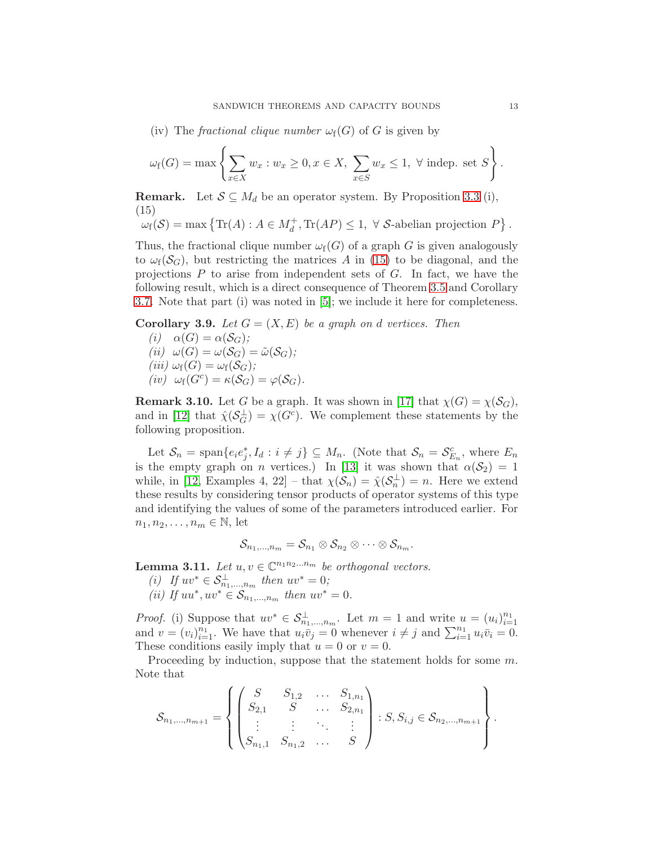(iv) The *fractional clique number*  $\omega_f(G)$  of G is given by

$$
\omega_{\mathbf{f}}(G) = \max \left\{ \sum_{x \in X} w_x : w_x \ge 0, x \in X, \sum_{x \in S} w_x \le 1, \ \forall \text{ indep. set } S \right\}.
$$

**Remark.** Let  $S \subseteq M_d$  be an operator system. By Proposition [3.3](#page-7-0) (i), (15)

<span id="page-12-0"></span>
$$
\omega_{\mathbf{f}}(\mathcal{S}) = \max \left\{ \text{Tr}(A) : A \in M_d^+, \text{Tr}(AP) \le 1, \ \forall \ \mathcal{S}\text{-abelian projection } P \right\}.
$$

Thus, the fractional clique number  $\omega_f(G)$  of a graph G is given analogously to  $\omega_f(\mathcal{S}_G)$ , but restricting the matrices A in [\(15\)](#page-12-0) to be diagonal, and the projections  $P$  to arise from independent sets of  $G$ . In fact, we have the following result, which is a direct consequence of Theorem [3.5](#page-8-2) and Corollary [3.7.](#page-10-2) Note that part (i) was noted in [\[5\]](#page-33-1); we include it here for completeness.

<span id="page-12-2"></span>**Corollary 3.9.** Let  $G = (X, E)$  be a graph on d vertices. Then

 $(i)$   $\alpha(G) = \alpha(S_G)$ ;  $(ii) \omega(G) = \omega(\mathcal{S}_G) = \tilde{\omega}(\mathcal{S}_G);$  $(iii) \omega_f(G) = \omega_f(\mathcal{S}_G)$ ;  $(iv) \omega_f(G^c) = \kappa(S_G) = \varphi(S_G)$ .

<span id="page-12-3"></span>**Remark 3.10.** Let G be a graph. It was shown in [\[17\]](#page-33-12) that  $\chi(G) = \chi(\mathcal{S}_G)$ , and in [\[12\]](#page-33-14) that  $\hat{\chi}(\mathcal{S}_G^{\perp}) = \chi(G^c)$ . We complement these statements by the following proposition.

Let  $S_n = \text{span}\{e_i e_j^*, I_d : i \neq j\} \subseteq M_n$ . (Note that  $S_n = S_{E_n}^c$ , where  $E_n$ is the empty graph on n vertices.) In [\[13\]](#page-33-9) it was shown that  $\alpha(S_2) = 1$ while, in [\[12,](#page-33-14) Examples 4, 22] – that  $\chi(\mathcal{S}_n) = \hat{\chi}(\mathcal{S}_n^{\perp}) = n$ . Here we extend these results by considering tensor products of operator systems of this type and identifying the values of some of the parameters introduced earlier. For  $n_1, n_2, \ldots, n_m \in \mathbb{N}$ , let

$$
\mathcal{S}_{n_1,\dots,n_m}=\mathcal{S}_{n_1}\otimes\mathcal{S}_{n_2}\otimes\cdots\otimes\mathcal{S}_{n_m}.
$$

<span id="page-12-1"></span>**Lemma 3.11.** Let  $u, v \in \mathbb{C}^{n_1 n_2 ... n_m}$  be orthogonal vectors.

- *(i) If*  $uv^* \in S^{\perp}_{n_1,...,n_m}$  then  $uv^* = 0$ ;
- *(ii)* If  $uu^*, uv^* \in S_{n_1,...,n_m}$  then  $uv^* = 0$ .

*Proof.* (i) Suppose that  $uv^* \in S^{\perp}_{n_1,\dots,n_m}$ . Let  $m=1$  and write  $u=(u_i)_{i=1}^{n_1}$  $i=1$ and  $v = (v_i)_{i=1}^{n_1}$ . We have that  $u_i \overline{v}_j = 0$  whenever  $i \neq j$  and  $\sum_{i=1}^{n_1} u_i \overline{v}_i = 0$ . These conditions easily imply that  $u = 0$  or  $v = 0$ .

Proceeding by induction, suppose that the statement holds for some  $m$ . Note that

$$
\mathcal{S}_{n_1,\dots,n_{m+1}} = \left\{ \begin{pmatrix} S & S_{1,2} & \dots & S_{1,n_1} \\ S_{2,1} & S & \dots & S_{2,n_1} \\ \vdots & \vdots & \ddots & \vdots \\ S_{n_1,1} & S_{n_1,2} & \dots & S \end{pmatrix} : S, S_{i,j} \in \mathcal{S}_{n_2,\dots,n_{m+1}} \right\}.
$$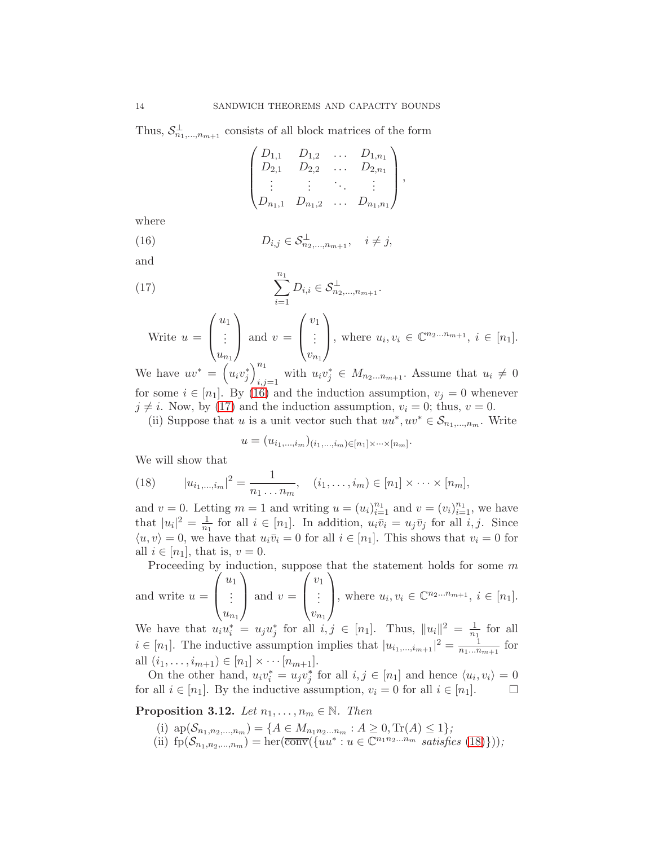Thus,  $S^{\perp}_{n_1,\dots,n_{m+1}}$  consists of all block matrices of the form

<span id="page-13-0"></span>
$$
\begin{pmatrix} D_{1,1} & D_{1,2} & \dots & D_{1,n_1} \\ D_{2,1} & D_{2,2} & \dots & D_{2,n_1} \\ \vdots & \vdots & \ddots & \vdots \\ D_{n_1,1} & D_{n_1,2} & \dots & D_{n_1,n_1} \end{pmatrix},
$$

where

(16) 
$$
D_{i,j} \in \mathcal{S}_{n_2,...,n_{m+1}}^{\perp}, \quad i \neq j,
$$

and

(17) 
$$
\sum_{i=1}^{n_1} D_{i,i} \in \mathcal{S}_{n_2,...,n_{m+1}}^{\perp}.
$$

<span id="page-13-1"></span>Write 
$$
u = \begin{pmatrix} u_1 \\ \vdots \\ u_{n_1} \end{pmatrix}
$$
 and  $v = \begin{pmatrix} v_1 \\ \vdots \\ v_{n_1} \end{pmatrix}$ , where  $u_i, v_i \in \mathbb{C}^{n_2...n_{m+1}}, i \in [n_1]$ .

We have  $uv^* = (u_i v_j^*)_{i,j}^{n_1}$  $u_i, j=1$  with  $u_i v_j^* \in M_{n_2...n_{m+1}}$ . Assume that  $u_i \neq 0$ for some  $i \in [n_1]$ . By [\(16\)](#page-13-0) and the induction assumption,  $v_i = 0$  whenever  $j \neq i$ . Now, by [\(17\)](#page-13-1) and the induction assumption,  $v_i = 0$ ; thus,  $v = 0$ .

(ii) Suppose that u is a unit vector such that  $uu^*, uv^* \in S_{n_1,...,n_m}$ . Write

$$
u = (u_{i_1,\ldots,i_m})_{(i_1,\ldots,i_m)\in[n_1]\times\cdots\times[n_m]}.
$$

We will show that

<span id="page-13-2"></span>(18) 
$$
|u_{i_1,\dots,i_m}|^2 = \frac{1}{n_1 \dots n_m}, \quad (i_1,\dots,i_m) \in [n_1] \times \dots \times [n_m],
$$

and  $v = 0$ . Letting  $m = 1$  and writing  $u = (u_i)_{i=1}^{n_1}$  and  $v = (v_i)_{i=1}^{n_1}$ , we have that  $|u_i|^2 = \frac{1}{n}$  $\frac{1}{n_1}$  for all  $i \in [n_1]$ . In addition,  $u_i\overline{v}_i = u_j\overline{v}_j$  for all  $i, j$ . Since  $\langle u, v \rangle = 0$ , we have that  $u_i \bar{v}_i = 0$  for all  $i \in [n_1]$ . This shows that  $v_i = 0$  for all  $i \in [n_1]$ , that is,  $v = 0$ .

Proceeding by induction, suppose that the statement holds for some  $m$  $\langle u_1 \rangle$  $\langle v_1 \rangle$ 

and write 
$$
u = \begin{pmatrix} \vdots \\ u_{n_1} \end{pmatrix}
$$
 and  $v = \begin{pmatrix} \vdots \\ v_{n_1} \end{pmatrix}$ , where  $u_i, v_i \in \mathbb{C}^{n_2...n_{m+1}}, i \in [n_1]$ .

We have that  $u_i u_i^* = u_j u_j^*$  for all  $i, j \in [n_1]$ . Thus,  $||u_i||^2 = \frac{1}{n_1}$  $\frac{1}{n_1}$  for all  $i \in [n_1]$ . The inductive assumption implies that  $|u_{i_1,\dots,i_{m+1}}|^2 = \frac{1}{n_1...n}$  $\frac{1}{n_1...n_{m+1}}$  for all  $(i_1, \ldots, i_{m+1}) \in [n_1] \times \cdots [n_{m+1}]$ .

On the other hand,  $u_i v_i^* = u_j v_j^*$  for all  $i, j \in [n_1]$  and hence  $\langle u_i, v_i \rangle = 0$ for all  $i \in [n_1]$ . By the inductive assumption,  $v_i = 0$  for all  $i \in [n_1]$ .

<span id="page-13-3"></span>**Proposition 3.12.** *Let*  $n_1, \ldots, n_m \in \mathbb{N}$ *. Then* 

(i)  $\text{ap}(\mathcal{S}_{n_1,n_2,...,n_m}) = \{A \in M_{n_1n_2...n_m} : A \geq 0, \text{Tr}(A) \leq 1\};$ (ii)  $\text{fp}(\mathcal{S}_{n_1,n_2,\ldots,n_m}) = \text{her}(\overline{\text{conv}}(\{uu^* : u \in \mathbb{C}^{n_1n_2\ldots n_m} \text{ satisfies (18)})\});$  $\text{fp}(\mathcal{S}_{n_1,n_2,\ldots,n_m}) = \text{her}(\overline{\text{conv}}(\{uu^* : u \in \mathbb{C}^{n_1n_2\ldots n_m} \text{ satisfies (18)})\});$  $\text{fp}(\mathcal{S}_{n_1,n_2,\ldots,n_m}) = \text{her}(\overline{\text{conv}}(\{uu^* : u \in \mathbb{C}^{n_1n_2\ldots n_m} \text{ satisfies (18)})\});$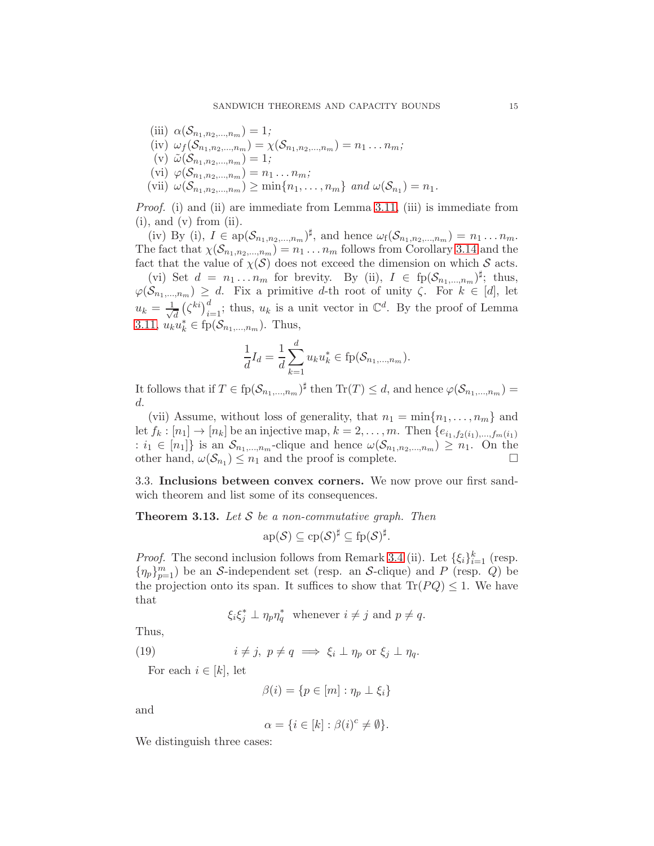(iii)  $\alpha(\mathcal{S}_{n_1,n_2,...,n_m}) = 1;$ (iv)  $\omega_f(\mathcal{S}_{n_1,n_2,...,n_m}) = \chi(\mathcal{S}_{n_1,n_2,...,n_m}) = n_1 \dots n_m;$ (v)  $\tilde{\omega}(\mathcal{S}_{n_1,n_2,...,n_m}) = 1;$ (vi)  $\varphi(\mathcal{S}_{n_1,n_2,...,n_m}) = n_1...n_m;$ (vii)  $\omega(S_{n_1, n_2, ..., n_m}) \ge \min\{n_1, ..., n_m\}$  and  $\omega(S_{n_1}) = n_1$ .

*Proof.* (i) and (ii) are immediate from Lemma [3.11,](#page-12-1) (iii) is immediate from  $(i)$ , and  $(v)$  from  $(ii)$ .

(iv) By (i),  $I \in \mathrm{ap}(\mathcal{S}_{n_1,n_2,\ldots,n_m})^{\sharp}$ , and hence  $\omega_f(\mathcal{S}_{n_1,n_2,\ldots,n_m}) = n_1 \ldots n_m$ . The fact that  $\chi(\mathcal{S}_{n_1,n_2,...,n_m}) = n_1 \dots n_m$  follows from Corollary [3.14](#page-15-0) and the fact that the value of  $\chi(\mathcal{S})$  does not exceed the dimension on which  $\mathcal{S}$  acts.

(vi) Set  $d = n_1 \ldots n_m$  for brevity. By (ii),  $I \in \text{fp}(\mathcal{S}_{n_1,\ldots,n_m})^{\sharp}$ ; thus,  $\varphi(\mathcal{S}_{n_1,...,n_m}) \geq d$ . Fix a primitive d-th root of unity  $\zeta$ . For  $k \in [d]$ , let  $u_k = \frac{1}{\sqrt{2}}$  $\frac{d}{d} (\zeta^{ki})_{i=1}^d$ ; thus,  $u_k$  is a unit vector in  $\mathbb{C}^d$ . By the proof of Lemma [3.11,](#page-12-1)  $u_k u_k^* \in \text{fp}(\mathcal{S}_{n_1,...,n_m})$ . Thus,

$$
\frac{1}{d}I_d = \frac{1}{d} \sum_{k=1}^d u_k u_k^* \in \text{fp}(\mathcal{S}_{n_1,\dots,n_m}).
$$

It follows that if  $T \in \text{fp}(\mathcal{S}_{n_1,...,n_m})^{\sharp}$  then  $\text{Tr}(T) \leq d$ , and hence  $\varphi(\mathcal{S}_{n_1,...,n_m}) =$ d.

(vii) Assume, without loss of generality, that  $n_1 = \min\{n_1, \ldots, n_m\}$  and let  $f_k : [n_1] \to [n_k]$  be an injective map,  $k = 2, \ldots, m$ . Then  $\{e_{i_1, f_2(i_1), \ldots, f_m(i_1)}\}$ :  $i_1 \in [n_1]$  is an  $S_{n_1,...,n_m}$ -clique and hence  $\omega(S_{n_1,n_2,...,n_m}) \geq n_1$ . On the other hand,  $\omega(S_{n_1}) \leq n_1$  and the proof is complete. other hand,  $\omega(S_{n_1}) \leq n_1$  and the proof is complete.

<span id="page-14-0"></span>3.3. Inclusions between convex corners. We now prove our first sandwich theorem and list some of its consequences.

<span id="page-14-2"></span>Theorem 3.13. *Let* S *be a non-commutative graph. Then*

$$
\mathrm{ap}(\mathcal{S}) \subseteq \mathrm{cp}(\mathcal{S})^{\sharp} \subseteq \mathrm{fp}(\mathcal{S})^{\sharp}.
$$

*Proof.* The second inclusion follows from Remark [3.4](#page-8-1) (ii). Let  $\{\xi_i\}_{i=1}^k$  (resp.  $\{\eta_p\}_{p=1}^m$ ) be an S-independent set (resp. an S-clique) and P (resp. Q) be the projection onto its span. It suffices to show that  $\text{Tr}(P Q) \leq 1$ . We have that

<span id="page-14-1"></span>
$$
\xi_i \xi_j^* \perp \eta_p \eta_q^*
$$
 whenever  $i \neq j$  and  $p \neq q$ .

Thus,

(19) 
$$
i \neq j, \ p \neq q \implies \xi_i \perp \eta_p \text{ or } \xi_j \perp \eta_q.
$$

For each  $i \in [k]$ , let

$$
\beta(i) = \{p \in [m] : \eta_p \perp \xi_i\}
$$

and

$$
\alpha = \{ i \in [k] : \beta(i)^c \neq \emptyset \}.
$$

We distinguish three cases: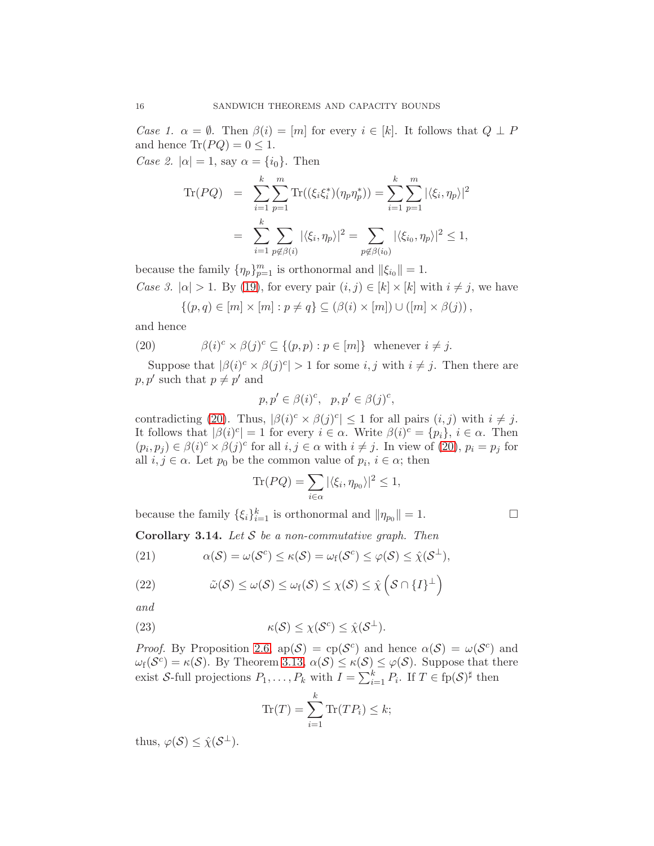*Case 1.*  $\alpha = \emptyset$ . Then  $\beta(i) = [m]$  for every  $i \in [k]$ . It follows that  $Q \perp P$ and hence  $\text{Tr}(P Q) = 0 \leq 1$ .

*Case 2.*  $|\alpha| = 1$ , say  $\alpha = \{i_0\}$ . Then

$$
\begin{split} \text{Tr}(PQ) &= \sum_{i=1}^{k} \sum_{p=1}^{m} \text{Tr}((\xi_i \xi_i^*)(\eta_p \eta_p^*)) = \sum_{i=1}^{k} \sum_{p=1}^{m} |\langle \xi_i, \eta_p \rangle|^2 \\ &= \sum_{i=1}^{k} \sum_{p \notin \beta(i)} |\langle \xi_i, \eta_p \rangle|^2 = \sum_{p \notin \beta(i_0)} |\langle \xi_{i_0}, \eta_p \rangle|^2 \le 1, \end{split}
$$

because the family  $\{\eta_p\}_{p=1}^m$  is orthonormal and  $\|\xi_{i_0}\|=1$ .

*Case 3.*  $|\alpha| > 1$ . By [\(19\)](#page-14-1), for every pair  $(i, j) \in [k] \times [k]$  with  $i \neq j$ , we have

<span id="page-15-1"></span>
$$
\{(p,q)\in [m]\times [m]: p\neq q\}\subseteq (\beta(i)\times [m])\cup ([m]\times \beta(j)),
$$

and hence

(20) 
$$
\beta(i)^c \times \beta(j)^c \subseteq \{(p, p) : p \in [m]\} \text{ whenever } i \neq j.
$$

Suppose that  $|\beta(i)^c \times \beta(j)^c| > 1$  for some  $i, j$  with  $i \neq j$ . Then there are  $p, p'$  such that  $p \neq p'$  and

$$
p, p' \in \beta(i)^c, \quad p, p' \in \beta(j)^c,
$$

contradicting [\(20\)](#page-15-1). Thus,  $|\beta(i)^c \times \beta(j)^c| \leq 1$  for all pairs  $(i, j)$  with  $i \neq j$ . It follows that  $|\beta(i)^c| = 1$  for every  $i \in \alpha$ . Write  $\beta(i)^c = \{p_i\}, i \in \alpha$ . Then  $(p_i, p_j) \in \beta(i)^c \times \beta(j)^c$  for all  $i, j \in \alpha$  with  $i \neq j$ . In view of [\(20\)](#page-15-1),  $p_i = p_j$  for all  $i, j \in \alpha$ . Let  $p_0$  be the common value of  $p_i, i \in \alpha$ ; then

$$
\text{Tr}(PQ) = \sum_{i \in \alpha} |\langle \xi_i, \eta_{p_0} \rangle|^2 \le 1,
$$

because the family  $\{\xi_i\}_{i=1}^k$  is orthonormal and  $\|\eta_{p_0}\|=1$ .

<span id="page-15-0"></span>Corollary 3.14. *Let* S *be a non-commutative graph. Then*

<span id="page-15-2"></span>(21) 
$$
\alpha(\mathcal{S}) = \omega(\mathcal{S}^c) \le \kappa(\mathcal{S}) = \omega_f(\mathcal{S}^c) \le \varphi(\mathcal{S}) \le \hat{\chi}(\mathcal{S}^{\perp}),
$$

<span id="page-15-3"></span>(22) 
$$
\tilde{\omega}(\mathcal{S}) \leq \omega(\mathcal{S}) \leq \omega_{f}(\mathcal{S}) \leq \chi(\mathcal{S}) \leq \hat{\chi} \left( \mathcal{S} \cap \{I\}^{\perp} \right)
$$

*and*

(23) 
$$
\kappa(\mathcal{S}) \leq \chi(\mathcal{S}^c) \leq \hat{\chi}(\mathcal{S}^{\perp}).
$$

*Proof.* By Proposition [2.6,](#page-5-3)  $ap(S) = cp(S^c)$  and hence  $\alpha(S) = \omega(S^c)$  and  $\omega_f(\mathcal{S}^c) = \kappa(\mathcal{S})$ . By Theorem [3.13,](#page-14-2)  $\alpha(\mathcal{S}) \leq \kappa(\mathcal{S}) \leq \varphi(\mathcal{S})$ . Suppose that there exist S-full projections  $P_1, \ldots, P_k$  with  $I = \sum_{i=1}^k P_i$ . If  $T \in \text{fp}(S)^{\sharp}$  then

<span id="page-15-4"></span>
$$
\operatorname{Tr}(T) = \sum_{i=1}^{k} \operatorname{Tr}(TP_i) \le k;
$$

thus,  $\varphi(\mathcal{S}) \leq \hat{\chi}(\mathcal{S}^{\perp}).$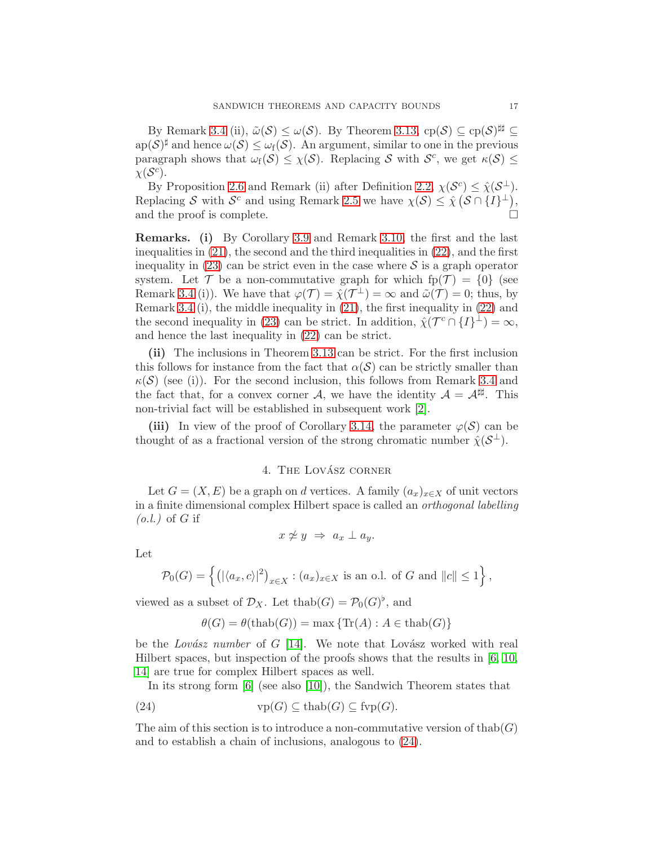By Remark [3.4](#page-8-1) (ii),  $\tilde{\omega}(S) \leq \omega(S)$ . By Theorem [3.13,](#page-14-2)  $cp(S) \subseteq cp(S)^{\sharp\sharp} \subseteq$  $\text{ap}(\mathcal{S})^{\sharp}$  and hence  $\omega(\mathcal{S}) \leq \omega_{f}(\mathcal{S})$ . An argument, similar to one in the previous paragraph shows that  $\omega_f(\mathcal{S}) \leq \chi(\mathcal{S})$ . Replacing S with  $\mathcal{S}^c$ , we get  $\kappa(\mathcal{S}) \leq$  $\chi(\mathcal{S}^c)$ .

By Proposition [2.6](#page-5-3) and Remark (ii) after Definition [2.2,](#page-4-1)  $\chi(\mathcal{S}^c) \leq \hat{\chi}(\mathcal{S}^{\perp}).$ By Proposition 2.6 and Remark (ii) after Definition 2.2,  $\chi(\mathcal{S}^c) \leq \hat{\chi}(\mathcal{S}^{\perp}).$ Replacing S with  $S^c$  and using Remark [2.5](#page-5-2) we have  $\chi(S) \leq \hat{\chi}(S \cap \{I\}^{\perp}),$ and the proof is complete.  $\Box$ 

Remarks. (i) By Corollary [3.9](#page-12-2) and Remark [3.10,](#page-12-3) the first and the last inequalities in [\(21\)](#page-15-2), the second and the third inequalities in [\(22\)](#page-15-3), and the first inequality in [\(23\)](#page-15-4) can be strict even in the case where  $\mathcal S$  is a graph operator system. Let  $\mathcal T$  be a non-commutative graph for which  $fp(\mathcal T) = \{0\}$  (see Remark [3.4](#page-8-1) (i)). We have that  $\varphi(\mathcal{T}) = \hat{\chi}(\mathcal{T}^{\perp}) = \infty$  and  $\tilde{\omega}(\mathcal{T}) = 0$ ; thus, by Remark [3.4](#page-8-1) (i), the middle inequality in [\(21\)](#page-15-2), the first inequality in [\(22\)](#page-15-3) and the second inequality in [\(23\)](#page-15-4) can be strict. In addition,  $\hat{\chi}(\mathcal{T}^c \cap \{I\}^{\perp}) = \infty$ , and hence the last inequality in [\(22\)](#page-15-3) can be strict.

(ii) The inclusions in Theorem [3.13](#page-14-2) can be strict. For the first inclusion this follows for instance from the fact that  $\alpha(S)$  can be strictly smaller than  $\kappa(\mathcal{S})$  (see (i)). For the second inclusion, this follows from Remark [3.4](#page-8-1) and the fact that, for a convex corner A, we have the identity  $A = \mathcal{A}^{\sharp\sharp}$ . This non-trivial fact will be established in subsequent work [\[2\]](#page-33-15).

<span id="page-16-0"></span>(iii) In view of the proof of Corollary [3.14,](#page-15-0) the parameter  $\varphi(\mathcal{S})$  can be thought of as a fractional version of the strong chromatic number  $\hat{\chi}(\mathcal{S}^{\perp})$ .

# 4. THE LOVÁSZ CORNER

Let  $G = (X, E)$  be a graph on d vertices. A family  $(a_x)_{x \in X}$  of unit vectors in a finite dimensional complex Hilbert space is called an *orthogonal labelling (o.l.)* of G if

$$
x \not\simeq y \;\Rightarrow\; a_x \perp a_y.
$$

Let

$$
\mathcal{P}_0(G) = \left\{ \left( |\langle a_x, c \rangle|^2 \right)_{x \in X} : (a_x)_{x \in X} \text{ is an o.l. of } G \text{ and } ||c|| \le 1 \right\},\
$$

viewed as a subset of  $\mathcal{D}_X$ . Let thab $(G) = \mathcal{P}_0(G)^{\flat}$ , and

<span id="page-16-1"></span>
$$
\theta(G) = \theta(\text{thab}(G)) = \max \{ \text{Tr}(A) : A \in \text{thab}(G) \}
$$

be the *Lovász number* of  $G$  [\[14\]](#page-33-3). We note that Lovász worked with real Hilbert spaces, but inspection of the proofs shows that the results in [\[6,](#page-33-5) [10,](#page-33-6) [14\]](#page-33-3) are true for complex Hilbert spaces as well.

In its strong form [\[6\]](#page-33-5) (see also [\[10\]](#page-33-6)), the Sandwich Theorem states that

(24) 
$$
\text{vp}(G) \subseteq \text{thab}(G) \subseteq \text{fvp}(G).
$$

The aim of this section is to introduce a non-commutative version of thab( $G$ ) and to establish a chain of inclusions, analogous to [\(24\)](#page-16-1).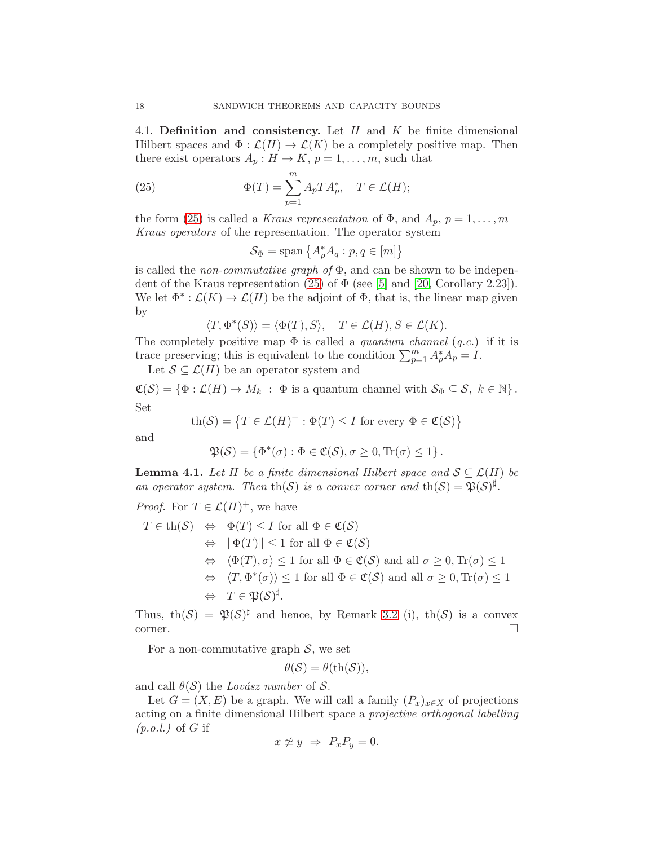<span id="page-17-0"></span>4.1. Definition and consistency. Let  $H$  and  $K$  be finite dimensional Hilbert spaces and  $\Phi : \mathcal{L}(H) \to \mathcal{L}(K)$  be a completely positive map. Then there exist operators  $A_p: H \to K$ ,  $p = 1, \ldots, m$ , such that

(25) 
$$
\Phi(T) = \sum_{p=1}^{m} A_p T A_p^*, \quad T \in \mathcal{L}(H);
$$

the form [\(25\)](#page-17-1) is called a *Kraus representation* of  $\Phi$ , and  $A_p$ ,  $p = 1, \ldots, m$ *Kraus operators* of the representation. The operator system

<span id="page-17-1"></span>
$$
\mathcal{S}_{\Phi} = \text{span}\left\{ A_p^* A_q : p, q \in [m] \right\}
$$

is called the *non-commutative graph of* Φ, and can be shown to be indepen-dent of the Kraus representation [\(25\)](#page-17-1) of  $\Phi$  (see [\[5\]](#page-33-1) and [\[20,](#page-33-16) Corollary 2.23]). We let  $\Phi^*: \mathcal{L}(K) \to \mathcal{L}(H)$  be the adjoint of  $\Phi$ , that is, the linear map given by

$$
\langle T, \Phi^*(S) \rangle = \langle \Phi(T), S \rangle, \quad T \in \mathcal{L}(H), S \in \mathcal{L}(K).
$$

The completely positive map  $\Phi$  is called a *quantum channel* (*q.c.*) if it is trace preserving; this is equivalent to the condition  $\sum_{p=1}^{m} A_p^* A_p = I$ .

Let  $S \subseteq \mathcal{L}(H)$  be an operator system and

 $\mathfrak{C}(\mathcal{S}) = \{\Phi : \mathcal{L}(H) \to M_k : \Phi \text{ is a quantum channel with } \mathcal{S}_{\Phi} \subseteq \mathcal{S}, k \in \mathbb{N} \}.$ Set

$$
\operatorname{th}(\mathcal{S}) = \left\{ T \in \mathcal{L}(H)^+ : \Phi(T) \le I \text{ for every } \Phi \in \mathfrak{C}(\mathcal{S}) \right\}
$$

and

$$
\mathfrak{P}(\mathcal{S}) = \{ \Phi^*(\sigma) : \Phi \in \mathfrak{C}(\mathcal{S}), \sigma \geq 0, \text{Tr}(\sigma) \leq 1 \}.
$$

<span id="page-17-2"></span>**Lemma 4.1.** Let H be a finite dimensional Hilbert space and  $S \subseteq \mathcal{L}(H)$  be *an operator system. Then* th(S) *is a convex corner and* th(S) =  $\mathfrak{P}(\mathcal{S})^{\sharp}$ .

*Proof.* For  $T \in \mathcal{L}(H)^+$ , we have

$$
T \in \text{th}(\mathcal{S}) \iff \Phi(T) \leq I \text{ for all } \Phi \in \mathfrak{C}(\mathcal{S})
$$
  
\n
$$
\iff ||\Phi(T)|| \leq 1 \text{ for all } \Phi \in \mathfrak{C}(\mathcal{S})
$$
  
\n
$$
\iff \langle \Phi(T), \sigma \rangle \leq 1 \text{ for all } \Phi \in \mathfrak{C}(\mathcal{S}) \text{ and all } \sigma \geq 0, \text{Tr}(\sigma) \leq 1
$$
  
\n
$$
\iff \langle T, \Phi^*(\sigma) \rangle \leq 1 \text{ for all } \Phi \in \mathfrak{C}(\mathcal{S}) \text{ and all } \sigma \geq 0, \text{Tr}(\sigma) \leq 1
$$
  
\n
$$
\iff T \in \mathfrak{P}(\mathcal{S})^{\sharp}.
$$

Thus, th $(S) = \mathfrak{P}(S)^{\sharp}$  and hence, by Remark [3.2](#page-7-1) (i), th $(S)$  is a convex  $\Box$ corner.

For a non-commutative graph  $S$ , we set

$$
\theta(\mathcal{S}) = \theta(\text{th}(\mathcal{S})),
$$

and call  $\theta(\mathcal{S})$  the *Lovász number* of  $\mathcal{S}$ .

Let  $G = (X, E)$  be a graph. We will call a family  $(P_x)_{x \in X}$  of projections acting on a finite dimensional Hilbert space a *projective orthogonal labelling (p.o.l.)* of G if

$$
x \not\simeq y \;\Rightarrow\; P_x P_y = 0.
$$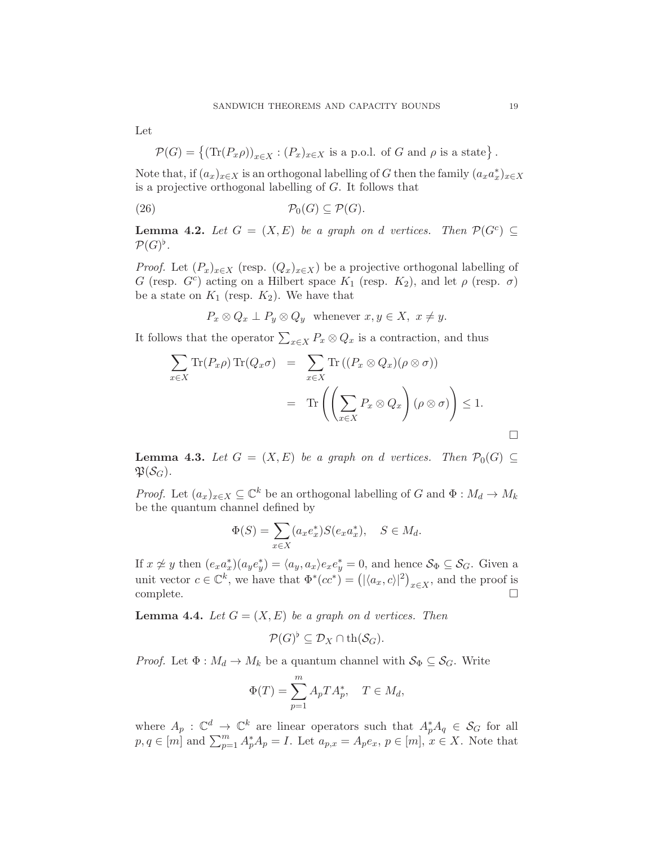Let

$$
\mathcal{P}(G) = \{ (\text{Tr}(P_x \rho))_{x \in X} : (P_x)_{x \in X} \text{ is a p.o.l. of } G \text{ and } \rho \text{ is a state} \}.
$$

Note that, if  $(a_x)_{x \in X}$  is an orthogonal labelling of G then the family  $(a_x a_x^*)_{x \in X}$ is a projective orthogonal labelling of G. It follows that

$$
(26) \t\t \mathcal{P}_0(G) \subseteq \mathcal{P}(G).
$$

<span id="page-18-1"></span>**Lemma 4.2.** Let  $G = (X, E)$  be a graph on d vertices. Then  $\mathcal{P}(G^c) \subseteq$  $\mathcal{P}(G)^{\flat}$ .

*Proof.* Let  $(P_x)_{x\in X}$  (resp.  $(Q_x)_{x\in X}$ ) be a projective orthogonal labelling of G (resp.  $G^c$ ) acting on a Hilbert space  $K_1$  (resp.  $K_2$ ), and let  $\rho$  (resp.  $\sigma$ ) be a state on  $K_1$  (resp.  $K_2$ ). We have that

<span id="page-18-0"></span>
$$
P_x \otimes Q_x \perp P_y \otimes Q_y \quad \text{whenever} \ x, y \in X, \ x \neq y.
$$

It follows that the operator  $\sum_{x \in X} P_x \otimes Q_x$  is a contraction, and thus

$$
\sum_{x \in X} \text{Tr}(P_x \rho) \text{Tr}(Q_x \sigma) = \sum_{x \in X} \text{Tr}((P_x \otimes Q_x)(\rho \otimes \sigma))
$$

$$
= \text{Tr}\left(\left(\sum_{x \in X} P_x \otimes Q_x\right)(\rho \otimes \sigma)\right) \le 1.
$$

<span id="page-18-3"></span>**Lemma 4.3.** Let  $G = (X, E)$  be a graph on d vertices. Then  $\mathcal{P}_0(G) \subseteq$  $\mathfrak{P}(\mathcal{S}_G)$ .

*Proof.* Let  $(a_x)_{x \in X} \subseteq \mathbb{C}^k$  be an orthogonal labelling of G and  $\Phi : M_d \to M_k$ be the quantum channel defined by

$$
\Phi(S) = \sum_{x \in X} (a_x e_x^*) S(e_x a_x^*), \quad S \in M_d.
$$

If  $x \not\approx y$  then  $(e_x a_x^*)(a_y e_y^*) = \langle a_y, a_x \rangle e_x e_y^* = 0$ , and hence  $\mathcal{S}_{\Phi} \subseteq \mathcal{S}_G$ . Given a unit vector  $c \in \mathbb{C}^k$ , we have that  $\Phi^*(cc^*) = (|\langle a_x, c \rangle|^2)_{x \in X}$ , and the proof is complete.  $\square$ 

<span id="page-18-2"></span>**Lemma 4.4.** Let  $G = (X, E)$  be a graph on d vertices. Then

$$
\mathcal{P}(G)^{\flat} \subseteq \mathcal{D}_X \cap \th(\mathcal{S}_G).
$$

*Proof.* Let  $\Phi : M_d \to M_k$  be a quantum channel with  $\mathcal{S}_{\Phi} \subseteq \mathcal{S}_G$ . Write

$$
\Phi(T) = \sum_{p=1}^{m} A_p T A_p^*, \quad T \in M_d,
$$

where  $A_p : \mathbb{C}^d \to \mathbb{C}^k$  are linear operators such that  $A_p^* A_q \in \mathcal{S}_G$  for all  $p, q \in [m]$  and  $\sum_{p=1}^{m} A_p^* A_p = I$ . Let  $a_{p,x} = A_p e_x$ ,  $p \in [m]$ ,  $x \in X$ . Note that

 $\Box$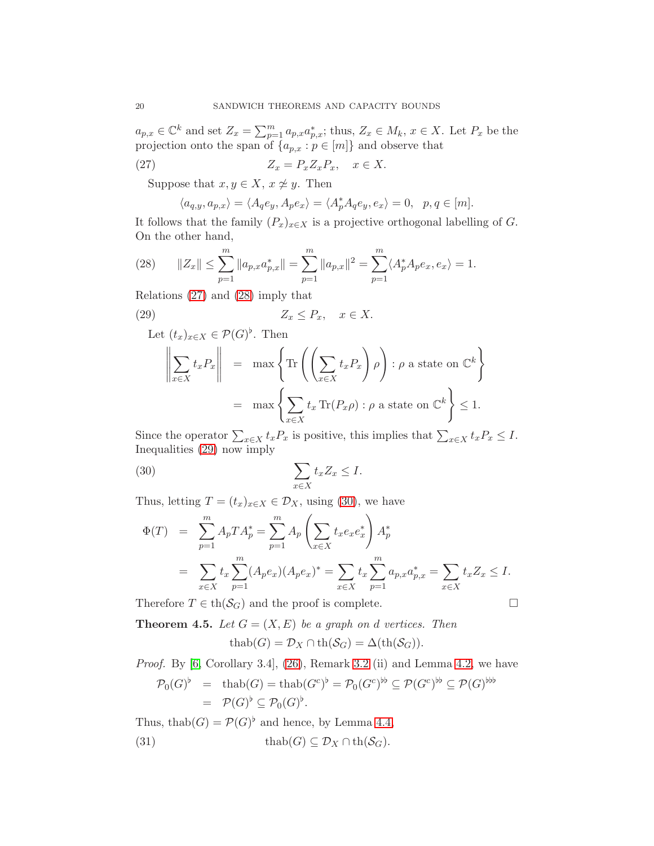$a_{p,x} \in \mathbb{C}^k$  and set  $Z_x = \sum_{p=1}^m a_{p,x} a_{p,x}^*$ ; thus,  $Z_x \in M_k$ ,  $x \in X$ . Let  $P_x$  be the projection onto the span of  $\{a_{p,x} : p \in [m]\}$  and observe that

(27) 
$$
Z_x = P_x Z_x P_x, \quad x \in X.
$$

Suppose that  $x, y \in X$ ,  $x \not\cong y$ . Then

<span id="page-19-0"></span>
$$
\langle a_{q,y}, a_{p,x} \rangle = \langle A_q e_y, A_p e_x \rangle = \langle A_p^* A_q e_y, e_x \rangle = 0, \quad p, q \in [m].
$$

It follows that the family  $(P_x)_{x\in X}$  is a projective orthogonal labelling of G. On the other hand,

<span id="page-19-1"></span>(28) 
$$
||Z_x|| \le \sum_{p=1}^m ||a_{p,x} a_{p,x}^*|| = \sum_{p=1}^m ||a_{p,x}||^2 = \sum_{p=1}^m \langle A_p^* A_p e_x, e_x \rangle = 1.
$$

Relations [\(27\)](#page-19-0) and [\(28\)](#page-19-1) imply that

(29) 
$$
Z_x \le P_x, \quad x \in X.
$$

<span id="page-19-2"></span>Let  $(t_x)_{x \in X} \in \mathcal{P}(G)^{\flat}$ . Then  $\begin{array}{c} \hline \end{array}$  $\sum$ x∈X  $t_xP_x$  $\begin{array}{c} \hline \end{array}$  $=$  max  $\left\{ \text{Tr} \left( \left( \sum_{i=1}^{n} \right)$  $x \in X$  $t_xP_x$  $\setminus$ ρ  $\setminus$ :  $\rho$  a state on  $\mathbb{C}^k$  $=$  max  $\left\{ \sum_{k=1}^{N} a_k \right\}$  $t_x \operatorname{Tr}(P_x \rho)$ :  $\rho$  a state on  $\mathbb{C}^k$ 

 $x \in X$ Since the operator  $\sum_{x \in X} t_x P_x$  is positive, this implies that  $\sum_{x \in X} t_x P_x \leq I$ . Inequalities [\(29\)](#page-19-2) now imply

<span id="page-19-3"></span>(30) 
$$
\sum_{x \in X} t_x Z_x \leq I.
$$

Thus, letting  $T = (t_x)_{x \in X} \in \mathcal{D}_X$ , using [\(30\)](#page-19-3), we have

$$
\Phi(T) = \sum_{p=1}^{m} A_p T A_p^* = \sum_{p=1}^{m} A_p \left( \sum_{x \in X} t_x e_x e_x^* \right) A_p^*
$$
  
= 
$$
\sum_{x \in X} t_x \sum_{p=1}^{m} (A_p e_x) (A_p e_x)^* = \sum_{x \in X} t_x \sum_{p=1}^{m} a_{p,x} a_{p,x}^* = \sum_{x \in X} t_x Z_x \le I.
$$

Therefore  $T \in \text{th}(\mathcal{S}_G)$  and the proof is complete.

<span id="page-19-4"></span>**Theorem 4.5.** Let  $G = (X, E)$  be a graph on d vertices. Then

$$
\operatorname{thab}(G) = \mathcal{D}_X \cap \operatorname{th}(\mathcal{S}_G) = \Delta(\operatorname{th}(\mathcal{S}_G)).
$$

*Proof.* By [\[6,](#page-33-5) Corollary 3.4], [\(26\)](#page-18-0), Remark [3.2](#page-7-1) (ii) and Lemma [4.2,](#page-18-1) we have

$$
\mathcal{P}_0(G)^{\flat} = \text{thab}(G) = \text{thab}(G^c)^{\flat} = \mathcal{P}_0(G^c)^{\flat \flat} \subseteq \mathcal{P}(G^c)^{\flat \flat} \subseteq \mathcal{P}(G)^{\flat \flat \flat}
$$
  
=  $\mathcal{P}(G)^{\flat} \subseteq \mathcal{P}_0(G)^{\flat}.$ 

Thus, thab $(G) = \mathcal{P}(G)^{\flat}$  and hence, by Lemma [4.4,](#page-18-2) (31) thab(G)  $\subseteq \mathcal{D}_X \cap \text{th}(\mathcal{S}_G)$ .

$$
\Box
$$

 $\leq 1$ .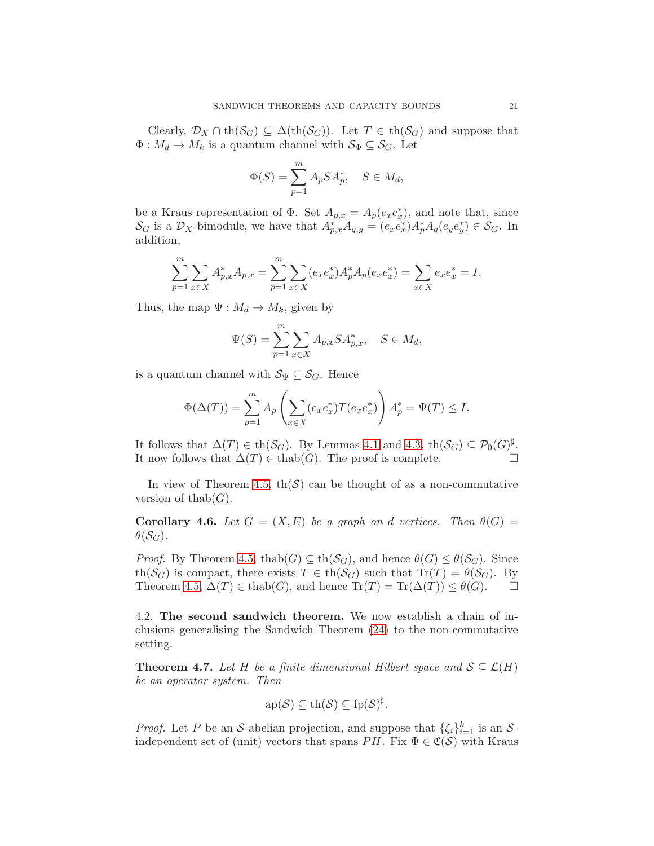Clearly,  $\mathcal{D}_X \cap \text{th}(\mathcal{S}_G) \subseteq \Delta(\text{th}(\mathcal{S}_G))$ . Let  $T \in \text{th}(\mathcal{S}_G)$  and suppose that  $\Phi: M_d \to M_k$  is a quantum channel with  $S_{\Phi} \subseteq S_G$ . Let

$$
\Phi(S) = \sum_{p=1}^{m} A_p S A_p^*, \quad S \in M_d,
$$

be a Kraus representation of  $\Phi$ . Set  $A_{p,x} = A_p(e_x e_x^*)$ , and note that, since  $\mathcal{S}_G$  is a  $\mathcal{D}_X$ -bimodule, we have that  $A_{p,x}^* A_{q,y} = (e_x e_x^*) A_p^* A_q (e_y e_y^*) \in \mathcal{S}_G$ . In addition,

$$
\sum_{p=1}^{m} \sum_{x \in X} A_{p,x}^* A_{p,x} = \sum_{p=1}^{m} \sum_{x \in X} (e_x e_x^*) A_p^* A_p(e_x e_x^*) = \sum_{x \in X} e_x e_x^* = I.
$$

Thus, the map  $\Psi : M_d \to M_k$ , given by

$$
\Psi(S) = \sum_{p=1}^{m} \sum_{x \in X} A_{p,x} S A_{p,x}^*, \quad S \in M_d,
$$

is a quantum channel with  $S_{\Psi} \subseteq S_G$ . Hence

$$
\Phi(\Delta(T)) = \sum_{p=1}^{m} A_p \left( \sum_{x \in X} (e_x e_x^*) T(e_x e_x^*) \right) A_p^* = \Psi(T) \le I.
$$

It follows that  $\Delta(T) \in \text{th}(\mathcal{S}_G)$ . By Lemmas [4.1](#page-17-2) and [4.3,](#page-18-3)  $\text{th}(\mathcal{S}_G) \subseteq \mathcal{P}_0(G)^{\sharp}$ . It now follows that  $\Delta(T)$  ∈ thab(G). The proof is complete.  $\Box$ 

In view of Theorem [4.5,](#page-19-4)  $\text{th}(\mathcal{S})$  can be thought of as a non-commutative version of thab( $G$ ).

**Corollary 4.6.** *Let*  $G = (X, E)$  *be a graph on d vertices. Then*  $\theta(G)$  =  $\theta(\mathcal{S}_G)$ .

*Proof.* By Theorem [4.5,](#page-19-4) thab $(G) \subseteq \text{th}(\mathcal{S}_G)$ , and hence  $\theta(G) \leq \theta(\mathcal{S}_G)$ . Since th( $\mathcal{S}_G$ ) is compact, there exists  $T \in \text{th}(\mathcal{S}_G)$  such that  $\text{Tr}(T) = \theta(\mathcal{S}_G)$ . By Theorem 4.5,  $\Delta(T) \in \text{thab}(G)$ , and hence  $\text{Tr}(T) = \text{Tr}(\Delta(T)) \leq \theta(G)$ . Theorem [4.5,](#page-19-4)  $\Delta(T) \in \text{thab}(G)$ , and hence  $\text{Tr}(T) = \text{Tr}(\Delta(T)) \leq \theta(G)$ .

<span id="page-20-0"></span>4.2. The second sandwich theorem. We now establish a chain of inclusions generalising the Sandwich Theorem [\(24\)](#page-16-1) to the non-commutative setting.

<span id="page-20-1"></span>**Theorem 4.7.** Let H be a finite dimensional Hilbert space and  $S \subseteq \mathcal{L}(H)$ *be an operator system. Then*

$$
ap(\mathcal{S}) \subseteq th(\mathcal{S}) \subseteq fp(\mathcal{S})^{\sharp}.
$$

*Proof.* Let P be an S-abelian projection, and suppose that  $\{\xi_i\}_{i=1}^k$  is an Sindependent set of (unit) vectors that spans PH. Fix  $\Phi \in \mathfrak{C}(\mathcal{S})$  with Kraus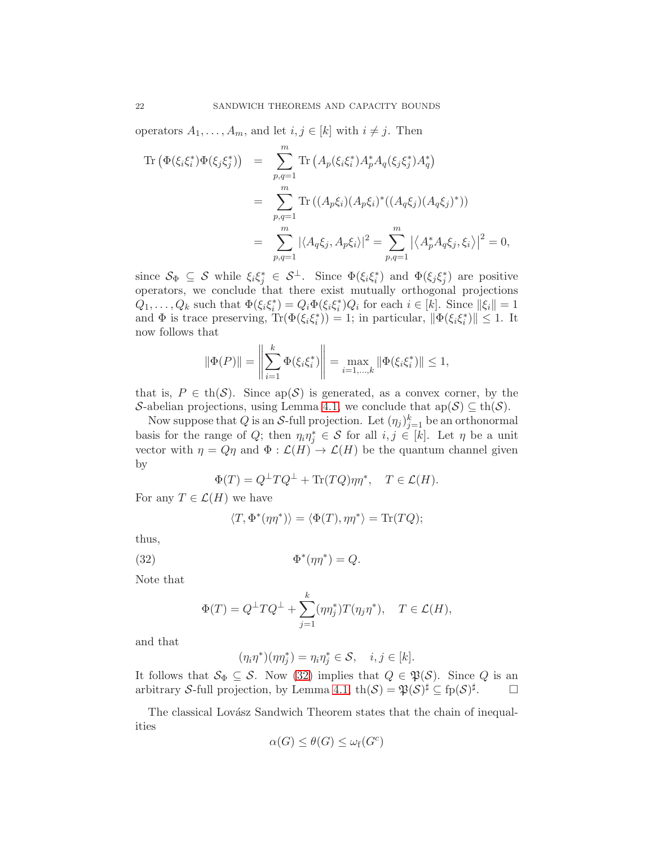operators  $A_1, \ldots, A_m$ , and let  $i, j \in [k]$  with  $i \neq j$ . Then

$$
\begin{split} \text{Tr}\left(\Phi(\xi_{i}\xi_{i}^{*})\Phi(\xi_{j}\xi_{j}^{*})\right) &= \sum_{p,q=1}^{m} \text{Tr}\left(A_{p}(\xi_{i}\xi_{i}^{*})A_{p}^{*}A_{q}(\xi_{j}\xi_{j}^{*})A_{q}^{*}\right) \\ &= \sum_{p,q=1}^{m} \text{Tr}\left((A_{p}\xi_{i})(A_{p}\xi_{i})^{*}((A_{q}\xi_{j})(A_{q}\xi_{j})^{*})\right) \\ &= \sum_{p,q=1}^{m} |\langle A_{q}\xi_{j}, A_{p}\xi_{i}\rangle|^{2} = \sum_{p,q=1}^{m} |\langle A_{p}^{*}A_{q}\xi_{j}, \xi_{i}\rangle|^{2} = 0, \end{split}
$$

since  $S_{\Phi} \subseteq S$  while  $\xi_i \xi_j^* \in S^{\perp}$ . Since  $\Phi(\xi_i \xi_i^*)$  and  $\Phi(\xi_j \xi_j^*)$  are positive operators, we conclude that there exist mutually orthogonal projections  $Q_1, \ldots, Q_k$  such that  $\Phi(\xi_i \xi_i^*) = Q_i \Phi(\xi_i \xi_i^*) Q_i$  for each  $i \in [k]$ . Since  $||\xi_i|| = 1$ and  $\Phi$  is trace preserving,  $\text{Tr}(\Phi(\xi_i\xi_i^*))=1$ ; in particular,  $\|\Phi(\xi_i\xi_i^*)\| \leq 1$ . It now follows that

$$
\|\Phi(P)\| = \left\|\sum_{i=1}^k \Phi(\xi_i \xi_i^*)\right\| = \max_{i=1,\dots,k} \|\Phi(\xi_i \xi_i^*)\| \le 1,
$$

that is,  $P \in \text{th}(\mathcal{S})$ . Since  $\text{ap}(\mathcal{S})$  is generated, as a convex corner, by the S-abelian projections, using Lemma [4.1,](#page-17-2) we conclude that  $ap(S) \subseteq th(S)$ .

Now suppose that  $Q$  is an  $S$ -full projection. Let  $(\eta_j)_{j=1}^k$  be an orthonormal basis for the range of Q; then  $\eta_i \eta_j^* \in S$  for all  $i, j \in [k]$ . Let  $\eta$  be a unit vector with  $\eta = Q\eta$  and  $\Phi : \mathcal{L}(H) \to \mathcal{L}(H)$  be the quantum channel given by

$$
\Phi(T) = Q^{\perp} T Q^{\perp} + \text{Tr}(TQ) \eta \eta^*, \quad T \in \mathcal{L}(H).
$$

For any  $T \in \mathcal{L}(H)$  we have

$$
\langle T, \Phi^*(\eta \eta^*) \rangle = \langle \Phi(T), \eta \eta^* \rangle = \text{Tr}(TQ);
$$

thus,  $(32)$ 

<span id="page-21-0"></span>
$$
\Phi^*(\eta \eta^*) = Q.
$$

Note that

$$
\Phi(T) = Q^{\perp} T Q^{\perp} + \sum_{j=1}^{k} (\eta \eta_j^*) T(\eta_j \eta^*), \quad T \in \mathcal{L}(H),
$$

and that

$$
(\eta_i \eta^*)(\eta \eta_j^*) = \eta_i \eta_j^* \in \mathcal{S}, \quad i, j \in [k].
$$

It follows that  $\mathcal{S}_{\Phi} \subseteq \mathcal{S}$ . Now [\(32\)](#page-21-0) implies that  $Q \in \mathfrak{P}(\mathcal{S})$ . Since Q is an arbitrary S-full projection, by Lemma [4.1,](#page-17-2)  $\text{th}(\mathcal{S}) = \mathfrak{P}(\mathcal{S})^{\sharp} \subseteq \text{fp}(\mathcal{S})^{\sharp}$ .

The classical Lovász Sandwich Theorem states that the chain of inequalities

$$
\alpha(G) \leq \theta(G) \leq \omega_f(G^c)
$$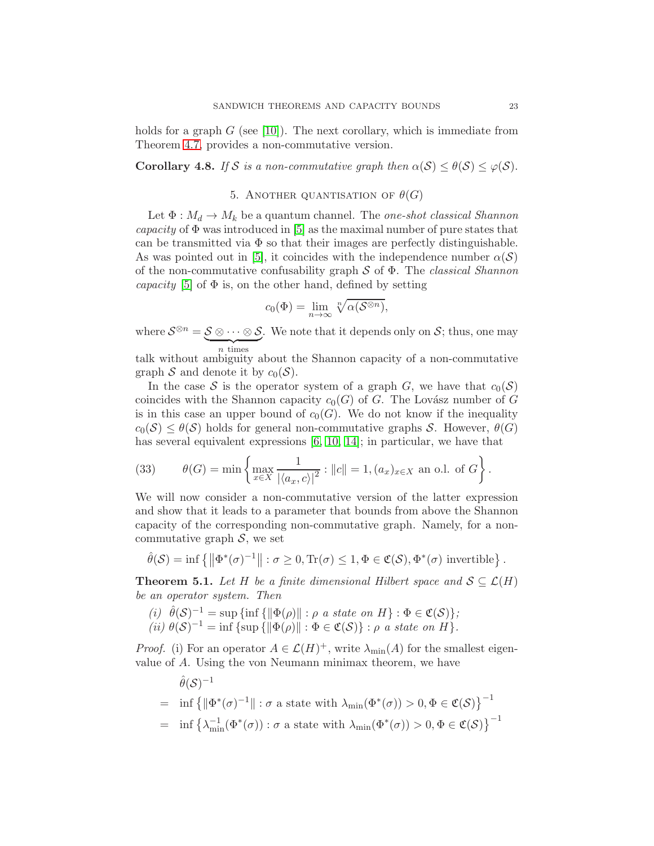holds for a graph  $G$  (see [\[10\]](#page-33-6)). The next corollary, which is immediate from Theorem [4.7,](#page-20-1) provides a non-commutative version.

<span id="page-22-3"></span><span id="page-22-0"></span>**Corollary 4.8.** *If* S *is a non-commutative graph then*  $\alpha(S) \leq \theta(S) \leq \varphi(S)$ .

## 5. ANOTHER QUANTISATION OF  $\theta(G)$

Let  $\Phi: M_d \to M_k$  be a quantum channel. The *one-shot classical Shannon capacity* of  $\Phi$  was introduced in [\[5\]](#page-33-1) as the maximal number of pure states that can be transmitted via  $\Phi$  so that their images are perfectly distinguishable. As was pointed out in [\[5\]](#page-33-1), it coincides with the independence number  $\alpha(S)$ of the non-commutative confusability graph S of Φ. The *classical Shannon capacity* [\[5\]](#page-33-1) of  $\Phi$  is, on the other hand, defined by setting

$$
c_0(\Phi) = \lim_{n \to \infty} \sqrt[n]{\alpha(\mathcal{S}^{\otimes n})},
$$

where  $\mathcal{S}^{\otimes n} = \underbrace{\mathcal{S} \otimes \cdots \otimes \mathcal{S}}$  $\overline{n}$  times . We note that it depends only on  $S$ ; thus, one may

n times talk without ambiguity about the Shannon capacity of a non-commutative graph S and denote it by  $c_0(\mathcal{S})$ .

In the case S is the operator system of a graph G, we have that  $c_0(\mathcal{S})$ coincides with the Shannon capacity  $c_0(G)$  of G. The Lovász number of G is in this case an upper bound of  $c_0(G)$ . We do not know if the inequality  $c_0(\mathcal{S}) \leq \theta(\mathcal{S})$  holds for general non-commutative graphs S. However,  $\theta(G)$ has several equivalent expressions [\[6,](#page-33-5) [10,](#page-33-6) [14\]](#page-33-3); in particular, we have that

<span id="page-22-2"></span>(33) 
$$
\theta(G) = \min \left\{ \max_{x \in X} \frac{1}{|\langle a_x, c \rangle|^2} : ||c|| = 1, (a_x)_{x \in X} \text{ an o.l. of } G \right\}.
$$

We will now consider a non-commutative version of the latter expression and show that it leads to a parameter that bounds from above the Shannon capacity of the corresponding non-commutative graph. Namely, for a noncommutative graph  $S$ , we set

$$
\hat{\theta}(\mathcal{S}) = \inf \left\{ \left\| \Phi^*(\sigma)^{-1} \right\| : \sigma \ge 0, \text{Tr}(\sigma) \le 1, \Phi \in \mathfrak{C}(\mathcal{S}), \Phi^*(\sigma) \text{ invertible} \right\}.
$$

<span id="page-22-1"></span>**Theorem 5.1.** *Let* H *be a finite dimensional Hilbert space and*  $S \subseteq \mathcal{L}(H)$ *be an operator system. Then*

 $(i)$   $\hat{\theta}(\mathcal{S})^{-1} = \sup \{ \inf \{ ||\Phi(\rho)|| : \rho \text{ a state on } H \} : \Phi \in \mathfrak{C}(\mathcal{S}) \},$ (*ii*)  $\theta(S)^{-1} = \inf \{ \sup \{ ||\Phi(\rho)|| : \Phi \in \mathfrak{C}(S) \} : \rho \text{ a state on } H \}.$ 

*Proof.* (i) For an operator  $A \in \mathcal{L}(H)^+$ , write  $\lambda_{\min}(A)$  for the smallest eigenvalue of A. Using the von Neumann minimax theorem, we have

$$
\hat{\theta}(\mathcal{S})^{-1} = \inf \{ \|\Phi^*(\sigma)^{-1}\| : \sigma \text{ a state with } \lambda_{\min}(\Phi^*(\sigma)) > 0, \Phi \in \mathfrak{C}(\mathcal{S}) \}^{-1} \n= \inf \left\{ \lambda_{\min}^{-1}(\Phi^*(\sigma)) : \sigma \text{ a state with } \lambda_{\min}(\Phi^*(\sigma)) > 0, \Phi \in \mathfrak{C}(\mathcal{S}) \right\}^{-1}
$$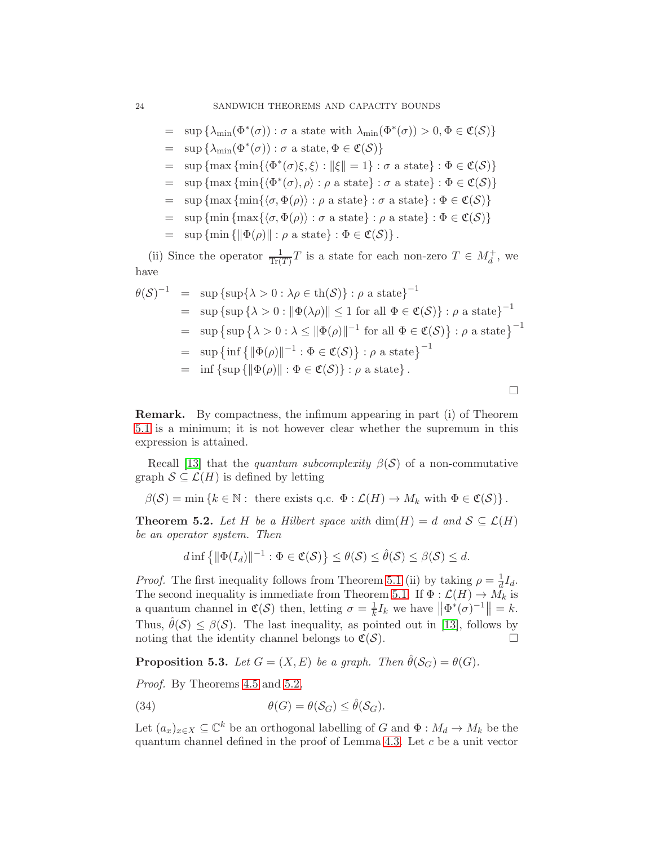= 
$$
\sup \{ \lambda_{\min}(\Phi^*(\sigma)) : \sigma \text{ a state with } \lambda_{\min}(\Phi^*(\sigma)) > 0, \Phi \in \mathfrak{C}(\mathcal{S}) \}
$$

- $= \sup \{ \lambda_{\min}(\Phi^*(\sigma)) : \sigma \text{ a state}, \Phi \in \mathfrak{C}(\mathcal{S}) \}$
- = sup {max {min{ $\langle \Phi^*(\sigma) \xi, \xi \rangle : ||\xi|| = 1} : \sigma$  a state} :  $\Phi \in \mathfrak{C}(\mathcal{S})$ }
- =  $\sup \{\max \{\min \{\langle \Phi^*(\sigma), \rho \rangle : \rho \text{ a state} \} : \sigma \text{ a state} \} : \Phi \in \mathfrak{C}(\mathcal{S})\}\$
- =  $\sup \{\max \{\min\{\langle \sigma, \Phi(\rho)\rangle : \rho \text{ a state}\} : \sigma \text{ a state}\} : \Phi \in \mathfrak{C}(\mathcal{S})\}\$
- =  $\sup \{\min \{\max \{\langle \sigma, \Phi(\rho)\rangle : \sigma \text{ a state}\} : \rho \text{ a state}\} : \Phi \in \mathfrak{C}(\mathcal{S})\}\$
- $=$  sup {min { $\|\Phi(\rho)\|$  :  $\rho$  a state} :  $\Phi \in \mathfrak{C}(\mathcal{S})$  .

(ii) Since the operator  $\frac{1}{\text{Tr}(T)}T$  is a state for each non-zero  $T \in M_d^+$ , we have

$$
\theta(\mathcal{S})^{-1} = \sup \{ \sup \{ \lambda > 0 : \lambda \rho \in \text{th}(\mathcal{S}) \} : \rho \text{ a state} \}^{-1}
$$
  
\n=  $\sup \{ \sup \{ \lambda > 0 : ||\Phi(\lambda \rho)|| \le 1 \text{ for all } \Phi \in \mathfrak{C}(\mathcal{S}) \} : \rho \text{ a state} \}^{-1}$   
\n=  $\sup \{ \sup \{ \lambda > 0 : \lambda \le ||\Phi(\rho)||^{-1} \text{ for all } \Phi \in \mathfrak{C}(\mathcal{S}) \} : \rho \text{ a state} \}^{-1}$   
\n=  $\sup \{ \inf \{ ||\Phi(\rho)||^{-1} : \Phi \in \mathfrak{C}(\mathcal{S}) \} : \rho \text{ a state} \}^{-1}$   
\n=  $\inf \{ \sup \{ ||\Phi(\rho)|| : \Phi \in \mathfrak{C}(\mathcal{S}) \} : \rho \text{ a state} \} .$ 

Remark. By compactness, the infimum appearing in part (i) of Theorem [5.1](#page-22-1) is a minimum; it is not however clear whether the supremum in this expression is attained.

Recall [\[13\]](#page-33-9) that the *quantum subcomplexity*  $\beta(S)$  of a non-commutative graph  $S \subseteq \mathcal{L}(H)$  is defined by letting

 $\beta(\mathcal{S}) = \min \{k \in \mathbb{N} : \text{ there exists } q.c. \Phi : \mathcal{L}(H) \to M_k \text{ with } \Phi \in \mathfrak{C}(\mathcal{S})\}.$ 

<span id="page-23-0"></span>**Theorem 5.2.** Let H be a Hilbert space with  $\dim(H) = d$  and  $S \subseteq \mathcal{L}(H)$ *be an operator system. Then*

$$
d\inf\left\{\|\Phi(I_d)\|^{-1}:\Phi\in\mathfrak{C}(\mathcal{S})\right\}\leq\theta(\mathcal{S})\leq\hat{\theta}(\mathcal{S})\leq\beta(\mathcal{S})\leq d.
$$

*Proof.* The first inequality follows from Theorem [5.1](#page-22-1) (ii) by taking  $\rho = \frac{1}{d}$  $\frac{1}{d}I_d$ . The second inequality is immediate from Theorem [5.1.](#page-22-1) If  $\Phi : \mathcal{L}(H) \to \tilde{M}_k$  is a quantum channel in  $\mathfrak{C}(\mathcal{S})$  then, letting  $\sigma = \frac{1}{k}$  $\frac{1}{k}I_k$  we have  $\left\|\Phi^*(\sigma)^{-1}\right\|=k.$ Thus,  $\hat{\theta}(\mathcal{S}) \leq \beta(\mathcal{S})$ . The last inequality, as pointed out in [\[13\]](#page-33-9), follows by noting that the identity channel belongs to  $\mathfrak{C}(S)$ noting that the identity channel belongs to  $\mathfrak{C}(\mathcal{S})$ .

<span id="page-23-2"></span>**Proposition 5.3.** *Let*  $G = (X, E)$  *be a graph. Then*  $\hat{\theta}(S_G) = \theta(G)$ *.* 

*Proof.* By Theorems [4.5](#page-19-4) and [5.2,](#page-23-0)

<span id="page-23-1"></span>(34) 
$$
\theta(G) = \theta(\mathcal{S}_G) \leq \hat{\theta}(\mathcal{S}_G).
$$

Let  $(a_x)_{x\in X} \subseteq \mathbb{C}^k$  be an orthogonal labelling of G and  $\Phi : M_d \to M_k$  be the quantum channel defined in the proof of Lemma [4.3.](#page-18-3) Let c be a unit vector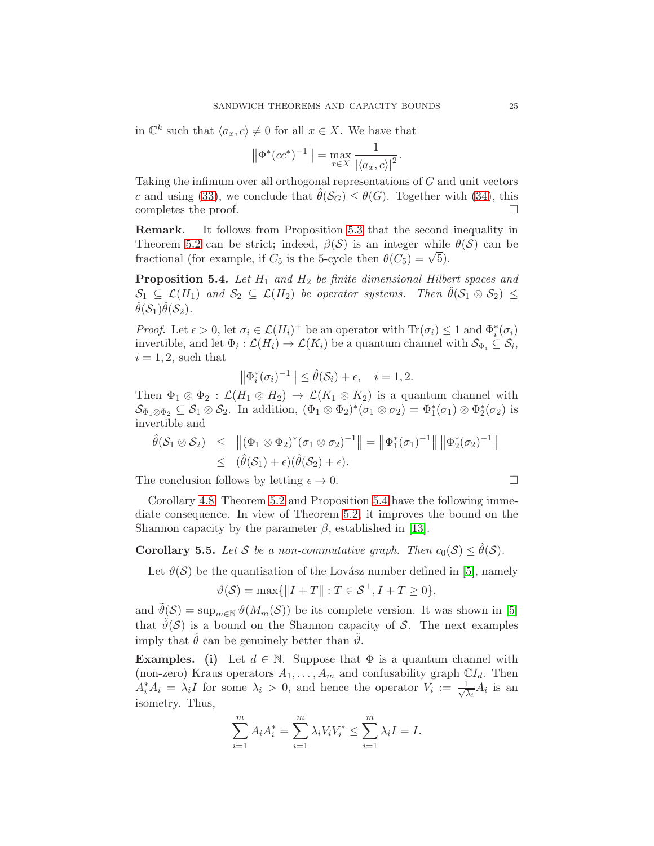in  $\mathbb{C}^k$  such that  $\langle a_x, c \rangle \neq 0$  for all  $x \in X$ . We have that

$$
\left\|\Phi^*(cc^*)^{-1}\right\| = \max_{x \in X} \frac{1}{|\langle a_x, c \rangle|^2}.
$$

Taking the infimum over all orthogonal representations of G and unit vectors c and using [\(33\)](#page-22-2), we conclude that  $\hat{\theta}(\mathcal{S}_G) \leq \theta(G)$ . Together with [\(34\)](#page-23-1), this completes the proof. completes the proof.

Remark. It follows from Proposition [5.3](#page-23-2) that the second inequality in Theorem [5.2](#page-23-0) can be strict; indeed,  $\beta(S)$  is an integer while  $\theta(S)$  can be fractional (for example, if  $C_5$  is the 5-cycle then  $\theta(C_5) = \sqrt{5}$ ).

<span id="page-24-0"></span>Proposition 5.4. *Let* H<sup>1</sup> *and* H<sup>2</sup> *be finite dimensional Hilbert spaces and*  $\mathcal{S}_1 \subseteq \mathcal{L}(H_1)$  and  $\mathcal{S}_2 \subseteq \mathcal{L}(H_2)$  be operator systems. Then  $\theta(\mathcal{S}_1 \otimes \mathcal{S}_2) \leq$  $\hat{\theta}(\mathcal{S}_1)\hat{\theta}(\mathcal{S}_2)$ .

*Proof.* Let  $\epsilon > 0$ , let  $\sigma_i \in \mathcal{L}(H_i)^+$  be an operator with  $\text{Tr}(\sigma_i) \leq 1$  and  $\Phi_i^*(\sigma_i)$ invertible, and let  $\Phi_i : \mathcal{L}(H_i) \to \mathcal{L}(K_i)$  be a quantum channel with  $\mathcal{S}_{\Phi_i} \subseteq \mathcal{S}_i$ ,  $i = 1, 2$ , such that

$$
\left\|\Phi_i^*(\sigma_i)^{-1}\right\| \le \hat{\theta}(\mathcal{S}_i) + \epsilon, \quad i = 1, 2.
$$

Then  $\Phi_1 \otimes \Phi_2 : \mathcal{L}(H_1 \otimes H_2) \to \mathcal{L}(K_1 \otimes K_2)$  is a quantum channel with  $\mathcal{S}_{\Phi_1 \otimes \Phi_2} \subseteq \mathcal{S}_1 \otimes \mathcal{S}_2$ . In addition,  $(\Phi_1 \otimes \Phi_2)^*(\sigma_1 \otimes \sigma_2) = \Phi_1^*(\sigma_1) \otimes \Phi_2^*(\sigma_2)$  is invertible and

$$
\hat{\theta}(\mathcal{S}_1 \otimes \mathcal{S}_2) \leq \|(\Phi_1 \otimes \Phi_2)^*(\sigma_1 \otimes \sigma_2)^{-1}\| = \|\Phi_1^*(\sigma_1)^{-1}\| \|\Phi_2^*(\sigma_2)^{-1}\|
$$
  

$$
\leq (\hat{\theta}(\mathcal{S}_1) + \epsilon)(\hat{\theta}(\mathcal{S}_2) + \epsilon).
$$

The conclusion follows by letting  $\epsilon \to 0$ .

Corollary 4.8, Theorem 5.2 and Proposition 5.4 have the following immediate consequence. In view of Theorem 5.2, it improves the bound on the Shannon capacity by the parameter 
$$
\beta
$$
, established in [13].

**Corollary 5.5.** *Let* S *be a non-commutative graph. Then*  $c_0(S) \leq \hat{\theta}(S)$ *.* 

Let  $\vartheta(\mathcal{S})$  be the quantisation of the Lovász number defined in [\[5\]](#page-33-1), namely

$$
\vartheta(\mathcal{S}) = \max\{\|I + T\| : T \in \mathcal{S}^{\perp}, I + T \ge 0\},\
$$

and  $\tilde{\vartheta}(\mathcal{S}) = \sup_{m \in \mathbb{N}} \vartheta(M_m(\mathcal{S}))$  be its complete version. It was shown in [\[5\]](#page-33-1) that  $\tilde{\vartheta}(\mathcal{S})$  is a bound on the Shannon capacity of S. The next examples imply that  $\hat{\theta}$  can be genuinely better than  $\hat{\theta}$ .

**Examples.** (i) Let  $d \in \mathbb{N}$ . Suppose that  $\Phi$  is a quantum channel with (non-zero) Kraus operators  $A_1, \ldots, A_m$  and confusability graph  $\mathbb{C}I_d$ . Then  $A_i^* A_i = \lambda_i I$  for some  $\lambda_i > 0$ , and hence the operator  $V_i := \frac{1}{\sqrt{2}}$  $\frac{1}{\lambda_i}A_i$  is an isometry. Thus,

$$
\sum_{i=1}^{m} A_i A_i^* = \sum_{i=1}^{m} \lambda_i V_i V_i^* \le \sum_{i=1}^{m} \lambda_i I = I.
$$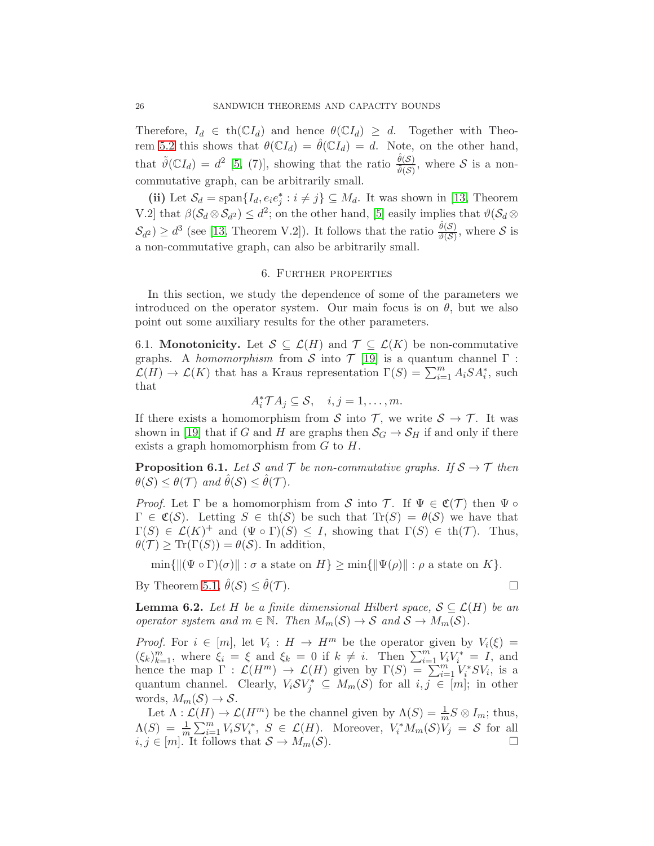Therefore,  $I_d \in \text{th}(\mathbb{C}I_d)$  and hence  $\theta(\mathbb{C}I_d) \geq d$ . Together with Theo-rem [5.2](#page-23-0) this shows that  $\theta(\mathbb{C}I_d) = \hat{\theta}(\mathbb{C}I_d) = d$ . Note, on the other hand, that  $\tilde{\vartheta}(\mathbb{C}I_d) = d^2$  [\[5,](#page-33-1) (7)], showing that the ratio  $\frac{\hat{\theta}(\mathcal{S})}{\tilde{\vartheta}(\mathcal{S})}$ , where  $\mathcal{S}$  is a noncommutative graph, can be arbitrarily small.

(ii) Let  $S_d = \text{span}\{I_d, e_i e_j^* : i \neq j\} \subseteq M_d$ . It was shown in [\[13,](#page-33-9) Theorem V.2] that  $\beta(\mathcal{S}_d \otimes \mathcal{S}_{d^2}) \leq d^2$ ; on the other hand, [\[5\]](#page-33-1) easily implies that  $\vartheta(\mathcal{S}_d \otimes$  $\mathcal{S}_{d^2}$ )  $\geq d^3$  (see [\[13,](#page-33-9) Theorem V.2]). It follows that the ratio  $\frac{\hat{\theta}(\mathcal{S})}{\vartheta(\mathcal{S})}$ , where  $\mathcal{S}$  is a non-commutative graph, can also be arbitrarily small.

### 6. Further properties

<span id="page-25-0"></span>In this section, we study the dependence of some of the parameters we introduced on the operator system. Our main focus is on  $\theta$ , but we also point out some auxiliary results for the other parameters.

<span id="page-25-1"></span>6.1. **Monotonicity.** Let  $S \subseteq \mathcal{L}(H)$  and  $\mathcal{T} \subseteq \mathcal{L}(K)$  be non-commutative graphs. A *homomorphism* from S into  $\mathcal{T}$  [\[19\]](#page-33-13) is a quantum channel  $\Gamma$ :  $\mathcal{L}(H) \to \mathcal{L}(K)$  that has a Kraus representation  $\Gamma(S) = \sum_{i=1}^{m} A_i S A_i^*$ , such that

$$
A_i^* \mathcal{T} A_j \subseteq \mathcal{S}, \quad i, j = 1, \ldots, m.
$$

If there exists a homomorphism from S into T, we write  $S \to T$ . It was shown in [\[19\]](#page-33-13) that if G and H are graphs then  $S_G \to S_H$  if and only if there exists a graph homomorphism from  $G$  to  $H$ .

<span id="page-25-2"></span>**Proposition 6.1.** Let S and T be non-commutative graphs. If  $S \rightarrow T$  then  $\theta(S) \leq \theta(\mathcal{T})$  and  $\hat{\theta}(\mathcal{S}) \leq \hat{\theta}(\mathcal{T})$ .

*Proof.* Let  $\Gamma$  be a homomorphism from S into T. If  $\Psi \in \mathfrak{C}(\mathcal{T})$  then  $\Psi \circ \Gamma$  $\Gamma \in \mathfrak{C}(\mathcal{S})$ . Letting  $S \in \text{th}(\mathcal{S})$  be such that  $\text{Tr}(S) = \theta(\mathcal{S})$  we have that  $\Gamma(S) \in \mathcal{L}(K)^+$  and  $(\Psi \circ \Gamma)(S) \leq I$ , showing that  $\Gamma(S) \in \text{th}(\mathcal{T})$ . Thus,  $\theta(\mathcal{T}) \geq \text{Tr}(\Gamma(S)) = \theta(\mathcal{S})$ . In addition,

 $\min\{\|\Psi \circ \Gamma)(\sigma\| : \sigma \text{ a state on } H\} \geq \min\{\|\Psi(\rho)\| : \rho \text{ a state on } K\}.$ 

By Theorem [5.1,](#page-22-1)  $\hat{\theta}(\mathcal{S}) \leq \hat{\theta}(\mathcal{T})$ .

<span id="page-25-3"></span>**Lemma 6.2.** *Let* H *be a finite dimensional Hilbert space,*  $S \subseteq \mathcal{L}(H)$  *be an operator system and*  $m \in \mathbb{N}$ *. Then*  $M_m(\mathcal{S}) \to \mathcal{S}$  *and*  $\mathcal{S} \to M_m(\mathcal{S})$ *.* 

*Proof.* For  $i \in [m]$ , let  $V_i : H \to H^m$  be the operator given by  $V_i(\xi) =$  $(\xi_k)_{k=1}^m$ , where  $\xi_i = \xi$  and  $\xi_k = 0$  if  $k \neq i$ . Then  $\sum_{i=1}^m V_i V_i^* = I$ , and hence the map  $\Gamma : \mathcal{L}(H^m) \to \mathcal{L}(H)$  given by  $\Gamma(S) = \sum_{i=1}^m V_i^* S V_i$ , is a quantum channel. Clearly,  $V_i \mathcal{S} V_j^* \subseteq M_m(\mathcal{S})$  for all  $i, j \in [m]$ ; in other words,  $M_m(\mathcal{S}) \to \mathcal{S}$ .

Let  $\Lambda: \mathcal{L}(H) \to \mathcal{L}(H^m)$  be the channel given by  $\Lambda(S) = \frac{1}{m} S \otimes I_m$ ; thus,  $\Lambda(S) = \frac{1}{m} \sum_{i=1}^{m} V_i S V_i^*, \ S \in \mathcal{L}(H)$ . Moreover,  $V_i^* M_m(\mathcal{S}) V_j = \mathcal{S}$  for all  $i, j \in [m]$ . It follows that  $S \to M_m(S)$ .

$$
\Box
$$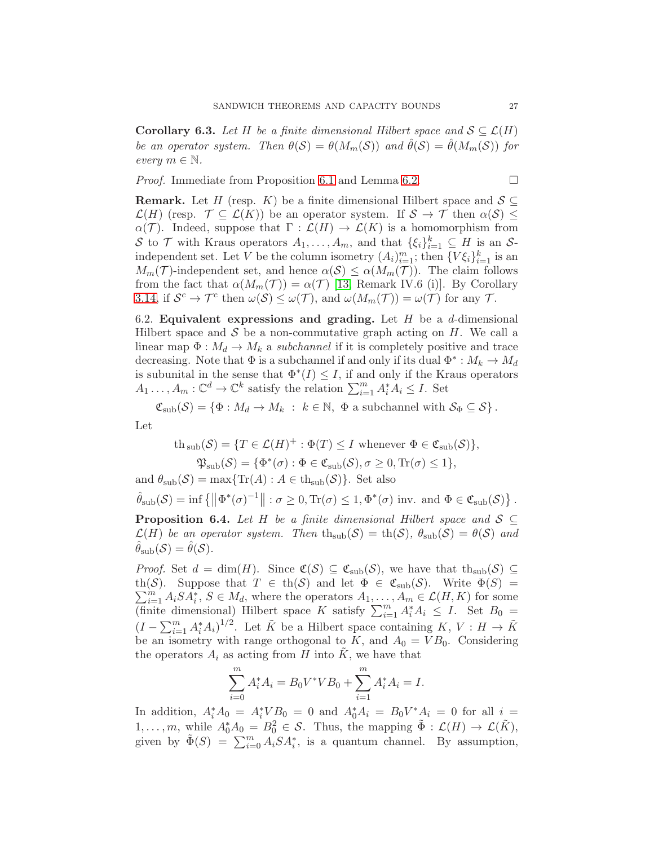**Corollary 6.3.** *Let* H *be a finite dimensional Hilbert space and*  $S \subseteq \mathcal{L}(H)$ *be an operator system.* Then  $\theta(S) = \theta(M_m(S))$  and  $\hat{\theta}(S) = \hat{\theta}(M_m(S))$  for *every*  $m \in \mathbb{N}$ .

*Proof.* Immediate from Proposition [6.1](#page-25-2) and Lemma [6.2.](#page-25-3) □

**Remark.** Let H (resp. K) be a finite dimensional Hilbert space and  $S \subseteq$  $\mathcal{L}(H)$  (resp.  $\mathcal{T} \subseteq \mathcal{L}(K)$ ) be an operator system. If  $\mathcal{S} \to \mathcal{T}$  then  $\alpha(\mathcal{S}) \leq$  $\alpha(\mathcal{T})$ . Indeed, suppose that  $\Gamma : \mathcal{L}(H) \to \mathcal{L}(K)$  is a homomorphism from S to T with Kraus operators  $A_1, \ldots, A_m$ , and that  $\{\xi_i\}_{i=1}^k \subseteq H$  is an Sindependent set. Let V be the column isometry  $(A_i)_{i=1}^m$ ; then  $\{V\xi_i\}_{i=1}^k$  is an  $M_m(\mathcal{T})$ -independent set, and hence  $\alpha(\mathcal{S}) \leq \alpha(M_m(\mathcal{T}))$ . The claim follows from the fact that  $\alpha(M_m(\mathcal{T})) = \alpha(\mathcal{T})$  [\[13,](#page-33-9) Remark IV.6 (i)]. By Corollary [3.14,](#page-15-0) if  $S^c \to \mathcal{T}^c$  then  $\omega(\mathcal{S}) \leq \omega(\mathcal{T})$ , and  $\omega(M_m(\mathcal{T})) = \omega(\mathcal{T})$  for any  $\mathcal{T}$ .

<span id="page-26-0"></span>6.2. Equivalent expressions and grading. Let  $H$  be a d-dimensional Hilbert space and  $S$  be a non-commutative graph acting on  $H$ . We call a linear map  $\Phi: M_d \to M_k$  a *subchannel* if it is completely positive and trace decreasing. Note that  $\Phi$  is a subchannel if and only if its dual  $\Phi^* : M_k \to M_d$ is subunital in the sense that  $\Phi^*(I) \leq I$ , if and only if the Kraus operators  $A_1 \dots, A_m : \mathbb{C}^d \to \mathbb{C}^k$  satisfy the relation  $\sum_{i=1}^m A_i^* A_i \leq I$ . Set

 $\mathfrak{C}_{sub}(\mathcal{S}) = \{ \Phi : M_d \to M_k \; : \; k \in \mathbb{N}, \; \Phi \text{ a subchannel with } \mathcal{S}_{\Phi} \subseteq \mathcal{S} \}.$ Let

$$
\begin{aligned} \text{th}_{\text{sub}}(\mathcal{S}) &= \{ T \in \mathcal{L}(H)^+ : \Phi(T) \le I \text{ whenever } \Phi \in \mathfrak{C}_{\text{sub}}(\mathcal{S}) \}, \\ \mathfrak{P}_{\text{sub}}(\mathcal{S}) &= \{ \Phi^*(\sigma) : \Phi \in \mathfrak{C}_{\text{sub}}(\mathcal{S}), \sigma \ge 0, \text{Tr}(\sigma) \le 1 \}, \end{aligned}
$$

<span id="page-26-1"></span>and  $\theta_{\text{sub}}(\mathcal{S}) = \max\{\text{Tr}(A) : A \in \text{th}_{\text{sub}}(\mathcal{S})\}.$  Set also  $\hat{\theta}_{sub}(\mathcal{S}) = \inf \{ \left\| \Phi^*(\sigma)^{-1} \right\| : \sigma \geq 0, \text{Tr}(\sigma) \leq 1, \Phi^*(\sigma) \text{ inv. and } \Phi \in \mathfrak{C}_{sub}(\mathcal{S}) \}$ . **Proposition 6.4.** Let H be a finite dimensional Hilbert space and  $S \subseteq$  $\mathcal{L}(H)$  *be an operator system. Then*  $\text{th}_{sub}(\mathcal{S}) = \text{th}(\mathcal{S})$ ,  $\theta_{sub}(\mathcal{S}) = \theta(\mathcal{S})$  *and*  $\ddot{\theta}_{sub}(\mathcal{S}) = \ddot{\theta}(\mathcal{S}).$ 

*Proof.* Set  $d = \dim(H)$ . Since  $\mathfrak{C}(\mathcal{S}) \subseteq \mathfrak{C}_{sub}(\mathcal{S})$ , we have that  $th_{sub}(\mathcal{S}) \subseteq$  $\sum_{i=1}^{m} A_i S A_i^*, S \in M_d$ , where the operators  $A_1, \ldots, A_m \in \mathcal{L}(H, K)$  for some th(S). Suppose that  $T \in \text{th}(S)$  and let  $\Phi \in \mathfrak{C}_{\text{sub}}(S)$ . Write  $\Phi(S) =$ (finite dimensional) Hilbert space K satisfy  $\sum_{i=1}^{m} A_i^* A_i \leq I$ . Set  $B_0 =$  $(I - \sum_{i=1}^{m} A_i^* A_i)^{1/2}$ . Let  $\tilde{K}$  be a Hilbert space containing  $K, V : H \to \tilde{K}$ be an isometry with range orthogonal to  $K$ , and  $A_0 = VB_0$ . Considering the operators  $A_i$  as acting from H into K, we have that

$$
\sum_{i=0}^{m} A_i^* A_i = B_0 V^* V B_0 + \sum_{i=1}^{m} A_i^* A_i = I.
$$

In addition,  $A_i^* A_0 = A_i^* V B_0 = 0$  and  $A_0^* A_i = B_0 V^* A_i = 0$  for all  $i =$  $1, \ldots, m$ , while  $A_0^* A_0 = B_0^2 \in \mathcal{S}$ . Thus, the mapping  $\tilde{\Phi} : \mathcal{L}(H) \to \mathcal{L}(\tilde{K}),$ given by  $\tilde{\Phi}(S) = \sum_{i=0}^{m} A_i S A_i^*$ , is a quantum channel. By assumption,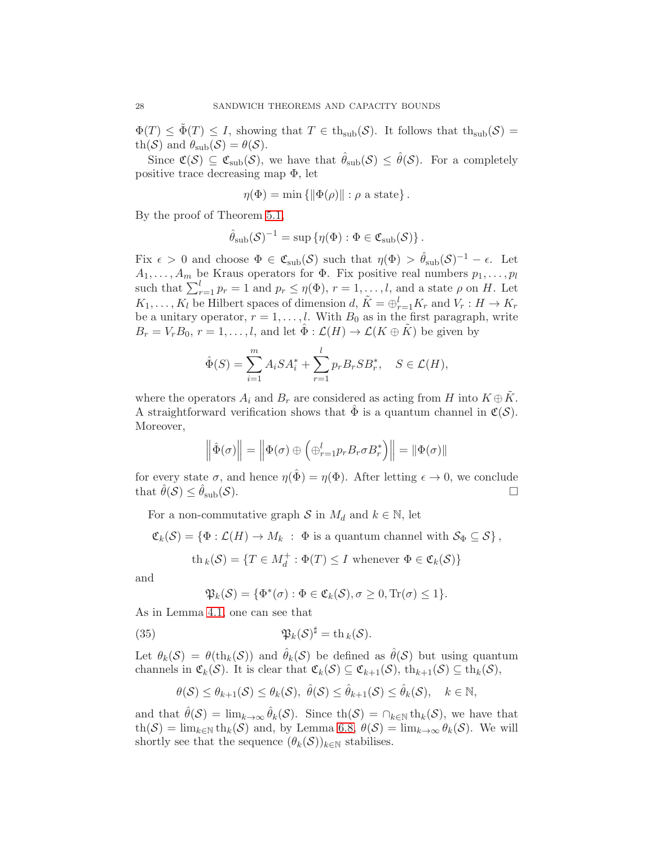$\Phi(T) \leq \Phi(T) \leq I$ , showing that  $T \in th_{sub}(\mathcal{S})$ . It follows that  $th_{sub}(\mathcal{S}) =$ th(S) and  $\theta_{sub}(S) = \theta(S)$ .

Since  $\mathfrak{C}(\mathcal{S}) \subseteq \mathfrak{C}_{sub}(\mathcal{S})$ , we have that  $\hat{\theta}_{sub}(\mathcal{S}) \leq \hat{\theta}(\mathcal{S})$ . For a completely positive trace decreasing map Φ, let

$$
\eta(\Phi) = \min \{ \|\Phi(\rho)\| : \rho \text{ a state} \}.
$$

By the proof of Theorem [5.1,](#page-22-1)

$$
\hat{\theta}_{\text{sub}}(\mathcal{S})^{-1} = \sup \left\{ \eta(\Phi) : \Phi \in \mathfrak{C}_{\text{sub}}(\mathcal{S}) \right\}.
$$

Fix  $\epsilon > 0$  and choose  $\Phi \in \mathfrak{C}_{sub}(\mathcal{S})$  such that  $\eta(\Phi) > \hat{\theta}_{sub}(\mathcal{S})^{-1} - \epsilon$ . Let  $A_1, \ldots, A_m$  be Kraus operators for  $\Phi$ . Fix positive real numbers  $p_1, \ldots, p_l$ such that  $\sum_{r=1}^{l} p_r = 1$  and  $p_r \leq \eta(\Phi)$ ,  $r = 1, \ldots, l$ , and a state  $\rho$  on H. Let  $K_1, \ldots, K_l$  be Hilbert spaces of dimension d,  $\tilde{K} = \bigoplus_{r=1}^l K_r$  and  $V_r : H \to K_r$ be a unitary operator,  $r = 1, \ldots, l$ . With  $B_0$  as in the first paragraph, write  $B_r = V_r B_0, r = 1, \ldots, l$ , and let  $\hat{\Phi}: \mathcal{L}(H) \to \mathcal{L}(K \oplus \tilde{K})$  be given by

$$
\hat{\Phi}(S) = \sum_{i=1}^{m} A_i S A_i^* + \sum_{r=1}^{l} p_r B_r S B_r^*, \quad S \in \mathcal{L}(H),
$$

where the operators  $A_i$  and  $B_r$  are considered as acting from H into  $K \oplus \tilde{K}$ . A straightforward verification shows that  $\Phi$  is a quantum channel in  $\mathfrak{C}(S)$ . Moreover,

$$
\left\|\hat{\Phi}(\sigma)\right\| = \left\|\Phi(\sigma) \oplus \left(\oplus_{r=1}^{l} p_r B_r \sigma B_r^*\right)\right\| = \left\|\Phi(\sigma)\right\|
$$

for every state  $\sigma$ , and hence  $\eta(\hat{\Phi}) = \eta(\Phi)$ . After letting  $\epsilon \to 0$ , we conclude that  $\theta(S) \leq \theta_{sub}(S)$ .

For a non-commutative graph S in  $M_d$  and  $k \in \mathbb{N}$ , let

 $\mathfrak{C}_k(\mathcal{S}) = \{ \Phi : \mathcal{L}(H) \to M_k : \Phi \text{ is a quantum channel with } \mathcal{S}_\Phi \subseteq \mathcal{S} \},$ 

$$
\text{th}_k(\mathcal{S}) = \{ T \in M_d^+ : \Phi(T) \le I \text{ whenever } \Phi \in \mathfrak{C}_k(\mathcal{S}) \}
$$

and

<span id="page-27-0"></span>
$$
\mathfrak{P}_k(\mathcal{S}) = \{ \Phi^*(\sigma) : \Phi \in \mathfrak{C}_k(\mathcal{S}), \sigma \ge 0, \text{Tr}(\sigma) \le 1 \}.
$$

As in Lemma [4.1,](#page-17-2) one can see that

(35) 
$$
\mathfrak{P}_k(\mathcal{S})^{\sharp} = \text{th}_k(\mathcal{S}).
$$

Let  $\theta_k(S) = \theta(\text{th}_k(S))$  and  $\hat{\theta}_k(S)$  be defined as  $\hat{\theta}(S)$  but using quantum channels in  $\mathfrak{C}_k(\mathcal{S})$ . It is clear that  $\mathfrak{C}_k(\mathcal{S}) \subseteq \mathfrak{C}_{k+1}(\mathcal{S}),$  th $_{k+1}(\mathcal{S}) \subseteq$  th $_k(\mathcal{S})$ ,

$$
\theta(\mathcal{S}) \leq \theta_{k+1}(\mathcal{S}) \leq \theta_k(\mathcal{S}), \ \hat{\theta}(\mathcal{S}) \leq \hat{\theta}_{k+1}(\mathcal{S}) \leq \hat{\theta}_k(\mathcal{S}), \quad k \in \mathbb{N},
$$

and that  $\hat{\theta}(\mathcal{S}) = \lim_{k \to \infty} \hat{\theta}_k(\mathcal{S})$ . Since th $(\mathcal{S}) = \bigcap_{k \in \mathbb{N}} \text{th}_k(\mathcal{S})$ , we have that  $\text{th}(\mathcal{S}) = \lim_{k \in \mathbb{N}} \text{th}_k(\mathcal{S})$  and, by Lemma [6.8,](#page-30-0)  $\theta(\mathcal{S}) = \lim_{k \to \infty} \theta_k(\mathcal{S})$ . We will shortly see that the sequence  $(\theta_k(\mathcal{S}))_{k\in\mathbb{N}}$  stabilises.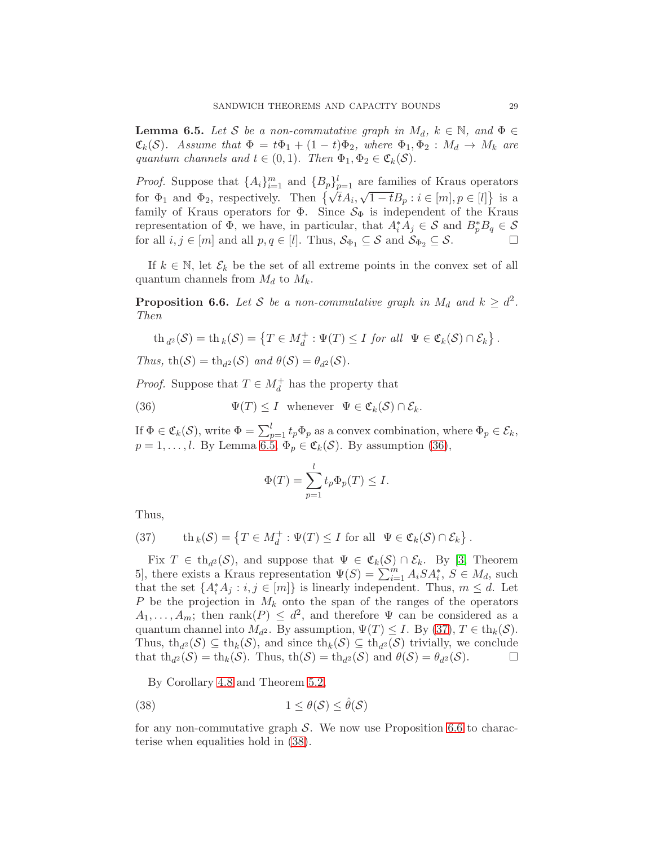<span id="page-28-0"></span>**Lemma 6.5.** Let S be a non-commutative graph in  $M_d$ ,  $k \in \mathbb{N}$ , and  $\Phi \in$  $\mathfrak{C}_k(\mathcal{S})$ *.* Assume that  $\Phi = t\Phi_1 + (1-t)\Phi_2$ , where  $\Phi_1, \Phi_2 : M_d \to M_k$  are *quantum channels and*  $t \in (0,1)$ *. Then*  $\Phi_1, \Phi_2 \in \mathfrak{C}_k(\mathcal{S})$ *.* 

*Proof.* Suppose that  $\{A_i\}_{i=1}^m$  and  $\{B_p\}_{p=1}^l$  are families of Kraus operators for  $\Phi_1$  and  $\Phi_2$ , respectively. Then  $\{\sqrt{t}A_i, \sqrt{1-t}B_p : i \in [m], p \in [l]\}$  is a family of Kraus operators for  $\Phi$ . Since  $\mathcal{S}_{\Phi}$  is independent of the Kraus representation of  $\Phi$ , we have, in particular, that  $A_i^* A_j \in \mathcal{S}$  and  $B_p^* B_q \in \mathcal{S}$ for all  $i, j \in [m]$  and all  $p, q \in [l]$ . Thus,  $S_{\Phi_1} \subseteq S$  and  $S_{\Phi_2} \subseteq S$ .

If  $k \in \mathbb{N}$ , let  $\mathcal{E}_k$  be the set of all extreme points in the convex set of all quantum channels from  $M_d$  to  $M_k$ .

<span id="page-28-3"></span>**Proposition 6.6.** Let S be a non-commutative graph in  $M_d$  and  $k \geq d^2$ . *Then*

$$
\operatorname{th}_{d^2}(\mathcal{S}) = \operatorname{th}_k(\mathcal{S}) = \left\{ T \in M_d^+ : \Psi(T) \leq I \text{ for all } \Psi \in \mathfrak{C}_k(\mathcal{S}) \cap \mathcal{E}_k \right\}.
$$

*Thus,*  $\text{th}(\mathcal{S}) = \text{th}_{d^2}(\mathcal{S})$  *and*  $\theta(\mathcal{S}) = \theta_{d^2}(\mathcal{S})$ *.* 

*Proof.* Suppose that  $T \in M_d^+$  has the property that

(36) 
$$
\Psi(T) \leq I \quad \text{whenever} \quad \Psi \in \mathfrak{C}_k(\mathcal{S}) \cap \mathcal{E}_k.
$$

If  $\Phi \in \mathfrak{C}_k(\mathcal{S})$ , write  $\Phi = \sum_{p=1}^l t_p \Phi_p$  as a convex combination, where  $\Phi_p \in \mathcal{E}_k$ ,  $p = 1, \ldots, l$ . By Lemma [6.5,](#page-28-0)  $\Phi_p \in \mathfrak{C}_k(\mathcal{S})$ . By assumption [\(36\)](#page-28-1),

<span id="page-28-1"></span>
$$
\Phi(T) = \sum_{p=1}^{l} t_p \Phi_p(T) \le I.
$$

Thus,

<span id="page-28-2"></span>(37) th<sub>k</sub>
$$
(S) = \{T \in M_d^+ : \Psi(T) \leq I \text{ for all } \Psi \in \mathfrak{C}_k(S) \cap \mathcal{E}_k\}.
$$

Fix  $T \in th_{d^2}(\mathcal{S})$ , and suppose that  $\Psi \in \mathfrak{C}_k(\mathcal{S}) \cap \mathcal{E}_k$ . By [\[3,](#page-33-17) Theorem 5, there exists a Kraus representation  $\Psi(S) = \sum_{i=1}^{m} A_i S A_i^*, S \in M_d$ , such that the set  $\{A_i^*A_j : i, j \in [m]\}$  is linearly independent. Thus,  $m \leq d$ . Let P be the projection in  $M_k$  onto the span of the ranges of the operators  $A_1, \ldots, A_m$ ; then rank $(P) \leq d^2$ , and therefore  $\Psi$  can be considered as a quantum channel into  $M_{d^2}$ . By assumption,  $\Psi(T) \leq I$ . By [\(37\)](#page-28-2),  $T \in \text{th}_k(\mathcal{S})$ . Thus, th<sub>d</sub><sup>2</sup>(S)  $\subseteq$  th<sub>k</sub>(S), and since th<sub>k</sub>(S)  $\subseteq$  th<sub>d</sub><sup>2</sup>(S) trivially, we conclude that  $\operatorname{th}_{d^2}(\mathcal{S}) = \operatorname{th}_k(\mathcal{S})$ . Thus,  $\operatorname{th}(\mathcal{S}) = \operatorname{th}_{d^2}(\mathcal{S})$  and  $\theta(\mathcal{S}) = \theta_{d^2}(\mathcal{S})$ .

<span id="page-28-4"></span>By Corollary [4.8](#page-22-3) and Theorem [5.2,](#page-23-0)

(38) 
$$
1 \leq \theta(\mathcal{S}) \leq \hat{\theta}(\mathcal{S})
$$

for any non-commutative graph  $S$ . We now use Proposition [6.6](#page-28-3) to characterise when equalities hold in [\(38\)](#page-28-4).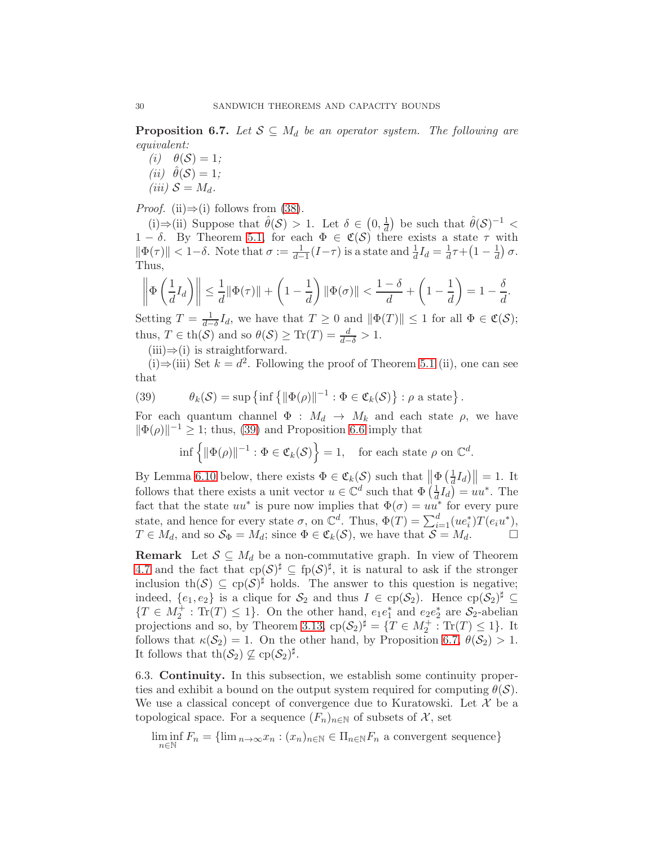<span id="page-29-2"></span>**Proposition 6.7.** *Let*  $S \subseteq M_d$  *be an operator system. The following are equivalent:*

 $(i)$   $\theta(S) = 1;$  $(ii) \hat{\theta}(\mathcal{S}) = 1;$ *(iii)*  $S = M_d$ .

*Proof.* (ii) $\Rightarrow$ (i) follows from [\(38\)](#page-28-4).

(i)⇒(ii) Suppose that  $\hat{\theta}(\mathcal{S}) > 1$ . Let  $\delta \in (0, \frac{1}{d})$  $\frac{1}{d}$ ) be such that  $\hat{\theta}(\mathcal{S})^{-1}$  <  $1 - \delta$ . By Theorem [5.1,](#page-22-1) for each  $\Phi \in \mathfrak{C}(\mathcal{S})$  there exists a state  $\tau$  with  $\|\Phi(\tau)\| < 1-\delta$ . Note that  $\sigma := \frac{1}{d-1}(I-\tau)$  is a state and  $\frac{1}{d}I_d = \frac{1}{d}$  $\frac{1}{d}\tau + \left(1 - \frac{1}{d}\right)$  $\frac{1}{d}$ )  $\sigma$ . Thus,

$$
\left\|\Phi\left(\frac{1}{d}I_d\right)\right\| \leq \frac{1}{d}\|\Phi(\tau)\| + \left(1 - \frac{1}{d}\right)\|\Phi(\sigma)\| < \frac{1 - \delta}{d} + \left(1 - \frac{1}{d}\right) = 1 - \frac{\delta}{d}.
$$

Setting  $T = \frac{1}{d-1}$  $\frac{1}{d-\delta}I_d$ , we have that  $T \geq 0$  and  $\|\Phi(T)\| \leq 1$  for all  $\Phi \in \mathfrak{C}(\mathcal{S});$ thus,  $T \in \text{th}(\mathcal{S})$  and so  $\theta(\mathcal{S}) \geq \text{Tr}(T) = \frac{d}{d-\delta} > 1$ .

 $(iii) \Rightarrow (i)$  is straightforward.

(i)⇒(iii) Set  $k = d^2$ . Following the proof of Theorem [5.1](#page-22-1) (ii), one can see that

(39) 
$$
\theta_k(\mathcal{S}) = \sup \left\{ \inf \left\{ \|\Phi(\rho)\|^{-1} : \Phi \in \mathfrak{C}_k(\mathcal{S}) \right\} : \rho \text{ a state} \right\}.
$$

For each quantum channel  $\Phi : M_d \to M_k$  and each state  $\rho$ , we have  $\|\Phi(\rho)\|^{-1} \ge 1$ ; thus, [\(39\)](#page-29-1) and Proposition [6.6](#page-28-3) imply that

<span id="page-29-1"></span>
$$
\inf \left\{ \|\Phi(\rho)\|^{-1} : \Phi \in \mathfrak{C}_k(\mathcal{S}) \right\} = 1, \quad \text{for each state } \rho \text{ on } \mathbb{C}^d.
$$

By Lemma [6.10](#page-30-1) below, there exists  $\Phi \in \mathfrak{C}_k(\mathcal{S})$  such that  $\left\| \Phi \left( \frac{1}{d} \right) \right\|$  $\frac{1}{d}I_d$ )  $\parallel$  = 1. It follows that there exists a unit vector  $u \in \mathbb{C}^d$  such that  $\Phi\left(\frac{1}{d}\right)$  $\frac{1}{d}I_d$ ) =  $uu^*$ . The fact that the state  $uu^*$  is pure now implies that  $\Phi(\sigma) = uu^*$  for every pure state, and hence for every state  $\sigma$ , on  $\mathbb{C}^d$ . Thus,  $\Phi(T) = \sum_{i=1}^d (ue_i^*)T(e_iu^*),$  $T \in M_d$ , and so  $S_{\Phi} = M_d$ ; since  $\Phi \in \mathfrak{C}_k(\mathcal{S})$ , we have that  $\mathcal{S} = M_d$ .

**Remark** Let  $S \subseteq M_d$  be a non-commutative graph. In view of Theorem [4.7](#page-20-1) and the fact that  $c_p(\mathcal{S})^{\sharp} \subseteq f_p(\mathcal{S})^{\sharp}$ , it is natural to ask if the stronger inclusion th $(\mathcal{S}) \subseteq \text{cp}(\mathcal{S})^{\sharp}$  holds. The answer to this question is negative; indeed,  $\{e_1, e_2\}$  is a clique for  $S_2$  and thus  $I \in \text{cp}(\mathcal{S}_2)$ . Hence  $\text{cp}(\mathcal{S}_2)^{\sharp} \subseteq$  ${T \in M_2^+ : Tr(T) \leq 1}.$  On the other hand,  $e_1e_1^*$  and  $e_2e_2^*$  are  $S_2$ -abelian projections and so, by Theorem [3.13,](#page-14-2)  $cp(\mathcal{S}_2)^{\sharp} = \{T \in M_2^+ : \text{Tr}(T) \leq 1\}$ . It follows that  $\kappa(\mathcal{S}_2) = 1$ . On the other hand, by Proposition [6.7,](#page-29-2)  $\theta(\mathcal{S}_2) > 1$ . It follows that  $\operatorname{th}(\mathcal{S}_2) \not\subseteq \operatorname{cp}(\mathcal{S}_2)^{\sharp}$ .

<span id="page-29-0"></span>6.3. Continuity. In this subsection, we establish some continuity properties and exhibit a bound on the output system required for computing  $\theta(\mathcal{S})$ . We use a classical concept of convergence due to Kuratowski. Let  $\mathcal X$  be a topological space. For a sequence  $(F_n)_{n\in\mathbb{N}}$  of subsets of X, set

$$
\liminf_{n \in \mathbb{N}} F_n = \{ \lim_{n \to \infty} x_n : (x_n)_{n \in \mathbb{N}} \in \Pi_{n \in \mathbb{N}} F_n \text{ a convergent sequence} \}
$$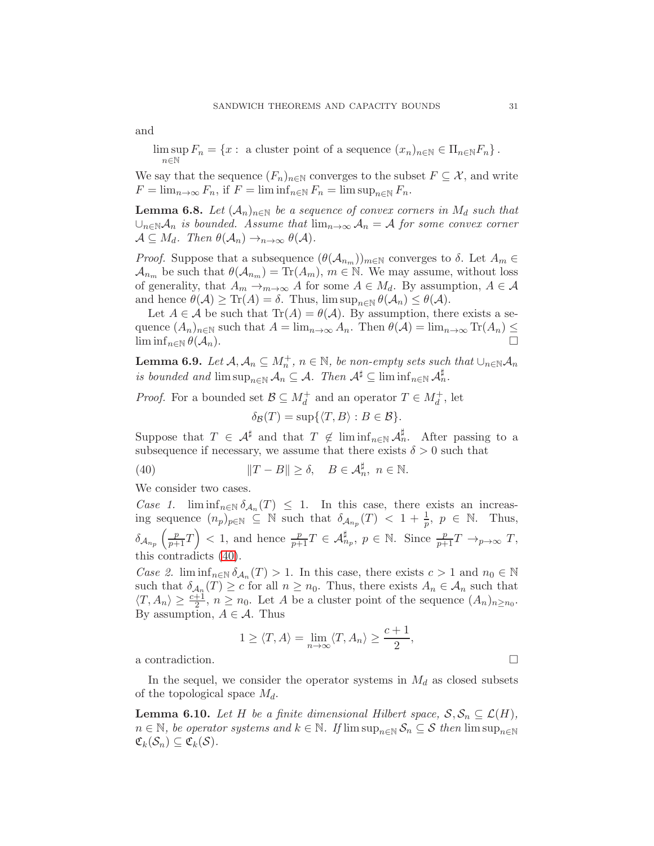and

 $\limsup_{n \to \infty} F_n = \{x : \text{ a cluster point of a sequence } (x_n)_{n \in \mathbb{N}} \in \Pi_{n \in \mathbb{N}} F_n \}.$ <sup>n</sup>∈<sup>N</sup>

We say that the sequence  $(F_n)_{n\in\mathbb{N}}$  converges to the subset  $F\subseteq\mathcal{X}$ , and write  $F = \lim_{n \to \infty} F_n$ , if  $F = \liminf_{n \in \mathbb{N}} F_n = \limsup_{n \in \mathbb{N}} F_n$ .

<span id="page-30-0"></span>**Lemma 6.8.** Let  $(A_n)_{n\in\mathbb{N}}$  be a sequence of convex corners in  $M_d$  such that  $\cup_{n\in\mathbb{N}}\mathcal{A}_n$  *is bounded. Assume that*  $\lim_{n\to\infty}\mathcal{A}_n = \mathcal{A}$  *for some convex corner*  $\mathcal{A} \subseteq M_d$ . Then  $\theta(\mathcal{A}_n) \to_{n \to \infty} \theta(\mathcal{A})$ .

*Proof.* Suppose that a subsequence  $(\theta(\mathcal{A}_{n_m}))_{m\in\mathbb{N}}$  converges to  $\delta$ . Let  $A_m \in$  $\mathcal{A}_{n_m}$  be such that  $\theta(\mathcal{A}_{n_m}) = \text{Tr}(A_m)$ ,  $m \in \mathbb{N}$ . We may assume, without loss of generality, that  $A_m \to_{m \to \infty} A$  for some  $A \in M_d$ . By assumption,  $A \in \mathcal{A}$ and hence  $\theta(\mathcal{A}) \geq \text{Tr}(A) = \delta$ . Thus,  $\limsup_{n \in \mathbb{N}} \theta(\mathcal{A}_n) \leq \theta(\mathcal{A})$ .

Let  $A \in \mathcal{A}$  be such that  $\text{Tr}(A) = \theta(\mathcal{A})$ . By assumption, there exists a sequence  $(A_n)_{n\in\mathbb{N}}$  such that  $A = \lim_{n\to\infty} A_n$ . Then  $\theta(\mathcal{A}) = \lim_{n\to\infty} \text{Tr}(A_n) \le$  $\liminf_{n\in\mathbb{N}} \theta(\mathcal{A}_n).$ 

<span id="page-30-3"></span>**Lemma 6.9.** *Let*  $A, A_n \subseteq M_n^+$ ,  $n \in \mathbb{N}$ , *be non-empty sets such that*  $\cup_{n \in \mathbb{N}} A_n$ *is bounded and*  $\limsup_{n\in\mathbb{N}}\mathcal{A}_n\subseteq\mathcal{A}$ . Then  $\mathcal{A}^{\sharp}\subseteq\liminf_{n\in\mathbb{N}}\mathcal{A}^{\sharp}_n$ .

*Proof.* For a bounded set  $\mathcal{B} \subseteq M_d^+$  and an operator  $T \in M_d^+$ , let  $\delta_{\mathcal{B}}(T) = \sup \{ \langle T, B \rangle : B \in \mathcal{B} \}.$ 

Suppose that  $T \in \mathcal{A}^{\sharp}$  and that  $T \notin \liminf_{n \in \mathbb{N}} \mathcal{A}^{\sharp}_{n}$ . After passing to a subsequence if necessary, we assume that there exists  $\delta > 0$  such that

<span id="page-30-2"></span>(40)  $||T - B|| \ge \delta, \quad B \in \mathcal{A}_n^{\sharp}, \ n \in \mathbb{N}.$ 

We consider two cases.

*Case 1.*  $\liminf_{n \in \mathbb{N}} \delta_{\mathcal{A}_n}(T) \leq 1$ . In this case, there exists an increasing sequence  $(n_p)_{p \in \mathbb{N}} \subseteq \mathbb{N}$  such that  $\delta_{\mathcal{A}_{np}}(T) < 1 + \frac{1}{p}, p \in \mathbb{N}$ . Thus,  $\delta_{\mathcal{A}_{n_p}}\left(\frac{p}{p+1}T\right) < 1$ , and hence  $\frac{p}{p+1}T \in \mathcal{A}_{n_p}^{\sharp}$ ,  $p \in \mathbb{N}$ . Since  $\frac{p}{p+1}T \to_{p \to \infty} T$ , this contradicts [\(40\)](#page-30-2).

*Case 2.* lim  $\inf_{n \in \mathbb{N}} \delta_{\mathcal{A}_n}(T) > 1$ . In this case, there exists  $c > 1$  and  $n_0 \in \mathbb{N}$ such that  $\delta_{\mathcal{A}_n}(T) \geq c$  for all  $n \geq n_0$ . Thus, there exists  $A_n \in \mathcal{A}_n$  such that  $\langle T, A_n \rangle \geq \frac{c+1}{2}, n \geq n_0$ . Let A be a cluster point of the sequence  $(A_n)_{n \geq n_0}$ . By assumption,  $A \in \mathcal{A}$ . Thus

$$
1 \geq \langle T, A \rangle = \lim_{n \to \infty} \langle T, A_n \rangle \geq \frac{c+1}{2},
$$

a contradiction.  $\Box$ 

In the sequel, we consider the operator systems in  $M_d$  as closed subsets of the topological space  $M_d$ .

<span id="page-30-1"></span>**Lemma 6.10.** Let H be a finite dimensional Hilbert space,  $S, S_n \subseteq \mathcal{L}(H)$ ,  $n \in \mathbb{N}$ , be operator systems and  $k \in \mathbb{N}$ . If  $\limsup_{n \in \mathbb{N}} S_n \subseteq S$  then  $\limsup_{n \in \mathbb{N}} S_n$  $\mathfrak{C}_k(\mathcal{S}_n) \subseteq \mathfrak{C}_k(\mathcal{S})$ .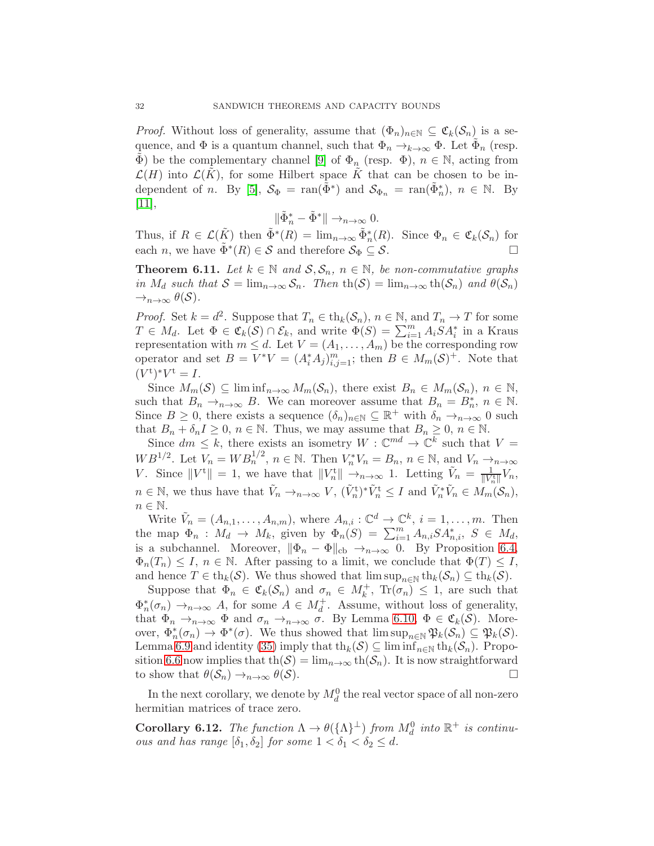*Proof.* Without loss of generality, assume that  $(\Phi_n)_{n\in\mathbb{N}}\subseteq\mathfrak{C}_k(\mathcal{S}_n)$  is a sequence, and  $\Phi$  is a quantum channel, such that  $\Phi_n \to_{k \to \infty} \Phi$ . Let  $\tilde{\Phi}_n$  (resp.  $\tilde{\Phi}$ ) be the complementary channel [\[9\]](#page-33-18) of  $\Phi_n$  (resp.  $\Phi$ ),  $n \in \mathbb{N}$ , acting from  $\mathcal{L}(H)$  into  $\mathcal{L}(K)$ , for some Hilbert space K that can be chosen to be in-dependent of n. By [\[5\]](#page-33-1),  $S_{\Phi} = \text{ran}(\tilde{\Phi}^*)$  and  $S_{\Phi_n} = \text{ran}(\tilde{\Phi}_n^*)$ ,  $n \in \mathbb{N}$ . By [\[11\]](#page-33-19),

 $\|\tilde{\Phi}_n^* - \tilde{\Phi}^*\| \to_{n \to \infty} 0.$ 

Thus, if  $R \in \mathcal{L}(\tilde{K})$  then  $\tilde{\Phi}^*(R) = \lim_{n \to \infty} \tilde{\Phi}_n^*(R)$ . Since  $\Phi_n \in \mathfrak{C}_k(\mathcal{S}_n)$  for each *n*, we have  $\tilde{\Phi}^*(R) \in \mathcal{S}$  and therefore  $\mathcal{S}_{\Phi} \subseteq \mathcal{S}$ .

<span id="page-31-0"></span>**Theorem 6.11.** *Let*  $k \in \mathbb{N}$  *and*  $S, S_n$ ,  $n \in \mathbb{N}$ *, be non-commutative graphs in*  $M_d$  *such that*  $S = \lim_{n \to \infty} S_n$ *. Then*  $\text{th}(S) = \lim_{n \to \infty} \text{th}(S_n)$  *and*  $\theta(S_n)$  $\rightarrow_{n\rightarrow\infty} \theta(\mathcal{S})$ .

*Proof.* Set  $k = d^2$ . Suppose that  $T_n \in \text{th}_k(\mathcal{S}_n)$ ,  $n \in \mathbb{N}$ , and  $T_n \to T$  for some  $T \in M_d$ . Let  $\Phi \in \mathfrak{C}_k(\mathcal{S}) \cap \mathcal{E}_k$ , and write  $\Phi(S) = \sum_{i=1}^m A_i S A_i^*$  in a Kraus representation with  $m \leq d$ . Let  $V = (A_1, \ldots, A_m)$  be the corresponding row operator and set  $B = V^*V = (A_i^*A_j)_{i,j=1}^m$ ; then  $B \in M_m(\mathcal{S})^+$ . Note that  $(V^{\text{t}})^* V^{\text{t}} = I.$ 

Since  $M_m(\mathcal{S}) \subseteq \liminf_{n \to \infty} M_m(\mathcal{S}_n)$ , there exist  $B_n \in M_m(\mathcal{S}_n)$ ,  $n \in \mathbb{N}$ , such that  $B_n \to_{n \to \infty} B$ . We can moreover assume that  $B_n = B_n^*$ ,  $n \in \mathbb{N}$ . Since  $B \geq 0$ , there exists a sequence  $(\delta_n)_{n \in \mathbb{N}} \subseteq \mathbb{R}^+$  with  $\delta_n \to_{n \to \infty} 0$  such that  $B_n + \delta_n I \geq 0$ ,  $n \in \mathbb{N}$ . Thus, we may assume that  $B_n \geq 0$ ,  $n \in \mathbb{N}$ .

Since  $dm \leq k$ , there exists an isometry  $W : \mathbb{C}^{md} \to \mathbb{C}^k$  such that  $V =$  $WB^{1/2}$ . Let  $V_n = WB_n^{1/2}$ ,  $n \in \mathbb{N}$ . Then  $V_n^*V_n = B_n$ ,  $n \in \mathbb{N}$ , and  $V_n \to_{n \to \infty}$ V. Since  $||V^t|| = 1$ , we have that  $||V_n^t|| \to_{n \to \infty} 1$ . Letting  $\tilde{V}_n = \frac{1}{||V_n^t||} V_n$ ,  $n \in \mathbb{N}$ , we thus have that  $\tilde{V}_n \to_{n \to \infty} V$ ,  $(\tilde{V}_n^{\text{t}})^* \tilde{V}_n^{\text{t}} \leq I$  and  $\tilde{V}_n^* \tilde{V}_n \in M_m(\mathcal{S}_n)$ ,  $n \in \mathbb{N}$ .

Write  $\tilde{V}_n = (A_{n,1}, \ldots, A_{n,m})$ , where  $A_{n,i} : \mathbb{C}^d \to \mathbb{C}^k$ ,  $i = 1, \ldots, m$ . Then the map  $\Phi_n$  :  $M_d \to M_k$ , given by  $\Phi_n(S) = \sum_{i=1}^m A_{n,i} S A_{n,i}^*$ ,  $S \in M_d$ , is a subchannel. Moreover,  $\|\Phi_n - \Phi\|_{cb} \to_{n\to\infty} 0$ . By Proposition [6.4,](#page-26-1)  $\Phi_n(T_n) \leq I$ ,  $n \in \mathbb{N}$ . After passing to a limit, we conclude that  $\Phi(T) \leq I$ , and hence  $T \in \text{th}_k(\mathcal{S})$ . We thus showed that  $\limsup_{n \in \mathbb{N}} \text{th}_k(\mathcal{S}_n) \subseteq \text{th}_k(\mathcal{S})$ .

Suppose that  $\Phi_n \in \mathfrak{C}_k(\mathcal{S}_n)$  and  $\sigma_n \in M_k^+$ ,  $\text{Tr}(\sigma_n) \leq 1$ , are such that  $\Phi_n^*(\sigma_n) \to_{n \to \infty} A$ , for some  $A \in M_d^+$ . Assume, without loss of generality, that  $\Phi_n \to_{n \to \infty} \Phi$  and  $\sigma_n \to_{n \to \infty} \tilde{\sigma}$ . By Lemma [6.10,](#page-30-1)  $\Phi \in \mathfrak{C}_k(\mathcal{S})$ . Moreover,  $\Phi_n^*(\sigma_n) \to \Phi^*(\sigma)$ . We thus showed that  $\limsup_{n \in \mathbb{N}} \mathfrak{P}_k(S_n) \subseteq \mathfrak{P}_k(S)$ . Lemma [6.9](#page-30-3) and identity [\(35\)](#page-27-0) imply that th<sub>k</sub>(S)  $\subseteq$  lim inf<sub>n∈N</sub> th<sub>k</sub>(S<sub>n</sub>). Propo-sition [6.6](#page-28-3) now implies that th( $S$ ) = lim<sub>n→∞</sub> th( $S_n$ ). It is now straightforward to show that  $\theta(S_n) \rightarrow_{n \rightarrow \infty} \theta(S)$ . to show that  $\theta(\mathcal{S}_n) \to_{n \to \infty} \theta(\mathcal{S})$ .

In the next corollary, we denote by  $M_d^0$  the real vector space of all non-zero hermitian matrices of trace zero.

<span id="page-31-1"></span>Corollary 6.12. *The function*  $\Lambda \to \theta(\{\Lambda\}^{\perp})$  *from*  $M_d^0$  *into*  $\mathbb{R}^+$  *is continuous and has range*  $[\delta_1, \delta_2]$  *for some*  $1 < \delta_1 < \delta_2 \leq d$ *.*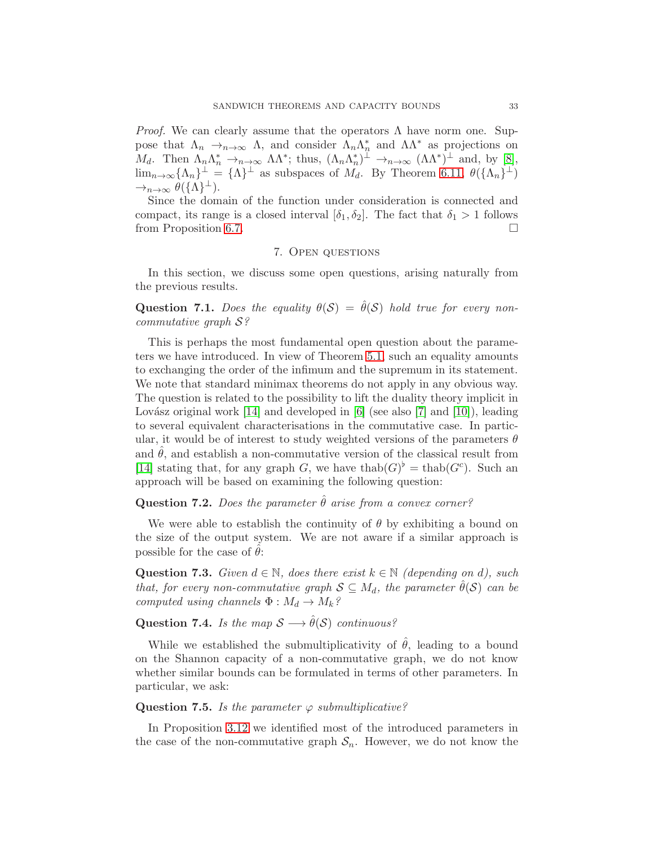*Proof.* We can clearly assume that the operators  $\Lambda$  have norm one. Suppose that  $\Lambda_n \to_{n \to \infty} \Lambda$ , and consider  $\Lambda_n \Lambda_n^*$  and  $\Lambda \Lambda^*$  as projections on n  $M_d$ . Then  $\Lambda_n \Lambda_n^* \to_{n \to \infty} \Lambda \Lambda^*$ ; thus,  $(\Lambda_n \Lambda_n^*)^{\perp} \to_{n \to \infty} (\Lambda \Lambda^*)^{\perp}$  and, by [\[8\]](#page-33-20),  $\lim_{n\to\infty} {\{\Lambda_n\}}^{\perp} = {\{\Lambda\}}^{\perp}$  as subspaces of  $M_d$ . By Theorem [6.11,](#page-31-0)  $\theta({\{\Lambda_n\}}^{\perp})$  $\rightarrow_{n\rightarrow\infty} \theta(\{\Lambda\}^{\perp}).$ 

Since the domain of the function under consideration is connected and compact, its range is a closed interval  $[\delta_1, \delta_2]$ . The fact that  $\delta_1 > 1$  follows from Proposition [6.7.](#page-29-2)

## 7. Open questions

<span id="page-32-0"></span>In this section, we discuss some open questions, arising naturally from the previous results.

**Question 7.1.** *Does the equality*  $\theta(S) = \hat{\theta}(S)$  *hold true for every noncommutative graph* S*?*

This is perhaps the most fundamental open question about the parameters we have introduced. In view of Theorem [5.1,](#page-22-1) such an equality amounts to exchanging the order of the infimum and the supremum in its statement. We note that standard minimax theorems do not apply in any obvious way. The question is related to the possibility to lift the duality theory implicit in Lovász original work  $[14]$  and developed in [\[6\]](#page-33-5) (see also [\[7\]](#page-33-4) and [\[10\]](#page-33-6)), leading to several equivalent characterisations in the commutative case. In particular, it would be of interest to study weighted versions of the parameters  $\theta$ and  $\hat{\theta}$ , and establish a non-commutative version of the classical result from [\[14\]](#page-33-3) stating that, for any graph G, we have thab( $G$ <sup> $\flat$ </sup> = thab( $G$ <sup>c</sup>). Such an approach will be based on examining the following question:

## **Question 7.2.** *Does the parameter*  $\hat{\theta}$  *arise from a convex corner?*

We were able to establish the continuity of  $\theta$  by exhibiting a bound on the size of the output system. We are not aware if a similar approach is possible for the case of  $\hat{\theta}$ :

**Question 7.3.** *Given*  $d \in \mathbb{N}$ *, does there exist*  $k \in \mathbb{N}$  *(depending on d), such that, for every non-commutative graph*  $S \subseteq M_d$ *, the parameter*  $\hat{\theta}(S)$  *can be computed using channels*  $\Phi : M_d \to M_k$ ?

Question 7.4. *Is the map*  $S \longrightarrow \hat{\theta}(S)$  *continuous?* 

While we established the submultiplicativity of  $\hat{\theta}$ , leading to a bound on the Shannon capacity of a non-commutative graph, we do not know whether similar bounds can be formulated in terms of other parameters. In particular, we ask:

### Question 7.5. *Is the parameter*  $\varphi$  *submultiplicative?*

In Proposition [3.12](#page-13-3) we identified most of the introduced parameters in the case of the non-commutative graph  $S_n$ . However, we do not know the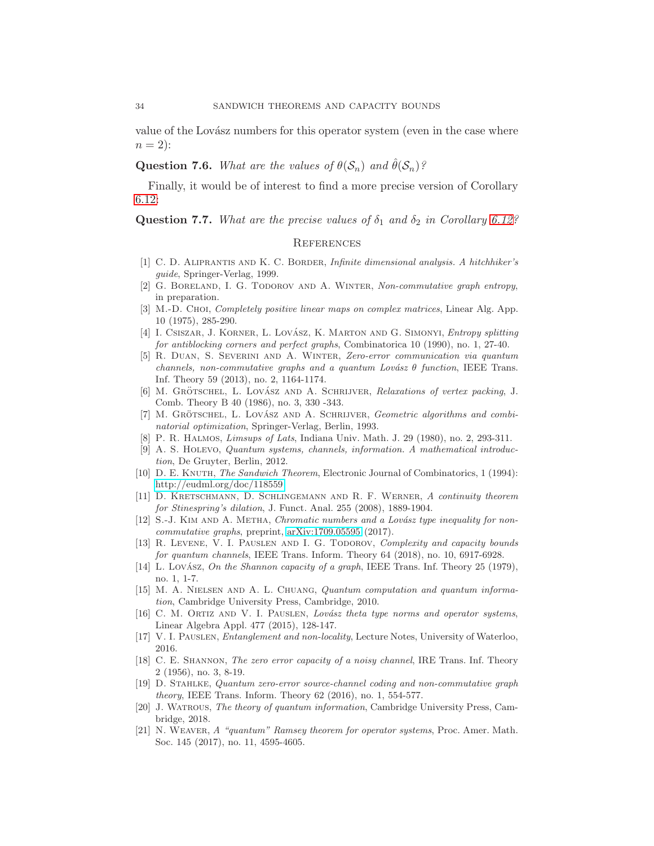value of the Lovász numbers for this operator system (even in the case where  $n = 2$ :

**Question 7.6.** *What are the values of*  $\theta(\mathcal{S}_n)$  *and*  $\hat{\theta}(\mathcal{S}_n)$ ?

Finally, it would be of interest to find a more precise version of Corollary [6.12:](#page-31-1)

**Question 7.7.** *What are the precise values of*  $\delta_1$  *and*  $\delta_2$  *in Corollary* [6.12?](#page-31-1)

### <span id="page-33-0"></span>**REFERENCES**

- <span id="page-33-15"></span><span id="page-33-11"></span>[1] C. D. Aliprantis and K. C. Border, Infinite dimensional analysis. A hitchhiker's guide, Springer-Verlag, 1999.
- <span id="page-33-17"></span>[2] G. Boreland, I. G. Todorov and A. Winter, Non-commutative graph entropy, in preparation.
- [3] M.-D. Choi, *Completely positive linear maps on complex matrices*, Linear Alg. App. 10 (1975), 285-290.
- <span id="page-33-7"></span>[4] I. CSISZAR, J. KORNER, L. LOVÁSZ, K. MARTON AND G. SIMONYI, *Entropy splitting* for antiblocking corners and perfect graphs, Combinatorica 10 (1990), no. 1, 27-40.
- <span id="page-33-1"></span>[5] R. Duan, S. Severini and A. Winter, Zero-error communication via quantum channels, non-commutative graphs and a quantum Lovász  $\theta$  function, IEEE Trans. Inf. Theory 59 (2013), no. 2, 1164-1174.
- <span id="page-33-5"></span>[6] M. GRÖTSCHEL, L. LOVÁSZ AND A. SCHRIJVER, Relaxations of vertex packing, J. Comb. Theory B 40 (1986), no. 3, 330 -343.
- <span id="page-33-4"></span>[7] M. GRÖTSCHEL, L. LOVÁSZ AND A. SCHRIJVER, Geometric algorithms and combinatorial optimization, Springer-Verlag, Berlin, 1993.
- <span id="page-33-20"></span><span id="page-33-18"></span>P. R. HALMOS, Limsups of Lats, Indiana Univ. Math. J. 29 (1980), no. 2, 293-311.
- [9] A. S. Holevo, Quantum systems, channels, information. A mathematical introduction, De Gruyter, Berlin, 2012.
- <span id="page-33-6"></span>[10] D. E. KNUTH, The Sandwich Theorem, Electronic Journal of Combinatorics, 1 (1994): [http://eudml.org/doc/118559.](http://eudml.org/doc/118559)
- <span id="page-33-19"></span>[11] D. Kretschmann, D. Schlingemann and R. F. Werner, A continuity theorem for Stinespring's dilation, J. Funct. Anal. 255 (2008), 1889-1904.
- <span id="page-33-14"></span>[12] S.-J. KIM AND A. METHA, Chromatic numbers and a Lovász type inequality for noncommutative graphs, preprint, [arXiv:1709.05595](http://arxiv.org/abs/1709.05595) (2017).
- <span id="page-33-9"></span>[13] R. Levene, V. I. Pauslen and I. G. Todorov, Complexity and capacity bounds for quantum channels, IEEE Trans. Inform. Theory 64 (2018), no. 10, 6917-6928.
- <span id="page-33-3"></span>[14] L. Lovász, On the Shannon capacity of a graph, IEEE Trans. Inf. Theory 25 (1979), no. 1, 1-7.
- [15] M. A. Nielsen and A. L. Chuang, Quantum computation and quantum information, Cambridge University Press, Cambridge, 2010.
- <span id="page-33-8"></span>[16] C. M. ORTIZ AND V. I. PAUSLEN, Lovász theta type norms and operator systems, Linear Algebra Appl. 477 (2015), 128-147.
- <span id="page-33-12"></span><span id="page-33-2"></span>[17] V. I. Pauslen, Entanglement and non-locality, Lecture Notes, University of Waterloo, 2016.
- [18] C. E. Shannon, The zero error capacity of a noisy channel, IRE Trans. Inf. Theory 2 (1956), no. 3, 8-19.
- <span id="page-33-13"></span>[19] D. Stahlke, Quantum zero-error source-channel coding and non-commutative graph theory, IEEE Trans. Inform. Theory 62 (2016), no. 1, 554-577.
- <span id="page-33-16"></span>[20] J. Watrous, The theory of quantum information, Cambridge University Press, Cambridge, 2018.
- <span id="page-33-10"></span>[21] N. WEAVER, A "quantum" Ramsey theorem for operator systems, Proc. Amer. Math. Soc. 145 (2017), no. 11, 4595-4605.